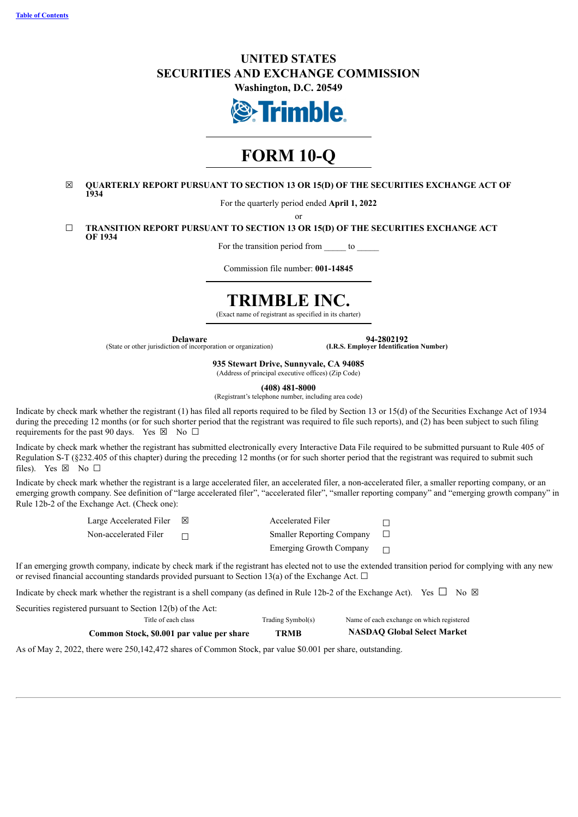# **UNITED STATES SECURITIES AND EXCHANGE COMMISSION**

**Washington, D.C. 20549**



# **FORM 10-Q**

#### ☒ **QUARTERLY REPORT PURSUANT TO SECTION 13 OR 15(D) OF THE SECURITIES EXCHANGE ACT OF 1934**

For the quarterly period ended **April 1, 2022**

or

☐ **TRANSITION REPORT PURSUANT TO SECTION 13 OR 15(D) OF THE SECURITIES EXCHANGE ACT OF 1934**

For the transition period from to

Commission file number: **001-14845**

# **TRIMBLE INC.**

(Exact name of registrant as specified in its charter)

**Delaware**

(State or other jurisdiction of incorporation or organization)

**94-2802192 (I.R.S. Employer Identification Number)**

**935 Stewart Drive, Sunnyvale, CA 94085**

(Address of principal executive offices) (Zip Code)

**(408) 481-8000**

(Registrant's telephone number, including area code)

Indicate by check mark whether the registrant (1) has filed all reports required to be filed by Section 13 or 15(d) of the Securities Exchange Act of 1934 during the preceding 12 months (or for such shorter period that the registrant was required to file such reports), and (2) has been subject to such filing requirements for the past 90 days. Yes  $\boxtimes$  No  $\Box$ 

Indicate by check mark whether the registrant has submitted electronically every Interactive Data File required to be submitted pursuant to Rule 405 of Regulation S-T (§232.405 of this chapter) during the preceding 12 months (or for such shorter period that the registrant was required to submit such files). Yes  $\boxtimes$  No  $\square$ 

Indicate by check mark whether the registrant is a large accelerated filer, an accelerated filer, a non-accelerated filer, a smaller reporting company, or an emerging growth company. See definition of "large accelerated filer", "accelerated filer", "smaller reporting company" and "emerging growth company" in Rule 12b-2 of the Exchange Act. (Check one):

| Large Accelerated Filer | Accelerated Filer                |  |
|-------------------------|----------------------------------|--|
| Non-accelerated Filer   | <b>Smaller Reporting Company</b> |  |
|                         | Emerging Growth Company          |  |

If an emerging growth company, indicate by check mark if the registrant has elected not to use the extended transition period for complying with any new or revised financial accounting standards provided pursuant to Section 13(a) of the Exchange Act.  $\Box$ 

Indicate by check mark whether the registrant is a shell company (as defined in Rule 12b-2 of the Exchange Act). Yes  $\Box$  No  $\boxtimes$ 

Securities registered pursuant to Section 12(b) of the Act:

| Title of each class                       | Trading Symbol(s) | Name of each exchange on which registered |
|-------------------------------------------|-------------------|-------------------------------------------|
| Common Stock, \$0.001 par value per share | TRMB              | <b>NASDAO Global Select Market</b>        |

As of May 2, 2022, there were 250,142,472 shares of Common Stock, par value \$0.001 per share, outstanding.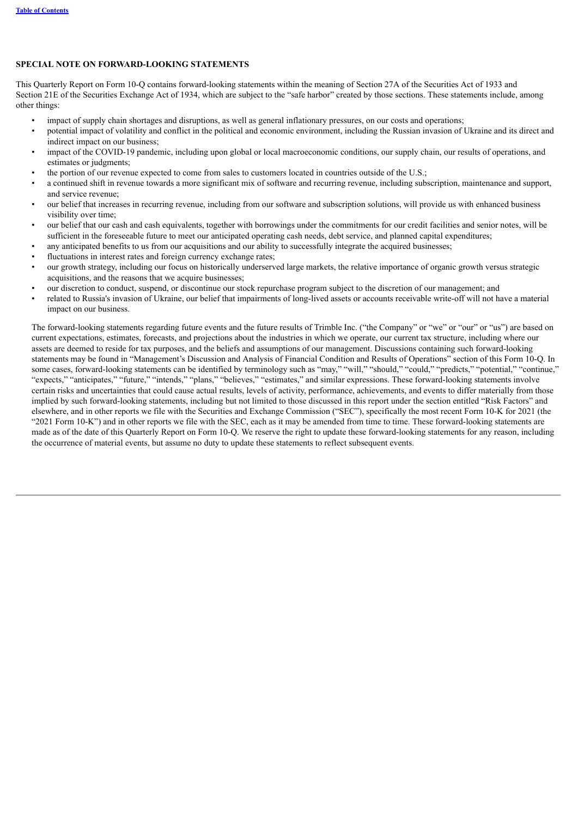# **SPECIAL NOTE ON FORWARD-LOOKING STATEMENTS**

This Quarterly Report on Form 10-Q contains forward-looking statements within the meaning of Section 27A of the Securities Act of 1933 and Section 21E of the Securities Exchange Act of 1934, which are subject to the "safe harbor" created by those sections. These statements include, among other things:

- impact of supply chain shortages and disruptions, as well as general inflationary pressures, on our costs and operations;
- potential impact of volatility and conflict in the political and economic environment, including the Russian invasion of Ukraine and its direct and indirect impact on our business;
- impact of the COVID-19 pandemic, including upon global or local macroeconomic conditions, our supply chain, our results of operations, and estimates or judgments;
- the portion of our revenue expected to come from sales to customers located in countries outside of the U.S.;
- a continued shift in revenue towards a more significant mix of software and recurring revenue, including subscription, maintenance and support, and service revenue;
- our belief that increases in recurring revenue, including from our software and subscription solutions, will provide us with enhanced business visibility over time;
- our belief that our cash and cash equivalents, together with borrowings under the commitments for our credit facilities and senior notes, will be sufficient in the foreseeable future to meet our anticipated operating cash needs, debt service, and planned capital expenditures;
- any anticipated benefits to us from our acquisitions and our ability to successfully integrate the acquired businesses;
- fluctuations in interest rates and foreign currency exchange rates;
- our growth strategy, including our focus on historically underserved large markets, the relative importance of organic growth versus strategic acquisitions, and the reasons that we acquire businesses;
- our discretion to conduct, suspend, or discontinue our stock repurchase program subject to the discretion of our management; and
- related to Russia's invasion of Ukraine, our belief that impairments of long-lived assets or accounts receivable write-off will not have a material impact on our business.

<span id="page-1-0"></span>The forward-looking statements regarding future events and the future results of Trimble Inc. ("the Company" or "we" or "our" or "us") are based on current expectations, estimates, forecasts, and projections about the industries in which we operate, our current tax structure, including where our assets are deemed to reside for tax purposes, and the beliefs and assumptions of our management. Discussions containing such forward-looking statements may be found in "Management's Discussion and Analysis of Financial Condition and Results of Operations" section of this Form 10-Q. In some cases, forward-looking statements can be identified by terminology such as "may," "will," "should," "could," "predicts," "potential," "continue," "expects," "anticipates," "future," "intends," "plans," "believes," "estimates," and similar expressions. These forward-looking statements involve certain risks and uncertainties that could cause actual results, levels of activity, performance, achievements, and events to differ materially from those implied by such forward-looking statements, including but not limited to those discussed in this report under the section entitled "Risk Factors" and elsewhere, and in other reports we file with the Securities and Exchange Commission ("SEC"), specifically the most recent Form 10-K for 2021 (the "2021 Form 10-K") and in other reports we file with the SEC, each as it may be amended from time to time. These forward-looking statements are made as of the date of this Quarterly Report on Form 10-Q. We reserve the right to update these forward-looking statements for any reason, including the occurrence of material events, but assume no duty to update these statements to reflect subsequent events.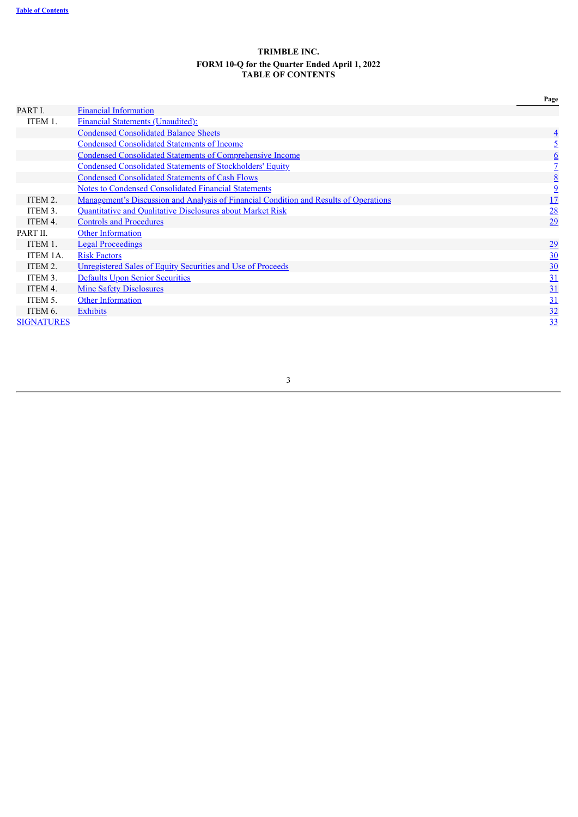# **TRIMBLE INC. FORM 10-Q for the Quarter Ended April 1, 2022 TABLE OF CONTENTS**

<span id="page-2-0"></span>

|                   |                                                                                              | Page             |
|-------------------|----------------------------------------------------------------------------------------------|------------------|
| PART I.           | <b>Financial Information</b>                                                                 |                  |
| ITEM 1.           | Financial Statements (Unaudited):                                                            |                  |
|                   | <b>Condensed Consolidated Balance Sheets</b>                                                 | $\overline{4}$   |
|                   | <b>Condensed Consolidated Statements of Income</b>                                           | $\overline{2}$   |
|                   | <b>Condensed Consolidated Statements of Comprehensive Income</b>                             | $6 \overline{6}$ |
|                   | <b>Condensed Consolidated Statements of Stockholders' Equity</b>                             |                  |
|                   | <b>Condensed Consolidated Statements of Cash Flows</b>                                       | $\frac{7}{8}$    |
|                   | <b>Notes to Condensed Consolidated Financial Statements</b>                                  | $\overline{9}$   |
| ITEM 2.           | <u>Management's Discussion and Analysis of Financial Condition and Results of Operations</u> | 17               |
| ITEM 3.           | Quantitative and Qualitative Disclosures about Market Risk                                   | 28               |
| ITEM 4.           | <b>Controls and Procedures</b>                                                               | 29               |
| PART II.          | <b>Other Information</b>                                                                     |                  |
| ITEM 1.           | <b>Legal Proceedings</b>                                                                     | 29               |
| ITEM 1A.          | <b>Risk Factors</b>                                                                          | 30               |
| ITEM 2.           | Unregistered Sales of Equity Securities and Use of Proceeds                                  | 30               |
| ITEM 3.           | <b>Defaults Upon Senior Securities</b>                                                       | 31               |
| ITEM 4.           | <b>Mine Safety Disclosures</b>                                                               | 31               |
| ITEM 5.           | <b>Other Information</b>                                                                     | 31               |
| ITEM 6.           | <b>Exhibits</b>                                                                              | 32               |
| <b>SIGNATURES</b> |                                                                                              | 33               |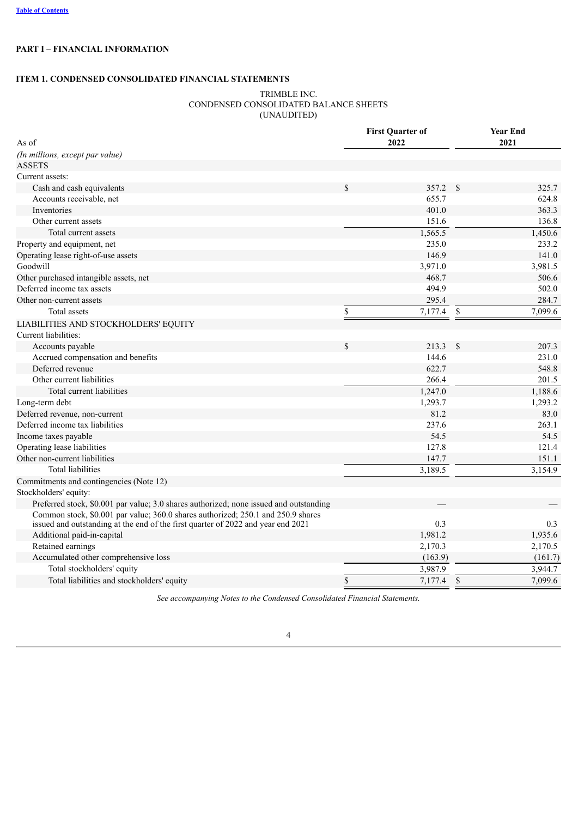# <span id="page-3-0"></span>**PART I – FINANCIAL INFORMATION**

#### <span id="page-3-1"></span>**ITEM 1. CONDENSED CONSOLIDATED FINANCIAL STATEMENTS**

# TRIMBLE INC. CONDENSED CONSOLIDATED BALANCE SHEETS (UNAUDITED)

| As of                                                                                                                                                                |              | <b>First Ouarter of</b><br>2022 |               | <b>Year End</b><br>2021 |  |  |  |
|----------------------------------------------------------------------------------------------------------------------------------------------------------------------|--------------|---------------------------------|---------------|-------------------------|--|--|--|
| (In millions, except par value)                                                                                                                                      |              |                                 |               |                         |  |  |  |
| <b>ASSETS</b>                                                                                                                                                        |              |                                 |               |                         |  |  |  |
| Current assets:                                                                                                                                                      |              |                                 |               |                         |  |  |  |
| Cash and cash equivalents                                                                                                                                            | \$           | 357.2                           | -\$           | 325.7                   |  |  |  |
| Accounts receivable, net                                                                                                                                             |              | 655.7                           |               | 624.8                   |  |  |  |
| Inventories                                                                                                                                                          |              | 401.0                           |               | 363.3                   |  |  |  |
| Other current assets                                                                                                                                                 |              | 151.6                           |               | 136.8                   |  |  |  |
| Total current assets                                                                                                                                                 |              | 1,565.5                         |               | 1,450.6                 |  |  |  |
| Property and equipment, net                                                                                                                                          |              | 235.0                           |               | 233.2                   |  |  |  |
| Operating lease right-of-use assets                                                                                                                                  |              | 146.9                           |               | 141.0                   |  |  |  |
| Goodwill                                                                                                                                                             |              | 3,971.0                         |               | 3,981.5                 |  |  |  |
| Other purchased intangible assets, net                                                                                                                               |              | 468.7                           |               | 506.6                   |  |  |  |
| Deferred income tax assets                                                                                                                                           |              | 494.9                           |               | 502.0                   |  |  |  |
| Other non-current assets                                                                                                                                             |              | 295.4                           |               | 284.7                   |  |  |  |
| <b>Total assets</b>                                                                                                                                                  | \$           | 7,177.4                         | $\$$          | 7,099.6                 |  |  |  |
| LIABILITIES AND STOCKHOLDERS' EQUITY                                                                                                                                 |              |                                 |               |                         |  |  |  |
| Current liabilities:                                                                                                                                                 |              |                                 |               |                         |  |  |  |
| Accounts payable                                                                                                                                                     | \$           | 213.3                           | -\$           | 207.3                   |  |  |  |
| Accrued compensation and benefits                                                                                                                                    |              | 144.6                           |               | 231.0                   |  |  |  |
| Deferred revenue                                                                                                                                                     |              | 622.7                           |               | 548.8                   |  |  |  |
| Other current liabilities                                                                                                                                            |              | 266.4                           |               | 201.5                   |  |  |  |
| Total current liabilities                                                                                                                                            |              | 1,247.0                         |               | 1,188.6                 |  |  |  |
| Long-term debt                                                                                                                                                       |              | 1,293.7                         |               | 1,293.2                 |  |  |  |
| Deferred revenue, non-current                                                                                                                                        |              | 81.2                            |               | 83.0                    |  |  |  |
| Deferred income tax liabilities                                                                                                                                      |              | 237.6                           |               | 263.1                   |  |  |  |
| Income taxes payable                                                                                                                                                 |              | 54.5                            |               | 54.5                    |  |  |  |
| Operating lease liabilities                                                                                                                                          |              | 127.8                           |               | 121.4                   |  |  |  |
| Other non-current liabilities                                                                                                                                        |              | 147.7                           |               | 151.1                   |  |  |  |
| <b>Total liabilities</b>                                                                                                                                             |              | 3,189.5                         |               | 3,154.9                 |  |  |  |
| Commitments and contingencies (Note 12)                                                                                                                              |              |                                 |               |                         |  |  |  |
| Stockholders' equity:                                                                                                                                                |              |                                 |               |                         |  |  |  |
| Preferred stock, \$0.001 par value; 3.0 shares authorized; none issued and outstanding                                                                               |              |                                 |               |                         |  |  |  |
| Common stock, \$0.001 par value; 360.0 shares authorized; 250.1 and 250.9 shares<br>issued and outstanding at the end of the first quarter of 2022 and year end 2021 |              | 0.3                             |               | 0.3                     |  |  |  |
| Additional paid-in-capital                                                                                                                                           |              | 1,981.2                         |               | 1,935.6                 |  |  |  |
| Retained earnings                                                                                                                                                    |              | 2,170.3                         |               | 2,170.5                 |  |  |  |
| Accumulated other comprehensive loss                                                                                                                                 |              | (163.9)                         |               | (161.7)                 |  |  |  |
| Total stockholders' equity                                                                                                                                           |              | 3,987.9                         |               | 3,944.7                 |  |  |  |
| Total liabilities and stockholders' equity                                                                                                                           | $\mathbb{S}$ | 7,177.4                         | $\mathcal{S}$ | 7,099.6                 |  |  |  |

<span id="page-3-2"></span>*See accompanying Notes to the Condensed Consolidated Financial Statements.*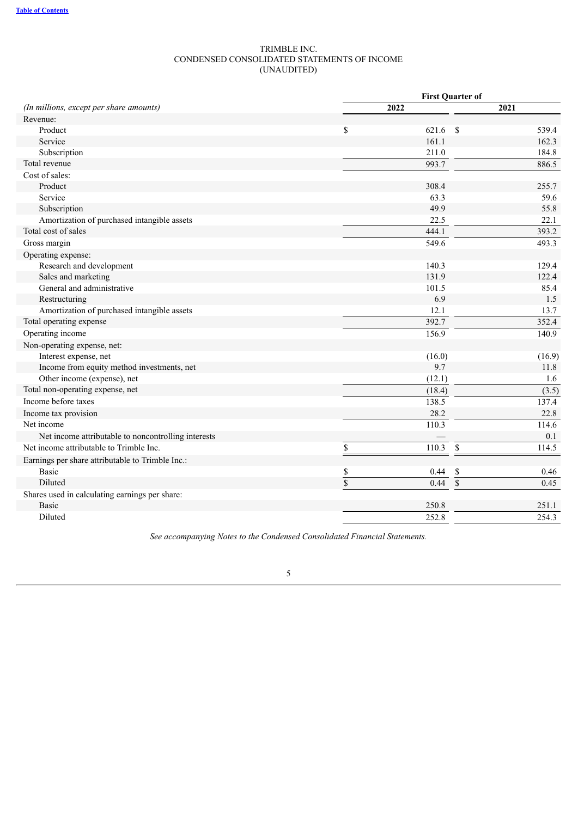# TRIMBLE INC. CONDENSED CONSOLIDATED STATEMENTS OF INCOME (UNAUDITED)

|                                                     | <b>First Quarter of</b> |        |             |        |  |  |  |  |  |  |
|-----------------------------------------------------|-------------------------|--------|-------------|--------|--|--|--|--|--|--|
| (In millions, except per share amounts)             |                         | 2022   |             | 2021   |  |  |  |  |  |  |
| Revenue:                                            |                         |        |             |        |  |  |  |  |  |  |
| Product                                             | \$                      | 621.6  | \$          | 539.4  |  |  |  |  |  |  |
| Service                                             |                         | 161.1  |             | 162.3  |  |  |  |  |  |  |
| Subscription                                        |                         | 211.0  |             | 184.8  |  |  |  |  |  |  |
| Total revenue                                       |                         | 993.7  |             | 886.5  |  |  |  |  |  |  |
| Cost of sales:                                      |                         |        |             |        |  |  |  |  |  |  |
| Product                                             |                         | 308.4  |             | 255.7  |  |  |  |  |  |  |
| Service                                             |                         | 63.3   |             | 59.6   |  |  |  |  |  |  |
| Subscription                                        |                         | 49.9   |             | 55.8   |  |  |  |  |  |  |
| Amortization of purchased intangible assets         |                         | 22.5   |             | 22.1   |  |  |  |  |  |  |
| Total cost of sales                                 |                         | 444.1  |             | 393.2  |  |  |  |  |  |  |
| Gross margin                                        |                         | 549.6  |             | 493.3  |  |  |  |  |  |  |
| Operating expense:                                  |                         |        |             |        |  |  |  |  |  |  |
| Research and development                            |                         | 140.3  |             | 129.4  |  |  |  |  |  |  |
| Sales and marketing                                 |                         | 131.9  |             | 122.4  |  |  |  |  |  |  |
| General and administrative                          |                         | 101.5  |             | 85.4   |  |  |  |  |  |  |
| Restructuring                                       |                         | 6.9    |             | 1.5    |  |  |  |  |  |  |
| Amortization of purchased intangible assets         |                         | 12.1   |             | 13.7   |  |  |  |  |  |  |
| Total operating expense                             |                         | 392.7  |             | 352.4  |  |  |  |  |  |  |
| Operating income                                    |                         | 156.9  |             | 140.9  |  |  |  |  |  |  |
| Non-operating expense, net:                         |                         |        |             |        |  |  |  |  |  |  |
| Interest expense, net                               |                         | (16.0) |             | (16.9) |  |  |  |  |  |  |
| Income from equity method investments, net          |                         | 9.7    |             | 11.8   |  |  |  |  |  |  |
| Other income (expense), net                         |                         | (12.1) |             | 1.6    |  |  |  |  |  |  |
| Total non-operating expense, net                    |                         | (18.4) |             | (3.5)  |  |  |  |  |  |  |
| Income before taxes                                 |                         | 138.5  |             | 137.4  |  |  |  |  |  |  |
| Income tax provision                                |                         | 28.2   |             | 22.8   |  |  |  |  |  |  |
| Net income                                          |                         | 110.3  |             | 114.6  |  |  |  |  |  |  |
| Net income attributable to noncontrolling interests |                         |        |             | 0.1    |  |  |  |  |  |  |
| Net income attributable to Trimble Inc.             | \$                      | 110.3  | $\mathbb S$ | 114.5  |  |  |  |  |  |  |
| Earnings per share attributable to Trimble Inc.:    |                         |        |             |        |  |  |  |  |  |  |
| Basic                                               | \$                      | 0.44   | \$          | 0.46   |  |  |  |  |  |  |
| <b>Diluted</b>                                      | $\overline{\mathbf{S}}$ | 0.44   | \$          | 0.45   |  |  |  |  |  |  |
| Shares used in calculating earnings per share:      |                         |        |             |        |  |  |  |  |  |  |
| <b>Basic</b>                                        |                         | 250.8  |             | 251.1  |  |  |  |  |  |  |
| Diluted                                             |                         | 252.8  |             | 254.3  |  |  |  |  |  |  |
|                                                     |                         |        |             |        |  |  |  |  |  |  |

<span id="page-4-0"></span>*See accompanying Notes to the Condensed Consolidated Financial Statements.*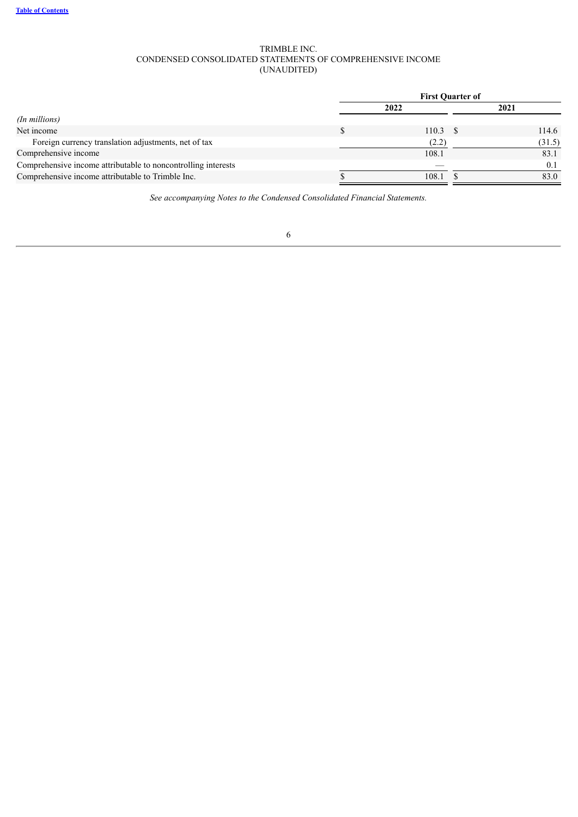# TRIMBLE INC. CONDENSED CONSOLIDATED STATEMENTS OF COMPREHENSIVE INCOME (UNAUDITED)

|                                                               | <b>First Quarter of</b> |            |      |        |  |  |  |  |  |  |
|---------------------------------------------------------------|-------------------------|------------|------|--------|--|--|--|--|--|--|
|                                                               | 2022                    |            | 2021 |        |  |  |  |  |  |  |
| (In millions)                                                 |                         |            |      |        |  |  |  |  |  |  |
| Net income                                                    |                         | $110.3$ \$ |      | 114.6  |  |  |  |  |  |  |
| Foreign currency translation adjustments, net of tax          |                         | (2.2)      |      | (31.5) |  |  |  |  |  |  |
| Comprehensive income                                          |                         | 108.1      |      | 83.1   |  |  |  |  |  |  |
| Comprehensive income attributable to noncontrolling interests |                         |            |      | 0.1    |  |  |  |  |  |  |
| Comprehensive income attributable to Trimble Inc.             |                         | 108.1      |      | 83.0   |  |  |  |  |  |  |

<span id="page-5-0"></span>*See accompanying Notes to the Condensed Consolidated Financial Statements.*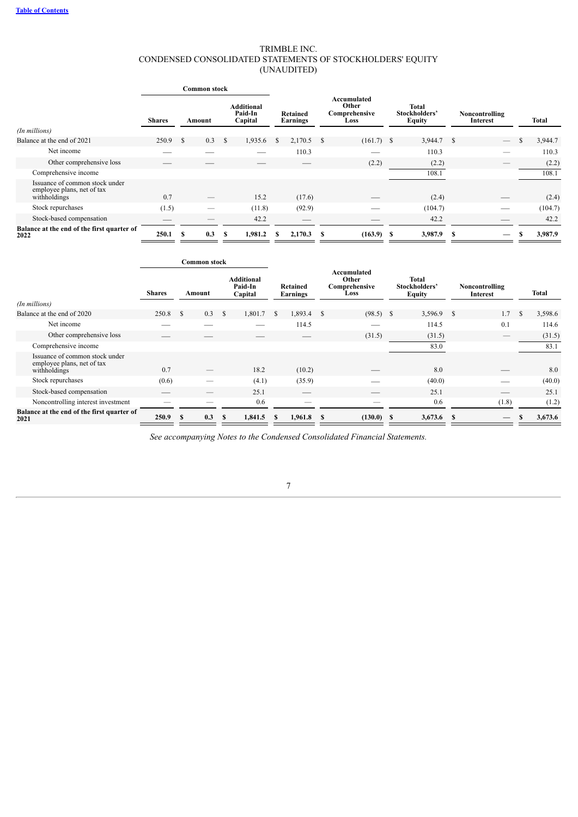# TRIMBLE INC. CONDENSED CONSOLIDATED STATEMENTS OF STOCKHOLDERS' EQUITY (UNAUDITED)

|                                                                              |               | <b>Common stock</b> |     |                                         |         |                      |              |   |                                               |  |                                                |    |                            |   |              |
|------------------------------------------------------------------------------|---------------|---------------------|-----|-----------------------------------------|---------|----------------------|--------------|---|-----------------------------------------------|--|------------------------------------------------|----|----------------------------|---|--------------|
|                                                                              | <b>Shares</b> | Amount              |     | <b>Additional</b><br>Paid-In<br>Capital |         | Retained<br>Earnings |              |   | Accumulated<br>Other<br>Comprehensive<br>Loss |  | <b>Total</b><br>Stockholders'<br><b>Equity</b> |    | Noncontrolling<br>Interest |   | <b>Total</b> |
| (In millions)                                                                |               |                     |     |                                         |         |                      |              |   |                                               |  |                                                |    |                            |   |              |
| Balance at the end of 2021                                                   | 250.9         | \$.                 | 0.3 | $\mathbf{s}$                            | 1,935.6 | S                    | $2,170.5$ \$ |   | $(161.7)$ \$                                  |  | $3,944.7$ \$                                   |    | $\overline{\phantom{m}}$   | S | 3,944.7      |
| Net income                                                                   |               |                     |     |                                         |         |                      | 110.3        |   |                                               |  | 110.3                                          |    |                            |   | 110.3        |
| Other comprehensive loss                                                     |               |                     |     |                                         |         |                      |              |   | (2.2)                                         |  | (2.2)                                          |    |                            |   | (2.2)        |
| Comprehensive income                                                         |               |                     |     |                                         |         |                      |              |   |                                               |  | 108.1                                          |    |                            |   | 108.1        |
| Issuance of common stock under<br>employee plans, net of tax<br>withholdings | 0.7           |                     |     |                                         | 15.2    |                      | (17.6)       |   |                                               |  | (2.4)                                          |    |                            |   | (2.4)        |
| Stock repurchases                                                            | (1.5)         |                     |     |                                         | (11.8)  |                      | (92.9)       |   |                                               |  | (104.7)                                        |    |                            |   | (104.7)      |
| Stock-based compensation                                                     |               |                     |     |                                         | 42.2    |                      |              |   |                                               |  | 42.2                                           |    |                            |   | 42.2         |
| Balance at the end of the first quarter of<br>2022                           | 250.1         | ъ                   | 0.3 |                                         | 1,981.2 |                      | 2,170.3      | S | $(163.9)$ \$                                  |  | 3,987.9                                        | -S |                            |   | 3,987.9      |

|      |                                                                              | <b>Common stock</b>     |    |     |                                         |                                    |              |                                               |              |                                         |              |                            |       |              |         |
|------|------------------------------------------------------------------------------|-------------------------|----|-----|-----------------------------------------|------------------------------------|--------------|-----------------------------------------------|--------------|-----------------------------------------|--------------|----------------------------|-------|--------------|---------|
|      |                                                                              | <b>Shares</b><br>Amount |    |     | <b>Additional</b><br>Paid-In<br>Capital | <b>Retained</b><br><b>Earnings</b> |              | Accumulated<br>Other<br>Comprehensive<br>Loss |              | Total<br>Stockholders'<br><b>Equity</b> |              | Noncontrolling<br>Interest |       | <b>Total</b> |         |
|      | (In millions)                                                                |                         |    |     |                                         |                                    |              |                                               |              |                                         |              |                            |       |              |         |
|      | Balance at the end of 2020                                                   | 250.8                   | S  | 0.3 | -S                                      | 1,801.7                            | $\mathbf{s}$ | 1,893.4 \$                                    | $(98.5)$ \$  |                                         | 3,596.9      | <sup>\$</sup>              | 1.7   | S            | 3,598.6 |
|      | Net income                                                                   |                         |    |     |                                         |                                    |              | 114.5                                         |              |                                         | 114.5        |                            | 0.1   |              | 114.6   |
|      | Other comprehensive loss                                                     |                         |    |     |                                         |                                    |              |                                               | (31.5)       |                                         | (31.5)       |                            |       |              | (31.5)  |
|      | Comprehensive income                                                         |                         |    |     |                                         |                                    |              |                                               |              |                                         | 83.0         |                            |       |              | 83.1    |
|      | Issuance of common stock under<br>employee plans, net of tax<br>withholdings | 0.7                     |    |     |                                         | 18.2                               |              | (10.2)                                        |              |                                         | 8.0          |                            |       |              | 8.0     |
|      | Stock repurchases                                                            | (0.6)                   |    |     |                                         | (4.1)                              |              | (35.9)                                        |              |                                         | (40.0)       |                            |       |              | (40.0)  |
|      | Stock-based compensation                                                     |                         |    |     |                                         | 25.1                               |              |                                               |              |                                         | 25.1         |                            |       |              | 25.1    |
|      | Noncontrolling interest investment                                           |                         |    |     |                                         | 0.6                                |              |                                               |              |                                         | 0.6          |                            | (1.8) |              | (1.2)   |
| 2021 | Balance at the end of the first quarter of                                   | 250.9                   | -8 | 0.3 | -S                                      | 1,841.5                            | - 8          | $1,961.8$ \$                                  | $(130.0)$ \$ |                                         | $3,673.6$ \$ |                            |       |              | 3,673.6 |

<span id="page-6-0"></span>*See accompanying Notes to the Condensed Consolidated Financial Statements.*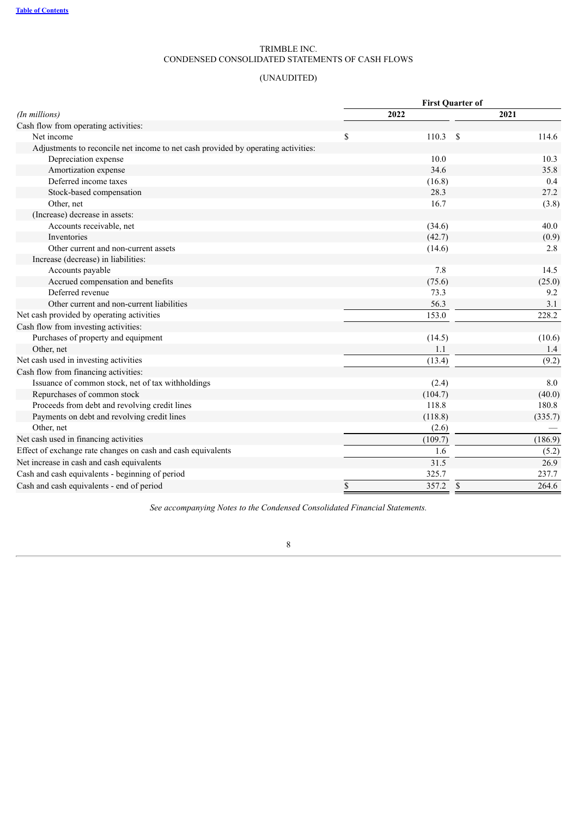# TRIMBLE INC. CONDENSED CONSOLIDATED STATEMENTS OF CASH FLOWS

# (UNAUDITED)

|                                                                                   | <b>First Quarter of</b> |         |               |         |  |  |  |  |  |
|-----------------------------------------------------------------------------------|-------------------------|---------|---------------|---------|--|--|--|--|--|
| (In millions)                                                                     |                         | 2022    |               | 2021    |  |  |  |  |  |
| Cash flow from operating activities:                                              |                         |         |               |         |  |  |  |  |  |
| Net income                                                                        | \$                      | 110.3   | <sup>\$</sup> | 114.6   |  |  |  |  |  |
| Adjustments to reconcile net income to net cash provided by operating activities: |                         |         |               |         |  |  |  |  |  |
| Depreciation expense                                                              |                         | 10.0    |               | 10.3    |  |  |  |  |  |
| Amortization expense                                                              |                         | 34.6    |               | 35.8    |  |  |  |  |  |
| Deferred income taxes                                                             |                         | (16.8)  |               | 0.4     |  |  |  |  |  |
| Stock-based compensation                                                          |                         | 28.3    |               | 27.2    |  |  |  |  |  |
| Other, net                                                                        |                         | 16.7    |               | (3.8)   |  |  |  |  |  |
| (Increase) decrease in assets:                                                    |                         |         |               |         |  |  |  |  |  |
| Accounts receivable, net                                                          |                         | (34.6)  |               | 40.0    |  |  |  |  |  |
| Inventories                                                                       |                         | (42.7)  |               | (0.9)   |  |  |  |  |  |
| Other current and non-current assets                                              |                         | (14.6)  |               | 2.8     |  |  |  |  |  |
| Increase (decrease) in liabilities:                                               |                         |         |               |         |  |  |  |  |  |
| Accounts payable                                                                  |                         | 7.8     |               | 14.5    |  |  |  |  |  |
| Accrued compensation and benefits                                                 |                         | (75.6)  |               | (25.0)  |  |  |  |  |  |
| Deferred revenue                                                                  |                         | 73.3    |               | 9.2     |  |  |  |  |  |
| Other current and non-current liabilities                                         |                         | 56.3    |               | 3.1     |  |  |  |  |  |
| Net cash provided by operating activities                                         |                         | 153.0   |               | 228.2   |  |  |  |  |  |
| Cash flow from investing activities:                                              |                         |         |               |         |  |  |  |  |  |
| Purchases of property and equipment                                               |                         | (14.5)  |               | (10.6)  |  |  |  |  |  |
| Other, net                                                                        |                         | 1.1     |               | 1.4     |  |  |  |  |  |
| Net cash used in investing activities                                             |                         | (13.4)  |               | (9.2)   |  |  |  |  |  |
| Cash flow from financing activities:                                              |                         |         |               |         |  |  |  |  |  |
| Issuance of common stock, net of tax withholdings                                 |                         | (2.4)   |               | 8.0     |  |  |  |  |  |
| Repurchases of common stock                                                       |                         | (104.7) |               | (40.0)  |  |  |  |  |  |
| Proceeds from debt and revolving credit lines                                     |                         | 118.8   |               | 180.8   |  |  |  |  |  |
| Payments on debt and revolving credit lines                                       |                         | (118.8) |               | (335.7) |  |  |  |  |  |
| Other, net                                                                        |                         | (2.6)   |               |         |  |  |  |  |  |
| Net cash used in financing activities                                             |                         | (109.7) |               | (186.9) |  |  |  |  |  |
| Effect of exchange rate changes on cash and cash equivalents                      |                         | 1.6     |               | (5.2)   |  |  |  |  |  |
| Net increase in cash and cash equivalents                                         |                         | 31.5    |               | 26.9    |  |  |  |  |  |
| Cash and cash equivalents - beginning of period                                   |                         | 325.7   |               | 237.7   |  |  |  |  |  |
| Cash and cash equivalents - end of period                                         | $\mathbb{S}$            | 357.2   | $\mathcal{S}$ | 264.6   |  |  |  |  |  |

<span id="page-7-0"></span>*See accompanying Notes to the Condensed Consolidated Financial Statements.*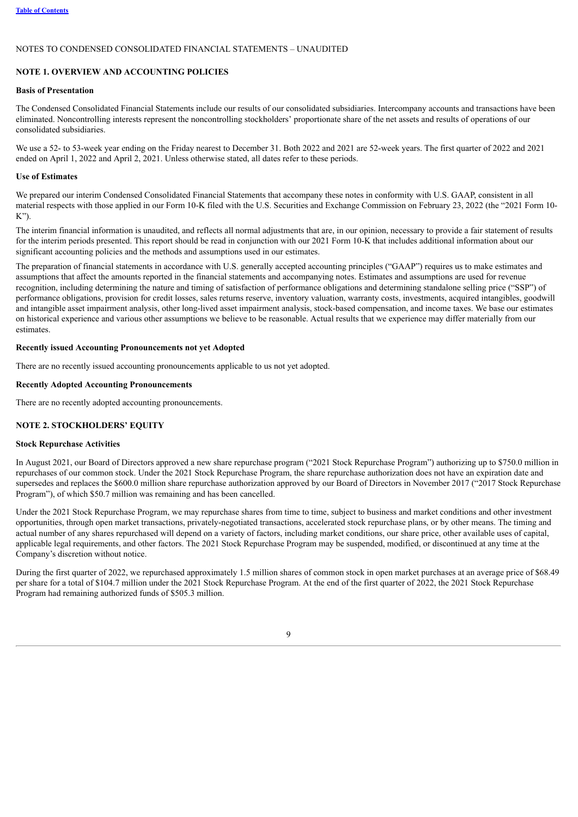#### NOTES TO CONDENSED CONSOLIDATED FINANCIAL STATEMENTS – UNAUDITED

# **NOTE 1. OVERVIEW AND ACCOUNTING POLICIES**

#### **Basis of Presentation**

The Condensed Consolidated Financial Statements include our results of our consolidated subsidiaries. Intercompany accounts and transactions have been eliminated. Noncontrolling interests represent the noncontrolling stockholders' proportionate share of the net assets and results of operations of our consolidated subsidiaries.

We use a 52- to 53-week year ending on the Friday nearest to December 31. Both 2022 and 2021 are 52-week years. The first quarter of 2022 and 2021 ended on April 1, 2022 and April 2, 2021. Unless otherwise stated, all dates refer to these periods.

#### **Use of Estimates**

We prepared our interim Condensed Consolidated Financial Statements that accompany these notes in conformity with U.S. GAAP, consistent in all material respects with those applied in our Form 10-K filed with the U.S. Securities and Exchange Commission on February 23, 2022 (the "2021 Form 10-  $K^{\prime\prime}$ 

The interim financial information is unaudited, and reflects all normal adjustments that are, in our opinion, necessary to provide a fair statement of results for the interim periods presented. This report should be read in conjunction with our 2021 Form 10-K that includes additional information about our significant accounting policies and the methods and assumptions used in our estimates.

The preparation of financial statements in accordance with U.S. generally accepted accounting principles ("GAAP") requires us to make estimates and assumptions that affect the amounts reported in the financial statements and accompanying notes. Estimates and assumptions are used for revenue recognition, including determining the nature and timing of satisfaction of performance obligations and determining standalone selling price ("SSP") of performance obligations, provision for credit losses, sales returns reserve, inventory valuation, warranty costs, investments, acquired intangibles, goodwill and intangible asset impairment analysis, other long-lived asset impairment analysis, stock-based compensation, and income taxes. We base our estimates on historical experience and various other assumptions we believe to be reasonable. Actual results that we experience may differ materially from our estimates.

#### **Recently issued Accounting Pronouncements not yet Adopted**

There are no recently issued accounting pronouncements applicable to us not yet adopted.

#### **Recently Adopted Accounting Pronouncements**

There are no recently adopted accounting pronouncements.

#### **NOTE 2. STOCKHOLDERS' EQUITY**

#### **Stock Repurchase Activities**

In August 2021, our Board of Directors approved a new share repurchase program ("2021 Stock Repurchase Program") authorizing up to \$750.0 million in repurchases of our common stock. Under the 2021 Stock Repurchase Program, the share repurchase authorization does not have an expiration date and supersedes and replaces the \$600.0 million share repurchase authorization approved by our Board of Directors in November 2017 ("2017 Stock Repurchase Program"), of which \$50.7 million was remaining and has been cancelled.

Under the 2021 Stock Repurchase Program, we may repurchase shares from time to time, subject to business and market conditions and other investment opportunities, through open market transactions, privately-negotiated transactions, accelerated stock repurchase plans, or by other means. The timing and actual number of any shares repurchased will depend on a variety of factors, including market conditions, our share price, other available uses of capital, applicable legal requirements, and other factors. The 2021 Stock Repurchase Program may be suspended, modified, or discontinued at any time at the Company's discretion without notice.

During the first quarter of 2022, we repurchased approximately 1.5 million shares of common stock in open market purchases at an average price of \$68.49 per share for a total of \$104.7 million under the 2021 Stock Repurchase Program. At the end of the first quarter of 2022, the 2021 Stock Repurchase Program had remaining authorized funds of \$505.3 million.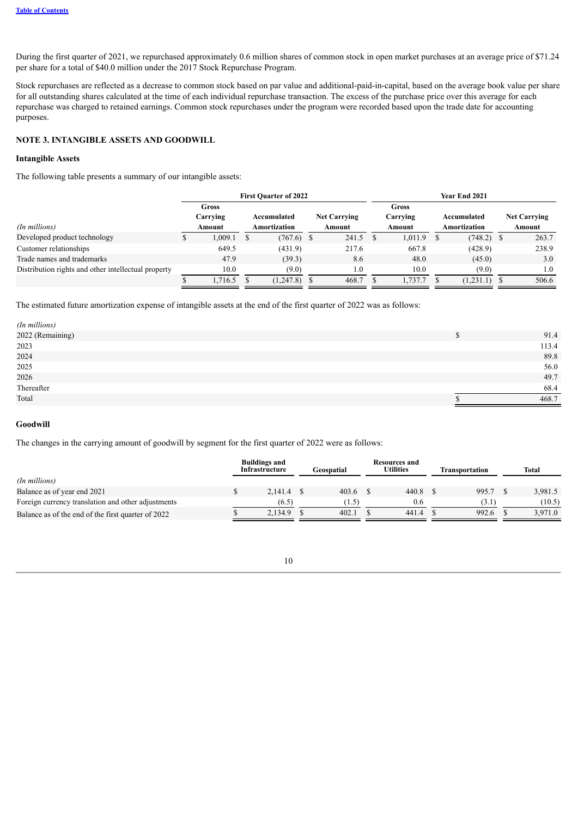During the first quarter of 2021, we repurchased approximately 0.6 million shares of common stock in open market purchases at an average price of \$71.24 per share for a total of \$40.0 million under the 2017 Stock Repurchase Program.

Stock repurchases are reflected as a decrease to common stock based on par value and additional-paid-in-capital, based on the average book value per share for all outstanding shares calculated at the time of each individual repurchase transaction. The excess of the purchase price over this average for each repurchase was charged to retained earnings. Common stock repurchases under the program were recorded based upon the trade date for accounting purposes.

## **NOTE 3. INTANGIBLE ASSETS AND GOODWILL**

#### **Intangible Assets**

The following table presents a summary of our intangible assets:

|                                                     |          | <b>First Ouarter of 2022</b> |              |        |                     |  |          |                             | Year End 2021 |  |                     |
|-----------------------------------------------------|----------|------------------------------|--------------|--------|---------------------|--|----------|-----------------------------|---------------|--|---------------------|
|                                                     | Gross    |                              |              |        |                     |  | Gross    |                             |               |  |                     |
|                                                     | Carrying |                              | Accumulated  |        | <b>Net Carrying</b> |  | Carrying | Accumulated<br>Amortization |               |  | <b>Net Carrying</b> |
| (In millions)                                       | Amount   |                              | Amortization | Amount |                     |  | Amount   |                             |               |  | Amount              |
| Developed product technology                        | 1.009.1  |                              | $(767.6)$ \$ |        | 241.5               |  | 1.011.9  |                             | (748.2)       |  | 263.7               |
| Customer relationships                              | 649.5    |                              | (431.9)      |        | 217.6               |  | 667.8    |                             | (428.9)       |  | 238.9               |
| Trade names and trademarks                          | 47.9     |                              | (39.3)       |        | 8.6                 |  | 48.0     |                             | (45.0)        |  | 3.0                 |
| Distribution rights and other intellectual property | 10.0     |                              | (9.0)        |        | 1.0                 |  | 10.0     |                             | (9.0)         |  | 1.0                 |
|                                                     | .716.5   |                              | (1,247.8)    |        | 468.7               |  | 1.737.7  |                             | (1,231.1)     |  | 506.6               |

The estimated future amortization expense of intangible assets at the end of the first quarter of 2022 was as follows:

| (In millions)    |       |
|------------------|-------|
| 2022 (Remaining) | 91.4  |
| 2023             | 113.4 |
| 2024             | 89.8  |
| 2025             | 56.0  |
| 2026             | 49.7  |
| Thereafter       | 68.4  |
| Total            | 468.7 |

# **Goodwill**

The changes in the carrying amount of goodwill by segment for the first quarter of 2022 were as follows:

|                                                    | <b>Buildings and</b><br>Infrastructure |         |  | Geospatial | Resources and<br>Utilities |       |  | Transportation | Total   |
|----------------------------------------------------|----------------------------------------|---------|--|------------|----------------------------|-------|--|----------------|---------|
| (In millions)                                      |                                        |         |  |            |                            |       |  |                |         |
| Balance as of year end 2021                        |                                        | 2,141.4 |  | 403.6      |                            | 440.8 |  | 995.7          | 3,981.5 |
| Foreign currency translation and other adjustments |                                        | (6.5)   |  | (1.5)      |                            | 0.6   |  | (3.1)          | (10.5)  |
| Balance as of the end of the first quarter of 2022 |                                        | 2,134.9 |  | 402.1      |                            | 441.4 |  | 992.6          | 3.971.0 |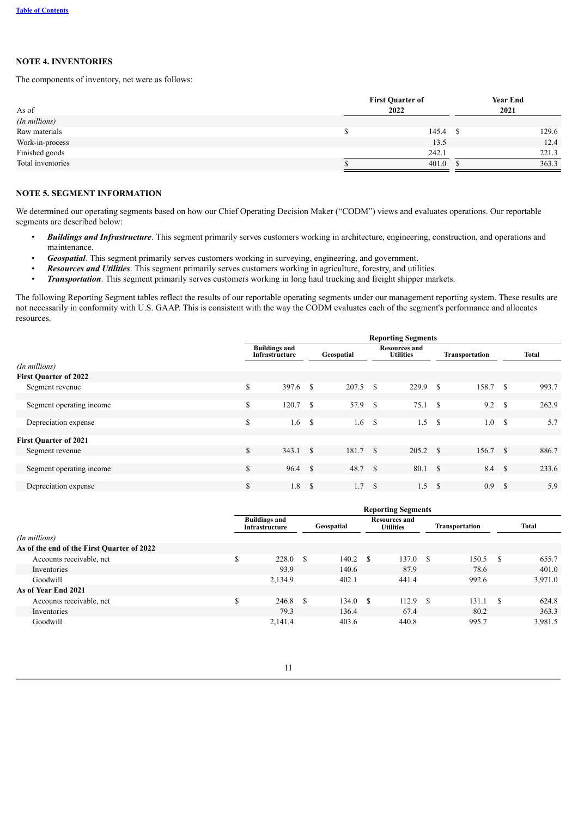# **NOTE 4. INVENTORIES**

The components of inventory, net were as follows:

| <b>First Quarter of</b><br>2022 |       |  | <b>Year End</b><br>2021 |  |  |
|---------------------------------|-------|--|-------------------------|--|--|
|                                 |       |  |                         |  |  |
|                                 |       |  | 129.6                   |  |  |
|                                 | 13.5  |  | 12.4                    |  |  |
|                                 | 242.1 |  | 221.3                   |  |  |
|                                 | 401.0 |  | 363.3                   |  |  |
|                                 |       |  | $145.4$ \$              |  |  |

#### **NOTE 5. SEGMENT INFORMATION**

We determined our operating segments based on how our Chief Operating Decision Maker ("CODM") views and evaluates operations. Our reportable segments are described below:

- *Buildings and Infrastructure*. This segment primarily serves customers working in architecture, engineering, construction, and operations and maintenance.
- *Geospatial*. This segment primarily serves customers working in surveying, engineering, and government.
- *Resources and Utilities*. This segment primarily serves customers working in agriculture, forestry, and utilities.
- *Transportation*. This segment primarily serves customers working in long haul trucking and freight shipper markets.

The following Reporting Segment tables reflect the results of our reportable operating segments under our management reporting system. These results are not necessarily in conformity with U.S. GAAP. This is consistent with the way the CODM evaluates each of the segment's performance and allocates resources.

|                              | <b>Reporting Segments</b>              |       |               |            |               |                                          |              |                |               |              |
|------------------------------|----------------------------------------|-------|---------------|------------|---------------|------------------------------------------|--------------|----------------|---------------|--------------|
|                              | <b>Buildings and</b><br>Infrastructure |       |               | Geospatial |               | <b>Resources and</b><br><b>Utilities</b> |              | Transportation |               | <b>Total</b> |
| (In millions)                |                                        |       |               |            |               |                                          |              |                |               |              |
| <b>First Ouarter of 2022</b> |                                        |       |               |            |               |                                          |              |                |               |              |
| Segment revenue              | $\triangle$<br>ъ                       | 397.6 | -S            | 207.5      | <sup>\$</sup> | 229.9                                    | S            | 158.7          | S             | 993.7        |
| Segment operating income     | \$                                     | 120.7 | -S            | 57.9       | <b>S</b>      | 75.1                                     | - \$         | 9.2            | <b>S</b>      | 262.9        |
| Depreciation expense         | \$                                     | 1.6   | <b>S</b>      | 1.6        | <sup>\$</sup> | 1.5                                      | -S           | 1.0            | -S            | 5.7          |
| <b>First Quarter of 2021</b> |                                        |       |               |            |               |                                          |              |                |               |              |
| Segment revenue              | \$                                     | 343.1 | <sup>S</sup>  | 181.7 S    |               | 205.2 S                                  |              | 156.7 \$       |               | 886.7        |
| Segment operating income     | \$                                     | 96.4  | -S            | 48.7 \$    |               | 80.1                                     | <sup>S</sup> | 8.4 \$         |               | 233.6        |
| Depreciation expense         | \$                                     | 1.8   | <sup>\$</sup> | 1.7        | <sup>\$</sup> | 1.5                                      | $\mathbf s$  | 0.9            | <sup>\$</sup> | 5.9          |

|                                            | <b>Reporting Segments</b>              |          |  |            |      |                                          |      |                       |          |              |  |
|--------------------------------------------|----------------------------------------|----------|--|------------|------|------------------------------------------|------|-----------------------|----------|--------------|--|
|                                            | <b>Buildings and</b><br>Infrastructure |          |  | Geospatial |      | <b>Resources and</b><br><b>Utilities</b> |      | <b>Transportation</b> |          | <b>Total</b> |  |
| (In millions)                              |                                        |          |  |            |      |                                          |      |                       |          |              |  |
| As of the end of the First Quarter of 2022 |                                        |          |  |            |      |                                          |      |                       |          |              |  |
| Accounts receivable, net                   | $\triangle$                            | 228.0    |  | 140.2      | -S   | 137.0                                    |      | 150.5                 | <b>S</b> | 655.7        |  |
| Inventories                                |                                        | 93.9     |  | 140.6      |      | 87.9                                     |      | 78.6                  |          | 401.0        |  |
| Goodwill                                   |                                        | 2,134.9  |  | 402.1      |      | 441.4                                    |      | 992.6                 |          | 3,971.0      |  |
| As of Year End 2021                        |                                        |          |  |            |      |                                          |      |                       |          |              |  |
| Accounts receivable, net                   | S                                      | 246.8 \$ |  | 134.0      | - \$ | 112.9                                    | - \$ | 131.1                 | -S       | 624.8        |  |
| Inventories                                |                                        | 79.3     |  | 136.4      |      | 67.4                                     |      | 80.2                  |          | 363.3        |  |
| Goodwill                                   |                                        | 2,141.4  |  | 403.6      |      | 440.8                                    |      | 995.7                 |          | 3,981.5      |  |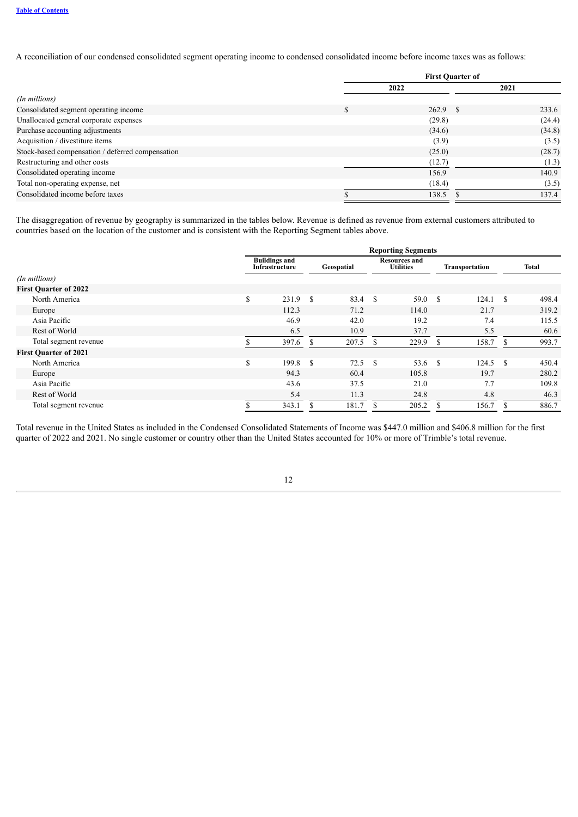A reconciliation of our condensed consolidated segment operating income to condensed consolidated income before income taxes was as follows:

|                                                  | <b>First Quarter of</b> |        |
|--------------------------------------------------|-------------------------|--------|
|                                                  | 2022                    | 2021   |
| (In millions)                                    |                         |        |
| Consolidated segment operating income            | $262.9$ \$              | 233.6  |
| Unallocated general corporate expenses           | (29.8)                  | (24.4) |
| Purchase accounting adjustments                  | (34.6)                  | (34.8) |
| Acquisition / divestiture items                  | (3.9)                   | (3.5)  |
| Stock-based compensation / deferred compensation | (25.0)                  | (28.7) |
| Restructuring and other costs                    | (12.7)                  | (1.3)  |
| Consolidated operating income                    | 156.9                   | 140.9  |
| Total non-operating expense, net                 | (18.4)                  | (3.5)  |
| Consolidated income before taxes                 | 138.5                   | 137.4  |
|                                                  |                         |        |

The disaggregation of revenue by geography is summarized in the tables below. Revenue is defined as revenue from external customers attributed to countries based on the location of the customer and is consistent with the Reporting Segment tables above.

|                              | <b>Reporting Segments</b>              |      |            |               |                                          |               |                |               |              |
|------------------------------|----------------------------------------|------|------------|---------------|------------------------------------------|---------------|----------------|---------------|--------------|
|                              | <b>Buildings and</b><br>Infrastructure |      | Geospatial |               | <b>Resources and</b><br><b>Utilities</b> |               | Transportation |               | <b>Total</b> |
| (In millions)                |                                        |      |            |               |                                          |               |                |               |              |
| <b>First Quarter of 2022</b> |                                        |      |            |               |                                          |               |                |               |              |
| North America                | \$<br>231.9                            | - \$ | 83.4       | <sup>\$</sup> | 59.0 S                                   |               | 124.1          | <sup>\$</sup> | 498.4        |
| Europe                       | 112.3                                  |      | 71.2       |               | 114.0                                    |               | 21.7           |               | 319.2        |
| Asia Pacific                 | 46.9                                   |      | 42.0       |               | 19.2                                     |               | 7.4            |               | 115.5        |
| Rest of World                | 6.5                                    |      | 10.9       |               | 37.7                                     |               | 5.5            |               | 60.6         |
| Total segment revenue        | 397.6                                  |      | 207.5      | S             | 229.9                                    | $\mathcal{S}$ | 158.7          | \$.           | 993.7        |
| <b>First Quarter of 2021</b> |                                        |      |            |               |                                          |               |                |               |              |
| North America                | \$<br>199.8                            | - \$ | 72.5       | -S            | 53.6 \$                                  |               | 124.5          | <sup>\$</sup> | 450.4        |
| Europe                       | 94.3                                   |      | 60.4       |               | 105.8                                    |               | 19.7           |               | 280.2        |
| Asia Pacific                 | 43.6                                   |      | 37.5       |               | 21.0                                     |               | 7.7            |               | 109.8        |
| Rest of World                | 5.4                                    |      | 11.3       |               | 24.8                                     |               | 4.8            |               | 46.3         |
| Total segment revenue        | 343.1                                  |      | 181.7      | S             | 205.2                                    | S             | 156.7          | S             | 886.7        |
|                              |                                        |      |            |               |                                          |               |                |               |              |

Total revenue in the United States as included in the Condensed Consolidated Statements of Income was \$447.0 million and \$406.8 million for the first quarter of 2022 and 2021. No single customer or country other than the United States accounted for 10% or more of Trimble's total revenue.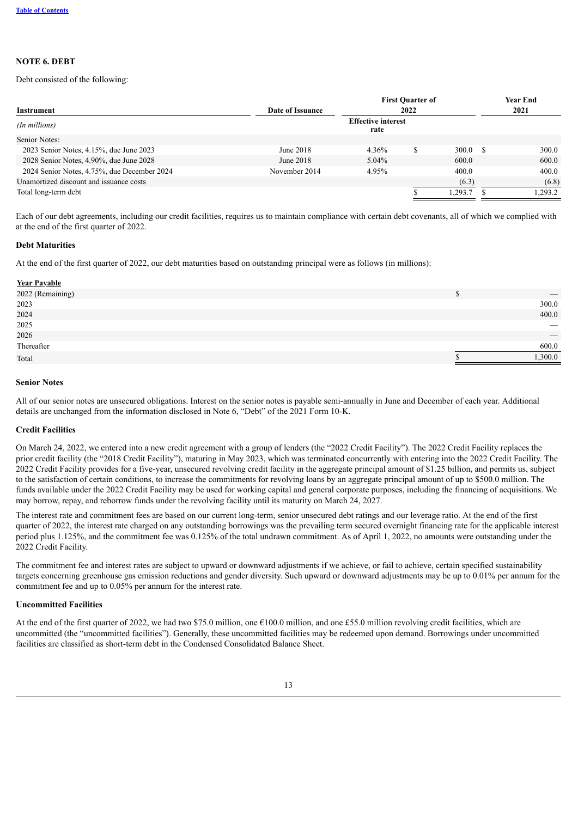#### **NOTE 6. DEBT**

#### Debt consisted of the following:

| Instrument                                  | Date of Issuance |                                   | <b>First Quarter of</b><br>2022 |         |    | Year End<br>2021 |
|---------------------------------------------|------------------|-----------------------------------|---------------------------------|---------|----|------------------|
| (In millions)                               |                  | <b>Effective interest</b><br>rate |                                 |         |    |                  |
| Senior Notes:                               |                  |                                   |                                 |         |    |                  |
| 2023 Senior Notes, 4.15%, due June 2023     | June 2018        | 4.36%                             |                                 | 300.0   | -S | 300.0            |
| 2028 Senior Notes, 4.90%, due June 2028     | June 2018        | $5.04\%$                          |                                 | 600.0   |    | 600.0            |
| 2024 Senior Notes, 4.75%, due December 2024 | November 2014    | 4.95%                             |                                 | 400.0   |    | 400.0            |
| Unamortized discount and issuance costs     |                  |                                   |                                 | (6.3)   |    | (6.8)            |
| Total long-term debt                        |                  |                                   |                                 | 1,293.7 |    | 1.293.2          |

Each of our debt agreements, including our credit facilities, requires us to maintain compliance with certain debt covenants, all of which we complied with at the end of the first quarter of 2022.

#### **Debt Maturities**

At the end of the first quarter of 2022, our debt maturities based on outstanding principal were as follows (in millions):

| <b>Year Payable</b> |                                 |
|---------------------|---------------------------------|
| 2022 (Remaining)    | $\hspace{0.1mm}-\hspace{0.1mm}$ |
| 2023                | 300.0                           |
| 2024                | 400.0                           |
| 2025                |                                 |
| 2026                | $\hspace{0.1mm}-\hspace{0.1mm}$ |
| Thereafter          | 600.0                           |
| Total               | ,300.0                          |

#### **Senior Notes**

All of our senior notes are unsecured obligations. Interest on the senior notes is payable semi-annually in June and December of each year. Additional details are unchanged from the information disclosed in Note 6, "Debt" of the 2021 Form 10-K.

#### **Credit Facilities**

On March 24, 2022, we entered into a new credit agreement with a group of lenders (the "2022 Credit Facility"). The 2022 Credit Facility replaces the prior credit facility (the "2018 Credit Facility"), maturing in May 2023, which was terminated concurrently with entering into the 2022 Credit Facility. The 2022 Credit Facility provides for a five-year, unsecured revolving credit facility in the aggregate principal amount of \$1.25 billion, and permits us, subject to the satisfaction of certain conditions, to increase the commitments for revolving loans by an aggregate principal amount of up to \$500.0 million. The funds available under the 2022 Credit Facility may be used for working capital and general corporate purposes, including the financing of acquisitions. We may borrow, repay, and reborrow funds under the revolving facility until its maturity on March 24, 2027.

The interest rate and commitment fees are based on our current long-term, senior unsecured debt ratings and our leverage ratio. At the end of the first quarter of 2022, the interest rate charged on any outstanding borrowings was the prevailing term secured overnight financing rate for the applicable interest period plus 1.125%, and the commitment fee was 0.125% of the total undrawn commitment. As of April 1, 2022, no amounts were outstanding under the 2022 Credit Facility.

The commitment fee and interest rates are subject to upward or downward adjustments if we achieve, or fail to achieve, certain specified sustainability targets concerning greenhouse gas emission reductions and gender diversity. Such upward or downward adjustments may be up to 0.01% per annum for the commitment fee and up to 0.05% per annum for the interest rate.

#### **Uncommitted Facilities**

At the end of the first quarter of 2022, we had two \$75.0 million, one  $\epsilon$ 100.0 million, and one £55.0 million revolving credit facilities, which are uncommitted (the "uncommitted facilities"). Generally, these uncommitted facilities may be redeemed upon demand. Borrowings under uncommitted facilities are classified as short-term debt in the Condensed Consolidated Balance Sheet.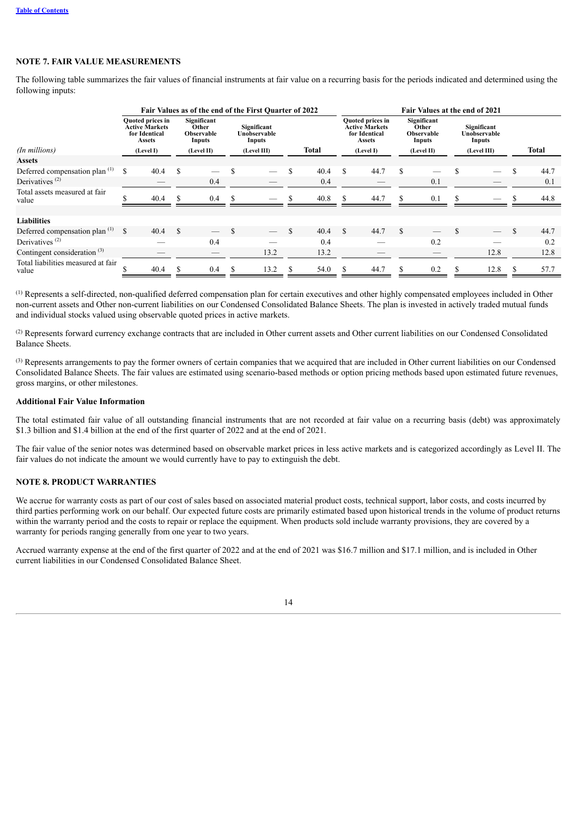## **NOTE 7. FAIR VALUE MEASUREMENTS**

The following table summarizes the fair values of financial instruments at fair value on a recurring basis for the periods indicated and determined using the following inputs:

|                                             |              | Fair Values as of the end of the First Quarter of 2022                      |               |                                                     |    |                                       |  |              |   | Fair Values at the end of 2021                                              |    |                                                     |             |                                       |       |      |  |  |
|---------------------------------------------|--------------|-----------------------------------------------------------------------------|---------------|-----------------------------------------------------|----|---------------------------------------|--|--------------|---|-----------------------------------------------------------------------------|----|-----------------------------------------------------|-------------|---------------------------------------|-------|------|--|--|
|                                             |              | Quoted prices in<br><b>Active Markets</b><br>for Identical<br><b>Assets</b> |               | Significant<br>Other<br><b>Observable</b><br>Inputs |    | Significant<br>Unobservable<br>Inputs |  |              |   | Quoted prices in<br><b>Active Markets</b><br>for Identical<br><b>Assets</b> |    | Significant<br>Other<br><b>Observable</b><br>Inputs |             | Significant<br>Unobservable<br>Inputs |       |      |  |  |
| (In millions)                               |              | (Level I)                                                                   |               | (Level II)                                          |    | (Level III)                           |  | <b>Total</b> |   | (Level I)                                                                   |    | (Level II)                                          | (Level III) |                                       | Total |      |  |  |
| <b>Assets</b>                               |              |                                                                             |               |                                                     |    |                                       |  |              |   |                                                                             |    |                                                     |             |                                       |       |      |  |  |
| Deferred compensation plan <sup>(1)</sup>   | \$           | 40.4                                                                        |               |                                                     |    |                                       |  | 40.4         | S | 44.7                                                                        |    |                                                     |             |                                       |       | 44.7 |  |  |
| Derivatives <sup><math>(2)</math></sup>     |              |                                                                             |               | 0.4                                                 |    |                                       |  | 0.4          |   |                                                                             |    | 0.1                                                 |             |                                       |       | 0.1  |  |  |
| Total assets measured at fair<br>value      |              | 40.4                                                                        |               | 0.4                                                 | -S |                                       |  | 40.8         | S | 44.7                                                                        |    | 0.1                                                 |             |                                       |       | 44.8 |  |  |
|                                             |              |                                                                             |               |                                                     |    |                                       |  |              |   |                                                                             |    |                                                     |             |                                       |       |      |  |  |
| <b>Liabilities</b>                          |              |                                                                             |               |                                                     |    |                                       |  |              |   |                                                                             |    |                                                     |             |                                       |       |      |  |  |
| Deferred compensation plan <sup>(1)</sup>   | <sup>S</sup> | 40.4                                                                        | <sup>\$</sup> |                                                     | -S |                                       |  | 40.4         | S | 44.7                                                                        | \$ |                                                     |             |                                       | \$.   | 44.7 |  |  |
| Derivatives <sup><math>(2)</math></sup>     |              |                                                                             |               | 0.4                                                 |    |                                       |  | 0.4          |   |                                                                             |    | 0.2                                                 |             |                                       |       | 0.2  |  |  |
| Contingent consideration $(3)$              |              |                                                                             |               |                                                     |    | 13.2                                  |  | 13.2         |   |                                                                             |    |                                                     |             | 12.8                                  |       | 12.8 |  |  |
| Total liabilities measured at fair<br>value |              | 40.4                                                                        |               | 0.4                                                 |    | 13.2                                  |  | 54.0         |   | 44.7                                                                        |    | 0.2                                                 |             | 12.8                                  |       | 57.7 |  |  |

 $<sup>(1)</sup>$  Represents a self-directed, non-qualified deferred compensation plan for certain executives and other highly compensated employees included in Other</sup> non-current assets and Other non-current liabilities on our Condensed Consolidated Balance Sheets. The plan is invested in actively traded mutual funds and individual stocks valued using observable quoted prices in active markets.

<sup>(2)</sup> Represents forward currency exchange contracts that are included in Other current assets and Other current liabilities on our Condensed Consolidated Balance Sheets.

 $(3)$  Represents arrangements to pay the former owners of certain companies that we acquired that are included in Other current liabilities on our Condensed Consolidated Balance Sheets. The fair values are estimated using scenario-based methods or option pricing methods based upon estimated future revenues, gross margins, or other milestones.

#### **Additional Fair Value Information**

The total estimated fair value of all outstanding financial instruments that are not recorded at fair value on a recurring basis (debt) was approximately \$1.3 billion and \$1.4 billion at the end of the first quarter of 2022 and at the end of 2021.

The fair value of the senior notes was determined based on observable market prices in less active markets and is categorized accordingly as Level II. The fair values do not indicate the amount we would currently have to pay to extinguish the debt.

## **NOTE 8. PRODUCT WARRANTIES**

We accrue for warranty costs as part of our cost of sales based on associated material product costs, technical support, labor costs, and costs incurred by third parties performing work on our behalf. Our expected future costs are primarily estimated based upon historical trends in the volume of product returns within the warranty period and the costs to repair or replace the equipment. When products sold include warranty provisions, they are covered by a warranty for periods ranging generally from one year to two years.

Accrued warranty expense at the end of the first quarter of 2022 and at the end of 2021 was \$16.7 million and \$17.1 million, and is included in Other current liabilities in our Condensed Consolidated Balance Sheet.

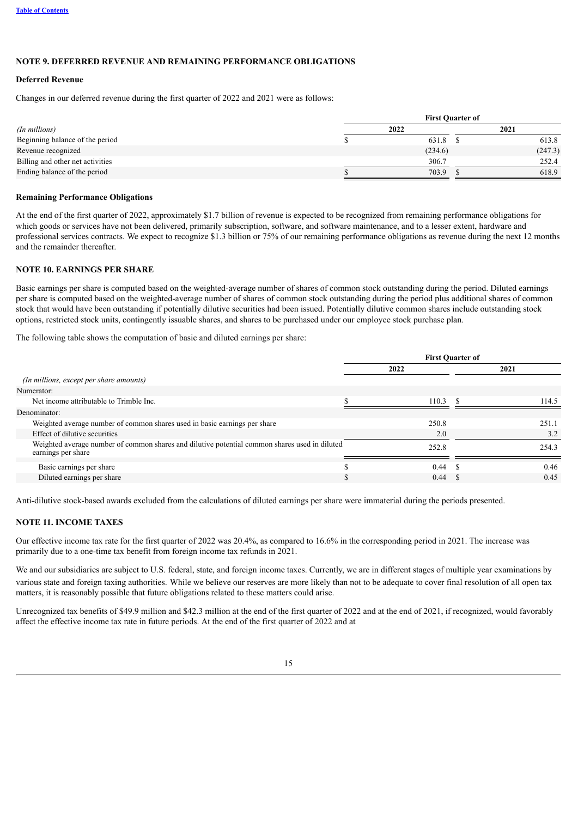#### **NOTE 9. DEFERRED REVENUE AND REMAINING PERFORMANCE OBLIGATIONS**

#### **Deferred Revenue**

Changes in our deferred revenue during the first quarter of 2022 and 2021 were as follows:

|                                  | <b>First Ouarter of</b> |          |         |  |  |  |  |  |
|----------------------------------|-------------------------|----------|---------|--|--|--|--|--|
| (In millions)                    | 2022                    |          | 2021    |  |  |  |  |  |
| Beginning balance of the period  |                         | 631.8 \$ | 613.8   |  |  |  |  |  |
| Revenue recognized               | (234.6)                 |          | (247.3) |  |  |  |  |  |
| Billing and other net activities | 306.7                   |          | 252.4   |  |  |  |  |  |
| Ending balance of the period     | 703.9                   |          | 618.9   |  |  |  |  |  |

#### **Remaining Performance Obligations**

At the end of the first quarter of 2022, approximately \$1.7 billion of revenue is expected to be recognized from remaining performance obligations for which goods or services have not been delivered, primarily subscription, software, and software maintenance, and to a lesser extent, hardware and professional services contracts. We expect to recognize \$1.3 billion or 75% of our remaining performance obligations as revenue during the next 12 months and the remainder thereafter.

## **NOTE 10. EARNINGS PER SHARE**

Basic earnings per share is computed based on the weighted-average number of shares of common stock outstanding during the period. Diluted earnings per share is computed based on the weighted-average number of shares of common stock outstanding during the period plus additional shares of common stock that would have been outstanding if potentially dilutive securities had been issued. Potentially dilutive common shares include outstanding stock options, restricted stock units, contingently issuable shares, and shares to be purchased under our employee stock purchase plan.

The following table shows the computation of basic and diluted earnings per share:

|                                                                                                                     | <b>First Ouarter of</b> |      |       |
|---------------------------------------------------------------------------------------------------------------------|-------------------------|------|-------|
|                                                                                                                     | 2022                    |      | 2021  |
| (In millions, except per share amounts)                                                                             |                         |      |       |
| Numerator:                                                                                                          |                         |      |       |
| Net income attributable to Trimble Inc.                                                                             | 110.3                   |      | 114.5 |
| Denominator:                                                                                                        |                         |      |       |
| Weighted average number of common shares used in basic earnings per share                                           | 250.8                   |      | 251.1 |
| Effect of dilutive securities                                                                                       | 2.0                     |      | 3.2   |
| Weighted average number of common shares and dilutive potential common shares used in diluted<br>earnings per share | 252.8                   |      | 254.3 |
| Basic earnings per share                                                                                            | 0.44                    | - S  | 0.46  |
| Diluted earnings per share                                                                                          | 0.44                    | - 85 | 0.45  |
|                                                                                                                     |                         |      |       |

Anti-dilutive stock-based awards excluded from the calculations of diluted earnings per share were immaterial during the periods presented.

# **NOTE 11. INCOME TAXES**

Our effective income tax rate for the first quarter of 2022 was 20.4%, as compared to 16.6% in the corresponding period in 2021. The increase was primarily due to a one-time tax benefit from foreign income tax refunds in 2021.

We and our subsidiaries are subject to U.S. federal, state, and foreign income taxes. Currently, we are in different stages of multiple year examinations by various state and foreign taxing authorities. While we believe our reserves are more likely than not to be adequate to cover final resolution of all open tax matters, it is reasonably possible that future obligations related to these matters could arise.

Unrecognized tax benefits of \$49.9 million and \$42.3 million at the end of the first quarter of 2022 and at the end of 2021, if recognized, would favorably affect the effective income tax rate in future periods. At the end of the first quarter of 2022 and at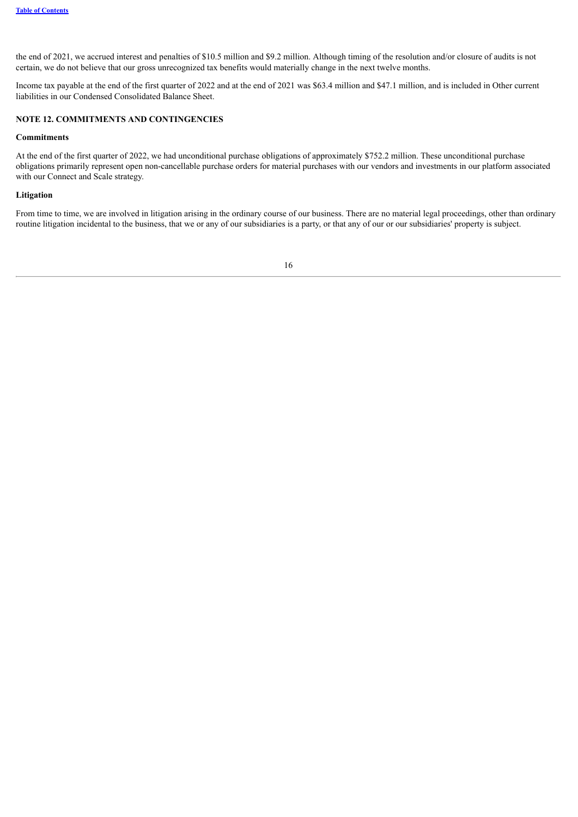the end of 2021, we accrued interest and penalties of \$10.5 million and \$9.2 million. Although timing of the resolution and/or closure of audits is not certain, we do not believe that our gross unrecognized tax benefits would materially change in the next twelve months.

Income tax payable at the end of the first quarter of 2022 and at the end of 2021 was \$63.4 million and \$47.1 million, and is included in Other current liabilities in our Condensed Consolidated Balance Sheet.

### **NOTE 12. COMMITMENTS AND CONTINGENCIES**

#### **Commitments**

At the end of the first quarter of 2022, we had unconditional purchase obligations of approximately \$752.2 million. These unconditional purchase obligations primarily represent open non-cancellable purchase orders for material purchases with our vendors and investments in our platform associated with our Connect and Scale strategy.

#### **Litigation**

<span id="page-15-0"></span>From time to time, we are involved in litigation arising in the ordinary course of our business. There are no material legal proceedings, other than ordinary routine litigation incidental to the business, that we or any of our subsidiaries is a party, or that any of our or our subsidiaries' property is subject.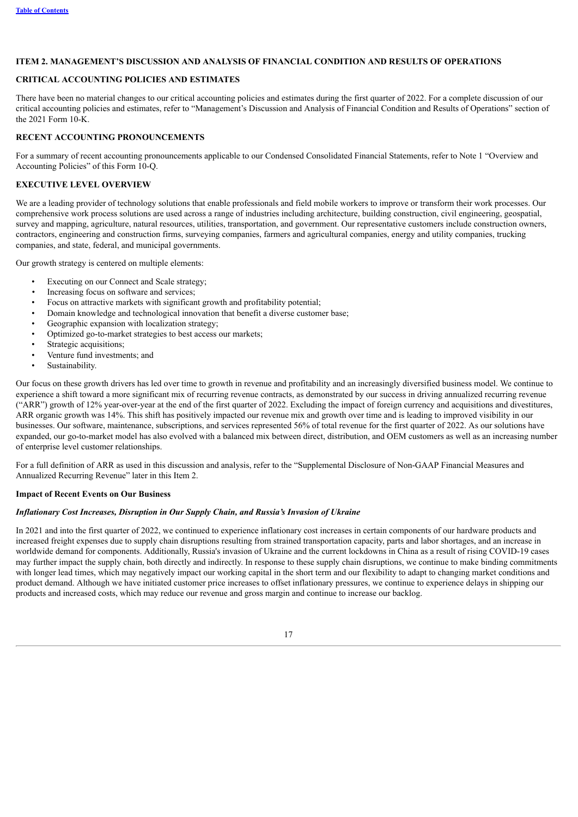### **ITEM 2. MANAGEMENT'S DISCUSSION AND ANALYSIS OF FINANCIAL CONDITION AND RESULTS OF OPERATIONS**

# **CRITICAL ACCOUNTING POLICIES AND ESTIMATES**

There have been no material changes to our critical accounting policies and estimates during the first quarter of 2022. For a complete discussion of our critical accounting policies and estimates, refer to "Management's Discussion and Analysis of Financial Condition and Results of Operations" section of the 2021 Form 10-K.

# **RECENT ACCOUNTING PRONOUNCEMENTS**

For a summary of recent accounting pronouncements applicable to our Condensed Consolidated Financial Statements, refer to Note 1 "Overview and Accounting Policies" of this Form 10-Q.

# **EXECUTIVE LEVEL OVERVIEW**

We are a leading provider of technology solutions that enable professionals and field mobile workers to improve or transform their work processes. Our comprehensive work process solutions are used across a range of industries including architecture, building construction, civil engineering, geospatial, survey and mapping, agriculture, natural resources, utilities, transportation, and government. Our representative customers include construction owners, contractors, engineering and construction firms, surveying companies, farmers and agricultural companies, energy and utility companies, trucking companies, and state, federal, and municipal governments.

Our growth strategy is centered on multiple elements:

- Executing on our Connect and Scale strategy;
- Increasing focus on software and services:
- Focus on attractive markets with significant growth and profitability potential;
- Domain knowledge and technological innovation that benefit a diverse customer base;
- Geographic expansion with localization strategy;
- Optimized go-to-market strategies to best access our markets;
- Strategic acquisitions;
- Venture fund investments; and
- Sustainability.

Our focus on these growth drivers has led over time to growth in revenue and profitability and an increasingly diversified business model. We continue to experience a shift toward a more significant mix of recurring revenue contracts, as demonstrated by our success in driving annualized recurring revenue ("ARR") growth of 12% year-over-year at the end of the first quarter of 2022. Excluding the impact of foreign currency and acquisitions and divestitures, ARR organic growth was 14%. This shift has positively impacted our revenue mix and growth over time and is leading to improved visibility in our businesses. Our software, maintenance, subscriptions, and services represented 56% of total revenue for the first quarter of 2022. As our solutions have expanded, our go-to-market model has also evolved with a balanced mix between direct, distribution, and OEM customers as well as an increasing number of enterprise level customer relationships.

For a full definition of ARR as used in this discussion and analysis, refer to the "Supplemental Disclosure of Non-GAAP Financial Measures and Annualized Recurring Revenue" later in this Item 2.

#### **Impact of Recent Events on Our Business**

#### *Inflationary Cost Increases, Disruption in Our Supply Chain, and Russia's Invasion of Ukraine*

In 2021 and into the first quarter of 2022, we continued to experience inflationary cost increases in certain components of our hardware products and increased freight expenses due to supply chain disruptions resulting from strained transportation capacity, parts and labor shortages, and an increase in worldwide demand for components. Additionally, Russia's invasion of Ukraine and the current lockdowns in China as a result of rising COVID-19 cases may further impact the supply chain, both directly and indirectly. In response to these supply chain disruptions, we continue to make binding commitments with longer lead times, which may negatively impact our working capital in the short term and our flexibility to adapt to changing market conditions and product demand. Although we have initiated customer price increases to offset inflationary pressures, we continue to experience delays in shipping our products and increased costs, which may reduce our revenue and gross margin and continue to increase our backlog.

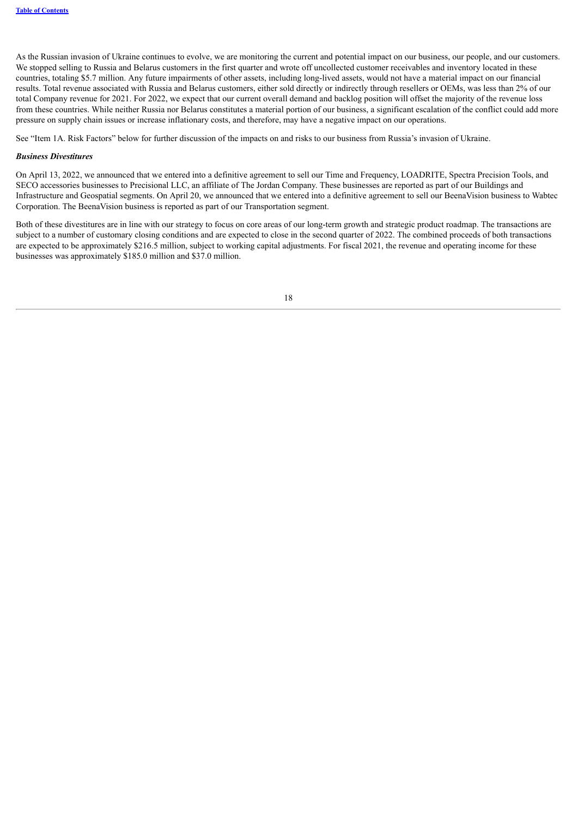As the Russian invasion of Ukraine continues to evolve, we are monitoring the current and potential impact on our business, our people, and our customers. We stopped selling to Russia and Belarus customers in the first quarter and wrote off uncollected customer receivables and inventory located in these countries, totaling \$5.7 million. Any future impairments of other assets, including long-lived assets, would not have a material impact on our financial results. Total revenue associated with Russia and Belarus customers, either sold directly or indirectly through resellers or OEMs, was less than 2% of our total Company revenue for 2021. For 2022, we expect that our current overall demand and backlog position will offset the majority of the revenue loss from these countries. While neither Russia nor Belarus constitutes a material portion of our business, a significant escalation of the conflict could add more pressure on supply chain issues or increase inflationary costs, and therefore, may have a negative impact on our operations.

See "Item 1A. Risk Factors" below for further discussion of the impacts on and risks to our business from Russia's invasion of Ukraine.

# *Business Divestitures*

On April 13, 2022, we announced that we entered into a definitive agreement to sell our Time and Frequency, LOADRITE, Spectra Precision Tools, and SECO accessories businesses to Precisional LLC, an affiliate of The Jordan Company. These businesses are reported as part of our Buildings and Infrastructure and Geospatial segments. On April 20, we announced that we entered into a definitive agreement to sell our BeenaVision business to Wabtec Corporation. The BeenaVision business is reported as part of our Transportation segment.

Both of these divestitures are in line with our strategy to focus on core areas of our long-term growth and strategic product roadmap. The transactions are subject to a number of customary closing conditions and are expected to close in the second quarter of 2022. The combined proceeds of both transactions are expected to be approximately \$216.5 million, subject to working capital adjustments. For fiscal 2021, the revenue and operating income for these businesses was approximately \$185.0 million and \$37.0 million.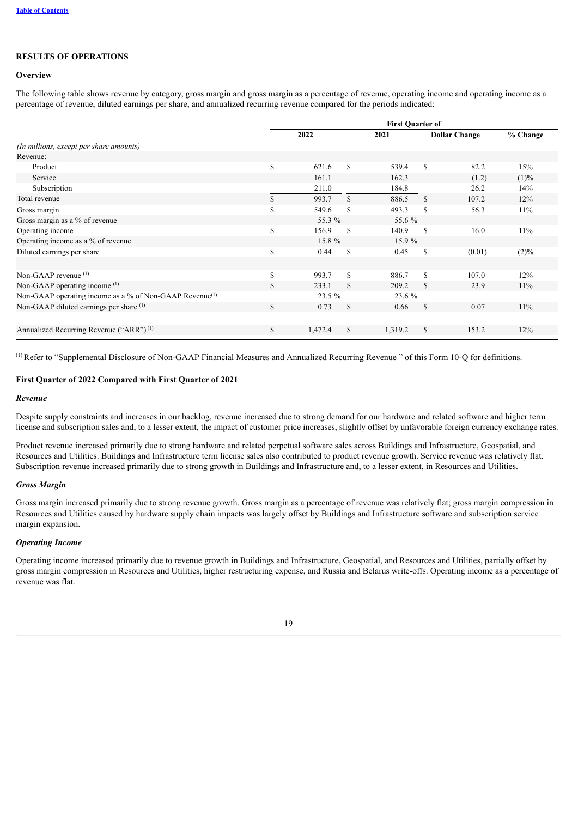## **RESULTS OF OPERATIONS**

#### **Overview**

The following table shows revenue by category, gross margin and gross margin as a percentage of revenue, operating income and operating income as a percentage of revenue, diluted earnings per share, and annualized recurring revenue compared for the periods indicated:

|                                                                     |              | <b>First Quarter of</b> |              |         |              |                      |          |  |  |  |  |
|---------------------------------------------------------------------|--------------|-------------------------|--------------|---------|--------------|----------------------|----------|--|--|--|--|
|                                                                     |              | 2022                    |              | 2021    |              | <b>Dollar Change</b> | % Change |  |  |  |  |
| (In millions, except per share amounts)                             |              |                         |              |         |              |                      |          |  |  |  |  |
| Revenue:                                                            |              |                         |              |         |              |                      |          |  |  |  |  |
| Product                                                             | S            | 621.6                   | S.           | 539.4   | S            | 82.2                 | 15%      |  |  |  |  |
| Service                                                             |              | 161.1                   |              | 162.3   |              | (1.2)                | $(1)\%$  |  |  |  |  |
| Subscription                                                        |              | 211.0                   |              | 184.8   |              | 26.2                 | 14%      |  |  |  |  |
| Total revenue                                                       | \$           | 993.7                   | \$.          | 886.5   | <b>S</b>     | 107.2                | 12%      |  |  |  |  |
| Gross margin                                                        | S            | 549.6                   | \$           | 493.3   | $\mathbb{S}$ | 56.3                 | 11%      |  |  |  |  |
| Gross margin as a % of revenue                                      |              | 55.3 %                  |              | 55.6 %  |              |                      |          |  |  |  |  |
| Operating income                                                    | \$           | 156.9                   | S.           | 140.9   | S            | 16.0                 | 11%      |  |  |  |  |
| Operating income as a % of revenue                                  |              | 15.8%                   |              | 15.9 %  |              |                      |          |  |  |  |  |
| Diluted earnings per share                                          | \$           | 0.44                    | \$           | 0.45    | \$           | (0.01)               | $(2)\%$  |  |  |  |  |
|                                                                     |              |                         |              |         |              |                      |          |  |  |  |  |
| Non-GAAP revenue $(1)$                                              | S            | 993.7                   | $\mathbb{S}$ | 886.7   | $\mathbb{S}$ | 107.0                | 12%      |  |  |  |  |
| Non-GAAP operating income $(1)$                                     | \$           | 233.1                   | \$.          | 209.2   | \$.          | 23.9                 | 11%      |  |  |  |  |
| Non-GAAP operating income as a % of Non-GAAP Revenue <sup>(1)</sup> |              | 23.5 %                  |              | 23.6 %  |              |                      |          |  |  |  |  |
| Non-GAAP diluted earnings per share <sup>(1)</sup>                  | $\mathbb{S}$ | 0.73                    | \$           | 0.66    | S            | 0.07                 | 11%      |  |  |  |  |
|                                                                     |              |                         |              |         |              |                      |          |  |  |  |  |
| Annualized Recurring Revenue ("ARR") <sup>(1)</sup>                 | \$           | 1,472.4                 | \$           | 1,319.2 | \$           | 153.2                | 12%      |  |  |  |  |
|                                                                     |              |                         |              |         |              |                      |          |  |  |  |  |

 $<sup>(1)</sup>$  Refer to "Supplemental Disclosure of Non-GAAP Financial Measures and Annualized Recurring Revenue" of this Form 10-Q for definitions.</sup>

### **First Quarter of 2022 Compared with First Quarter of 2021**

# *Revenue*

Despite supply constraints and increases in our backlog, revenue increased due to strong demand for our hardware and related software and higher term license and subscription sales and, to a lesser extent, the impact of customer price increases, slightly offset by unfavorable foreign currency exchange rates.

Product revenue increased primarily due to strong hardware and related perpetual software sales across Buildings and Infrastructure, Geospatial, and Resources and Utilities. Buildings and Infrastructure term license sales also contributed to product revenue growth. Service revenue was relatively flat. Subscription revenue increased primarily due to strong growth in Buildings and Infrastructure and, to a lesser extent, in Resources and Utilities.

#### *Gross Margin*

Gross margin increased primarily due to strong revenue growth. Gross margin as a percentage of revenue was relatively flat; gross margin compression in Resources and Utilities caused by hardware supply chain impacts was largely offset by Buildings and Infrastructure software and subscription service margin expansion.

# *Operating Income*

Operating income increased primarily due to revenue growth in Buildings and Infrastructure, Geospatial, and Resources and Utilities, partially offset by gross margin compression in Resources and Utilities, higher restructuring expense, and Russia and Belarus write-offs. Operating income as a percentage of revenue was flat.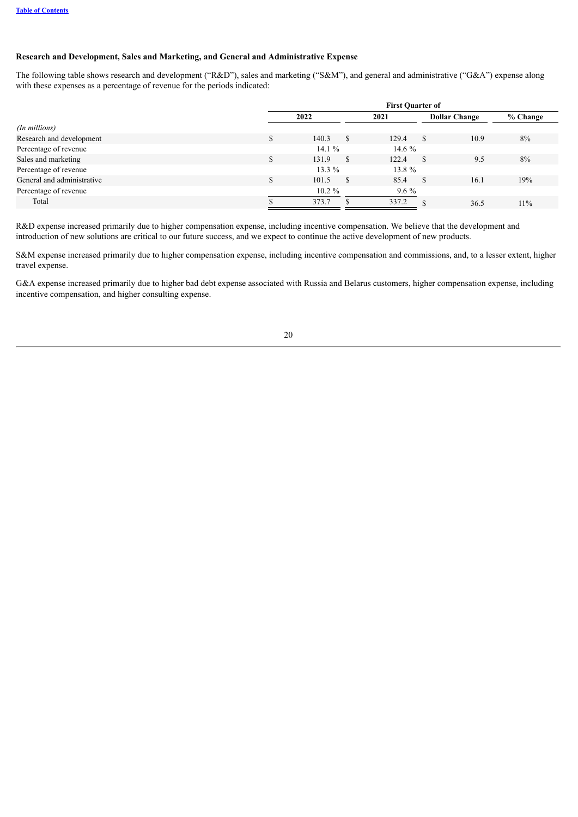#### **Research and Development, Sales and Marketing, and General and Administrative Expense**

The following table shows research and development ("R&D"), sales and marketing ("S&M"), and general and administrative ("G&A") expense along with these expenses as a percentage of revenue for the periods indicated:

|                            | <b>First Ouarter of</b> |           |               |          |               |                      |          |  |  |  |
|----------------------------|-------------------------|-----------|---------------|----------|---------------|----------------------|----------|--|--|--|
|                            |                         | 2022      |               | 2021     |               | <b>Dollar Change</b> | % Change |  |  |  |
| (In millions)              |                         |           |               |          |               |                      |          |  |  |  |
| Research and development   |                         | 140.3     | S             | 129.4    | \$            | 10.9                 | 8%       |  |  |  |
| Percentage of revenue      |                         | 14.1 $%$  |               | 14.6 $%$ |               |                      |          |  |  |  |
| Sales and marketing        |                         | 131.9     | S             | 122.4    | <sup>\$</sup> | 9.5                  | 8%       |  |  |  |
| Percentage of revenue      |                         | $13.3\%$  |               | 13.8 %   |               |                      |          |  |  |  |
| General and administrative |                         | 101.5     | <sup>\$</sup> | 85.4     | <sup>\$</sup> | 16.1                 | 19%      |  |  |  |
| Percentage of revenue      |                         | $10.2 \%$ |               | $9.6\%$  |               |                      |          |  |  |  |
| Total                      |                         | 373.7     |               | 337.2    | \$.           | 36.5                 | 11%      |  |  |  |

R&D expense increased primarily due to higher compensation expense, including incentive compensation. We believe that the development and introduction of new solutions are critical to our future success, and we expect to continue the active development of new products.

S&M expense increased primarily due to higher compensation expense, including incentive compensation and commissions, and, to a lesser extent, higher travel expense.

G&A expense increased primarily due to higher bad debt expense associated with Russia and Belarus customers, higher compensation expense, including incentive compensation, and higher consulting expense.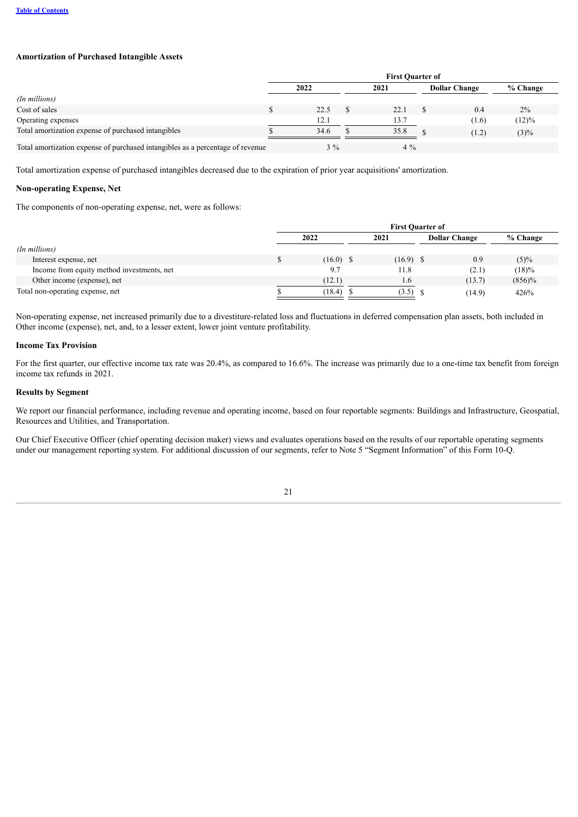# **Amortization of Purchased Intangible Assets**

|                                                                                | <b>First Ouarter of</b> |  |       |  |                      |          |  |
|--------------------------------------------------------------------------------|-------------------------|--|-------|--|----------------------|----------|--|
|                                                                                | 2022                    |  | 2021  |  | <b>Dollar Change</b> | % Change |  |
| (In millions)                                                                  |                         |  |       |  |                      |          |  |
| Cost of sales                                                                  | 22.5                    |  | 22.1  |  | 0.4                  | 2%       |  |
| Operating expenses                                                             | 12.1                    |  | 13.7  |  | (1.6)                | $(12)\%$ |  |
| Total amortization expense of purchased intangibles                            | 34.6                    |  | 35.8  |  | (1.2)                | $(3)\%$  |  |
| Total amortization expense of purchased intangibles as a percentage of revenue | $3\%$                   |  | $4\%$ |  |                      |          |  |

Total amortization expense of purchased intangibles decreased due to the expiration of prior year acquisitions' amortization.

# **Non-operating Expense, Net**

The components of non-operating expense, net, were as follows:

| <b>First Ouarter of</b> |        |  |                       |  |             |                      |  |
|-------------------------|--------|--|-----------------------|--|-------------|----------------------|--|
|                         | 2022   |  | 2021                  |  |             | % Change             |  |
|                         |        |  |                       |  |             |                      |  |
|                         |        |  |                       |  | 0.9         | $(5)\%$              |  |
|                         | 9.7    |  | 11.8                  |  | (2.1)       | $(18)\%$             |  |
|                         | (12.1) |  | 1.6                   |  | (13.7)      | $(856)\%$            |  |
|                         |        |  | (3.5)                 |  | (14.9)      | 426%                 |  |
|                         |        |  | $(16.0)$ \$<br>(18.4) |  | $(16.9)$ \$ | <b>Dollar Change</b> |  |

Non-operating expense, net increased primarily due to a divestiture-related loss and fluctuations in deferred compensation plan assets, both included in Other income (expense), net, and, to a lesser extent, lower joint venture profitability.

#### **Income Tax Provision**

For the first quarter, our effective income tax rate was 20.4%, as compared to 16.6%. The increase was primarily due to a one-time tax benefit from foreign income tax refunds in 2021.

#### **Results by Segment**

We report our financial performance, including revenue and operating income, based on four reportable segments: Buildings and Infrastructure, Geospatial, Resources and Utilities, and Transportation.

Our Chief Executive Officer (chief operating decision maker) views and evaluates operations based on the results of our reportable operating segments under our management reporting system. For additional discussion of our segments, refer to Note 5 "Segment Information" of this Form 10-Q.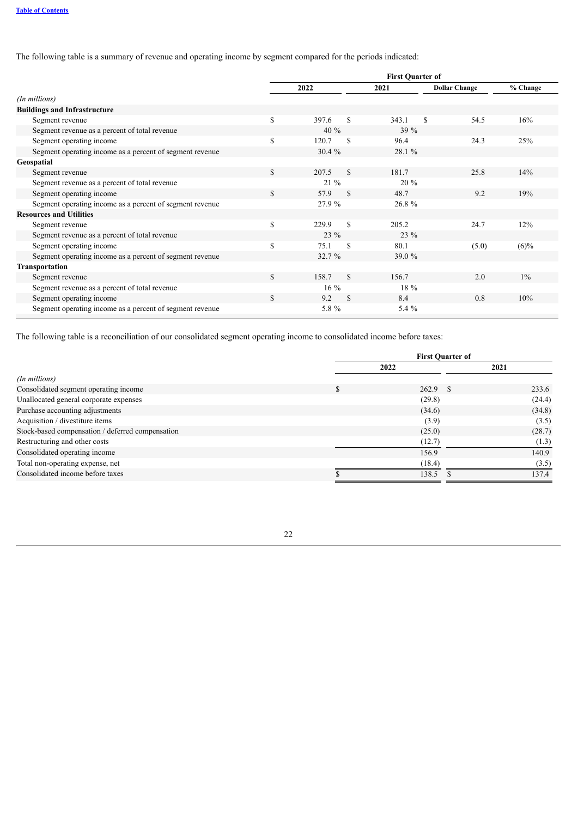The following table is a summary of revenue and operating income by segment compared for the periods indicated:

| % Change |
|----------|
|          |
|          |
|          |
| 16%      |
|          |
| 25%      |
|          |
|          |
| 14%      |
|          |
| 19%      |
|          |
|          |
| 12%      |
|          |
| $(6)\%$  |
|          |
|          |
| $1\%$    |
|          |
| 10%      |
|          |
|          |

The following table is a reconciliation of our consolidated segment operating income to consolidated income before taxes:

|                                                  | <b>First Quarter of</b> |  |        |  |
|--------------------------------------------------|-------------------------|--|--------|--|
|                                                  | 2022                    |  | 2021   |  |
| (In millions)                                    |                         |  |        |  |
| Consolidated segment operating income            | $262.9$ \$              |  | 233.6  |  |
| Unallocated general corporate expenses           | (29.8)                  |  | (24.4) |  |
| Purchase accounting adjustments                  | (34.6)                  |  | (34.8) |  |
| Acquisition / divestiture items                  | (3.9)                   |  | (3.5)  |  |
| Stock-based compensation / deferred compensation | (25.0)                  |  | (28.7) |  |
| Restructuring and other costs                    | (12.7)                  |  | (1.3)  |  |
| Consolidated operating income                    | 156.9                   |  | 140.9  |  |
| Total non-operating expense, net                 | (18.4)                  |  | (3.5)  |  |
| Consolidated income before taxes                 | 138.5                   |  | 137.4  |  |
|                                                  |                         |  |        |  |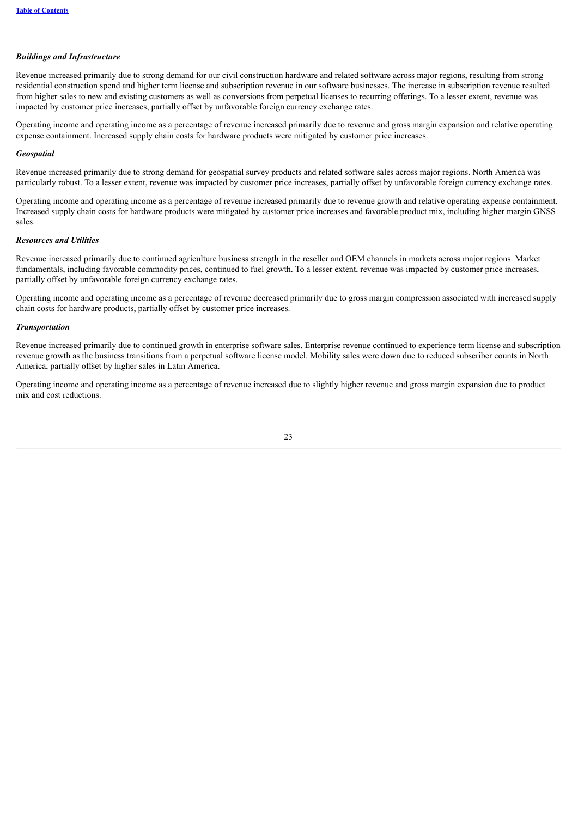#### *Buildings and Infrastructure*

Revenue increased primarily due to strong demand for our civil construction hardware and related software across major regions, resulting from strong residential construction spend and higher term license and subscription revenue in our software businesses. The increase in subscription revenue resulted from higher sales to new and existing customers as well as conversions from perpetual licenses to recurring offerings. To a lesser extent, revenue was impacted by customer price increases, partially offset by unfavorable foreign currency exchange rates.

Operating income and operating income as a percentage of revenue increased primarily due to revenue and gross margin expansion and relative operating expense containment. Increased supply chain costs for hardware products were mitigated by customer price increases.

#### *Geospatial*

Revenue increased primarily due to strong demand for geospatial survey products and related software sales across major regions. North America was particularly robust. To a lesser extent, revenue was impacted by customer price increases, partially offset by unfavorable foreign currency exchange rates.

Operating income and operating income as a percentage of revenue increased primarily due to revenue growth and relative operating expense containment. Increased supply chain costs for hardware products were mitigated by customer price increases and favorable product mix, including higher margin GNSS sales.

#### *Resources and Utilities*

Revenue increased primarily due to continued agriculture business strength in the reseller and OEM channels in markets across major regions. Market fundamentals, including favorable commodity prices, continued to fuel growth. To a lesser extent, revenue was impacted by customer price increases, partially offset by unfavorable foreign currency exchange rates.

Operating income and operating income as a percentage of revenue decreased primarily due to gross margin compression associated with increased supply chain costs for hardware products, partially offset by customer price increases.

#### *Transportation*

Revenue increased primarily due to continued growth in enterprise software sales. Enterprise revenue continued to experience term license and subscription revenue growth as the business transitions from a perpetual software license model. Mobility sales were down due to reduced subscriber counts in North America, partially offset by higher sales in Latin America.

Operating income and operating income as a percentage of revenue increased due to slightly higher revenue and gross margin expansion due to product mix and cost reductions.

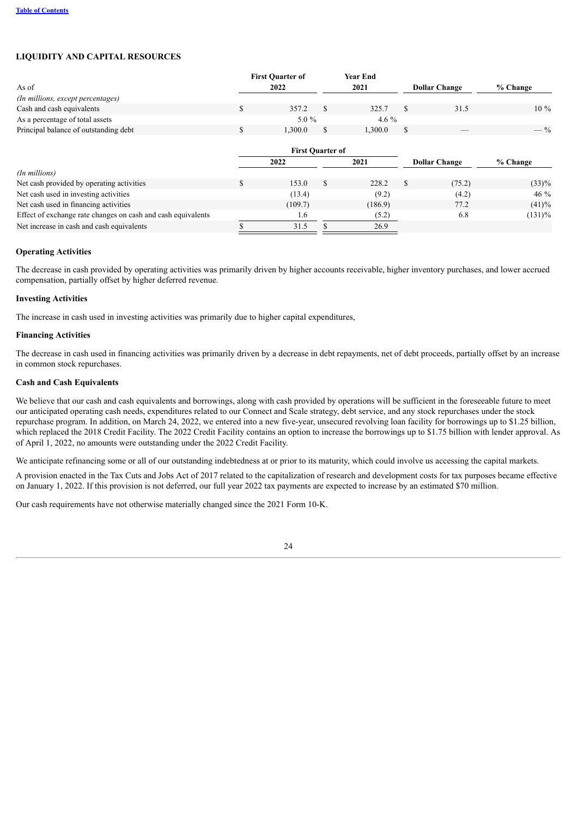# **LIQUIDITY AND CAPITAL RESOURCES**

|                                                              | <b>First Ouarter of</b> |    | <b>Year End</b> |                      |                 |
|--------------------------------------------------------------|-------------------------|----|-----------------|----------------------|-----------------|
| As of                                                        | 2022                    |    | 2021            | <b>Dollar Change</b> | % Change        |
| (In millions, except percentages)                            |                         |    |                 |                      |                 |
| Cash and cash equivalents                                    | \$<br>357.2             | S  | 325.7           | \$<br>31.5           | $10\%$          |
| As a percentage of total assets                              | $5.0\%$                 |    | 4.6 $%$         |                      |                 |
| Principal balance of outstanding debt                        | \$<br>1,300.0           | S. | 1,300.0         | \$                   | $- \frac{9}{6}$ |
|                                                              | <b>First Ouarter of</b> |    |                 |                      |                 |
|                                                              | 2022                    |    | 2021            | <b>Dollar Change</b> | % Change        |
| (In millions)                                                |                         |    |                 |                      |                 |
| Net cash provided by operating activities                    | \$<br>153.0             | S  | 228.2           | \$<br>(75.2)         | $(33)\%$        |
| Net cash used in investing activities                        | (13.4)                  |    | (9.2)           | (4.2)                | $46\%$          |
| Net cash used in financing activities                        | (109.7)                 |    | (186.9)         | 77.2                 | (41)%           |
| Effect of exchange rate changes on cash and cash equivalents | 1.6                     |    | (5.2)           | 6.8                  | $(131)\%$       |
| Net increase in cash and cash equivalents                    | 31.5                    |    | 26.9            |                      |                 |

#### **Operating Activities**

The decrease in cash provided by operating activities was primarily driven by higher accounts receivable, higher inventory purchases, and lower accrued compensation, partially offset by higher deferred revenue.

#### **Investing Activities**

The increase in cash used in investing activities was primarily due to higher capital expenditures,

#### **Financing Activities**

The decrease in cash used in financing activities was primarily driven by a decrease in debt repayments, net of debt proceeds, partially offset by an increase in common stock repurchases.

#### **Cash and Cash Equivalents**

We believe that our cash and cash equivalents and borrowings, along with cash provided by operations will be sufficient in the foreseeable future to meet our anticipated operating cash needs, expenditures related to our Connect and Scale strategy, debt service, and any stock repurchases under the stock repurchase program. In addition, on March 24, 2022, we entered into a new five-year, unsecured revolving loan facility for borrowings up to \$1.25 billion, which replaced the 2018 Credit Facility. The 2022 Credit Facility contains an option to increase the borrowings up to \$1.75 billion with lender approval. As of April 1, 2022, no amounts were outstanding under the 2022 Credit Facility.

We anticipate refinancing some or all of our outstanding indebtedness at or prior to its maturity, which could involve us accessing the capital markets.

A provision enacted in the Tax Cuts and Jobs Act of 2017 related to the capitalization of research and development costs for tax purposes became effective on January 1, 2022. If this provision is not deferred, our full year 2022 tax payments are expected to increase by an estimated \$70 million.

Our cash requirements have not otherwise materially changed since the 2021 Form 10-K.

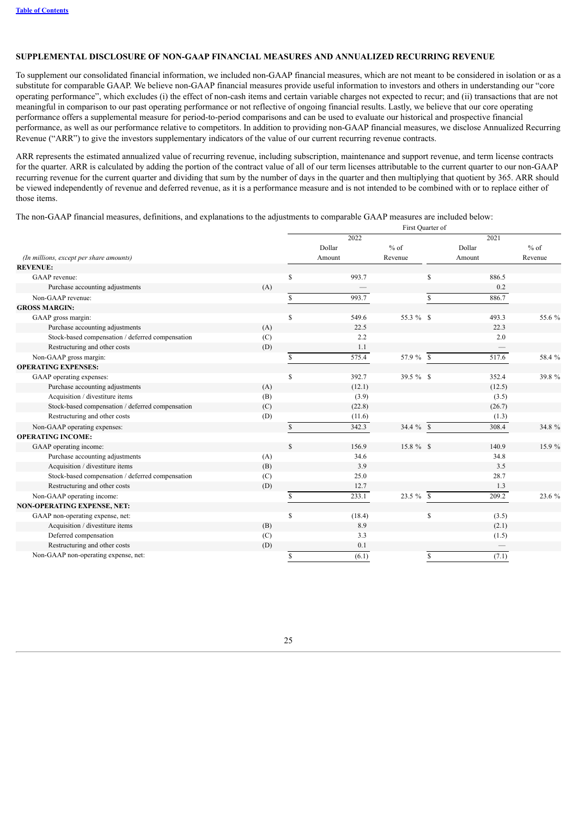#### **SUPPLEMENTAL DISCLOSURE OF NON-GAAP FINANCIAL MEASURES AND ANNUALIZED RECURRING REVENUE**

To supplement our consolidated financial information, we included non-GAAP financial measures, which are not meant to be considered in isolation or as a substitute for comparable GAAP. We believe non-GAAP financial measures provide useful information to investors and others in understanding our "core operating performance", which excludes (i) the effect of non-cash items and certain variable charges not expected to recur; and (ii) transactions that are not meaningful in comparison to our past operating performance or not reflective of ongoing financial results. Lastly, we believe that our core operating performance offers a supplemental measure for period-to-period comparisons and can be used to evaluate our historical and prospective financial performance, as well as our performance relative to competitors. In addition to providing non-GAAP financial measures, we disclose Annualized Recurring Revenue ("ARR") to give the investors supplementary indicators of the value of our current recurring revenue contracts.

ARR represents the estimated annualized value of recurring revenue, including subscription, maintenance and support revenue, and term license contracts for the quarter. ARR is calculated by adding the portion of the contract value of all of our term licenses attributable to the current quarter to our non-GAAP recurring revenue for the current quarter and dividing that sum by the number of days in the quarter and then multiplying that quotient by 365. ARR should be viewed independently of revenue and deferred revenue, as it is a performance measure and is not intended to be combined with or to replace either of those items.

The non-GAAP financial measures, definitions, and explanations to the adjustments to comparable GAAP measures are included below:

|                                                  |     | First Quarter of |        |              |    |        |         |  |
|--------------------------------------------------|-----|------------------|--------|--------------|----|--------|---------|--|
|                                                  |     |                  | 2022   |              |    | 2021   |         |  |
|                                                  |     |                  | Dollar | $%$ of       |    | Dollar | $%$ of  |  |
| (In millions, except per share amounts)          |     |                  | Amount | Revenue      |    | Amount | Revenue |  |
| <b>REVENUE:</b>                                  |     |                  |        |              |    |        |         |  |
| GAAP revenue:                                    |     | S                | 993.7  |              | \$ | 886.5  |         |  |
| Purchase accounting adjustments                  | (A) |                  |        |              |    | 0.2    |         |  |
| Non-GAAP revenue:                                |     | S                | 993.7  |              | \$ | 886.7  |         |  |
| <b>GROSS MARGIN:</b>                             |     |                  |        |              |    |        |         |  |
| GAAP gross margin:                               |     | S                | 549.6  | 55.3 % \$    |    | 493.3  | 55.6 %  |  |
| Purchase accounting adjustments                  | (A) |                  | 22.5   |              |    | 22.3   |         |  |
| Stock-based compensation / deferred compensation | (C) |                  | 2.2    |              |    | 2.0    |         |  |
| Restructuring and other costs                    | (D) |                  | 1.1    |              |    |        |         |  |
| Non-GAAP gross margin:                           |     | S                | 575.4  | 57.9 % \$    |    | 517.6  | 58.4 %  |  |
| <b>OPERATING EXPENSES:</b>                       |     |                  |        |              |    |        |         |  |
| GAAP operating expenses:                         |     | S                | 392.7  | 39.5 % \$    |    | 352.4  | 39.8%   |  |
| Purchase accounting adjustments                  | (A) |                  | (12.1) |              |    | (12.5) |         |  |
| Acquisition / divestiture items                  | (B) |                  | (3.9)  |              |    | (3.5)  |         |  |
| Stock-based compensation / deferred compensation | (C) |                  | (22.8) |              |    | (26.7) |         |  |
| Restructuring and other costs                    | (D) |                  | (11.6) |              |    | (1.3)  |         |  |
| Non-GAAP operating expenses:                     |     | $\mathbb{S}$     | 342.3  | $34.4 \%$ \$ |    | 308.4  | 34.8%   |  |
| <b>OPERATING INCOME:</b>                         |     |                  |        |              |    |        |         |  |
| GAAP operating income:                           |     | \$               | 156.9  | $15.8 \%$ \$ |    | 140.9  | 15.9 %  |  |
| Purchase accounting adjustments                  | (A) |                  | 34.6   |              |    | 34.8   |         |  |
| Acquisition / divestiture items                  | (B) |                  | 3.9    |              |    | 3.5    |         |  |
| Stock-based compensation / deferred compensation | (C) |                  | 25.0   |              |    | 28.7   |         |  |
| Restructuring and other costs                    | (D) |                  | 12.7   |              |    | 1.3    |         |  |
| Non-GAAP operating income:                       |     | S                | 233.1  | 23.5 % \$    |    | 209.2  | 23.6 %  |  |
| <b>NON-OPERATING EXPENSE, NET:</b>               |     |                  |        |              |    |        |         |  |
| GAAP non-operating expense, net:                 |     | S                | (18.4) |              | \$ | (3.5)  |         |  |
| Acquisition / divestiture items                  | (B) |                  | 8.9    |              |    | (2.1)  |         |  |
| Deferred compensation                            | (C) |                  | 3.3    |              |    | (1.5)  |         |  |
| Restructuring and other costs                    | (D) |                  | 0.1    |              |    |        |         |  |
| Non-GAAP non-operating expense, net:             |     | s                | (6.1)  |              | \$ | (7.1)  |         |  |
|                                                  |     |                  |        |              |    |        |         |  |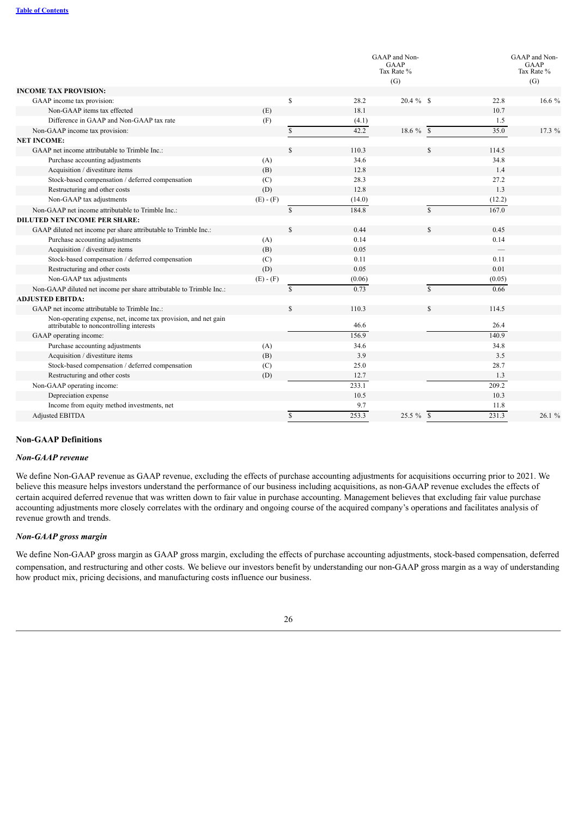|                                                                                                            |             |               |        | GAAP and Non-<br>GAAP<br>Tax Rate %<br>(G) |               |        | GAAP and Non-<br>GAAP<br>Tax Rate %<br>(G) |
|------------------------------------------------------------------------------------------------------------|-------------|---------------|--------|--------------------------------------------|---------------|--------|--------------------------------------------|
| <b>INCOME TAX PROVISION:</b>                                                                               |             |               |        |                                            |               |        |                                            |
| GAAP income tax provision:                                                                                 |             | $\mathbb{S}$  | 28.2   | $20.4 \%$ \$                               |               | 22.8   | 16.6 %                                     |
| Non-GAAP items tax effected                                                                                | (E)         |               | 18.1   |                                            |               | 10.7   |                                            |
| Difference in GAAP and Non-GAAP tax rate                                                                   | (F)         |               | (4.1)  |                                            |               | 1.5    |                                            |
| Non-GAAP income tax provision:                                                                             |             | $\mathbf S$   | 42.2   | $18.6 \%$ \$                               |               | 35.0   | 17.3 %                                     |
| <b>NET INCOME:</b>                                                                                         |             |               |        |                                            |               |        |                                            |
| GAAP net income attributable to Trimble Inc.:                                                              |             | S             | 110.3  |                                            | <sup>\$</sup> | 114.5  |                                            |
| Purchase accounting adjustments                                                                            | (A)         |               | 34.6   |                                            |               | 34.8   |                                            |
| Acquisition / divestiture items                                                                            | (B)         |               | 12.8   |                                            |               | 1.4    |                                            |
| Stock-based compensation / deferred compensation                                                           | (C)         |               | 28.3   |                                            |               | 27.2   |                                            |
| Restructuring and other costs                                                                              | (D)         |               | 12.8   |                                            |               | 1.3    |                                            |
| Non-GAAP tax adjustments                                                                                   | $(E) - (F)$ |               | (14.0) |                                            |               | (12.2) |                                            |
| Non-GAAP net income attributable to Trimble Inc.:                                                          |             | $\mathbf S$   | 184.8  |                                            | <sup>\$</sup> | 167.0  |                                            |
| <b>DILUTED NET INCOME PER SHARE:</b>                                                                       |             |               |        |                                            |               |        |                                            |
| GAAP diluted net income per share attributable to Trimble Inc.:                                            |             | S             | 0.44   |                                            | <sup>\$</sup> | 0.45   |                                            |
| Purchase accounting adjustments                                                                            | (A)         |               | 0.14   |                                            |               | 0.14   |                                            |
| Acquisition / divestiture items                                                                            | (B)         |               | 0.05   |                                            |               |        |                                            |
| Stock-based compensation / deferred compensation                                                           | (C)         |               | 0.11   |                                            |               | 0.11   |                                            |
| Restructuring and other costs                                                                              | (D)         |               | 0.05   |                                            |               | 0.01   |                                            |
| Non-GAAP tax adjustments                                                                                   | $(E) - (F)$ |               | (0.06) |                                            |               | (0.05) |                                            |
| Non-GAAP diluted net income per share attributable to Trimble Inc.:                                        |             | $\mathbb{S}$  | 0.73   |                                            | <sup>\$</sup> | 0.66   |                                            |
| <b>ADJUSTED EBITDA:</b>                                                                                    |             |               |        |                                            |               |        |                                            |
| GAAP net income attributable to Trimble Inc.:                                                              |             | <sup>\$</sup> | 110.3  |                                            | <sup>\$</sup> | 114.5  |                                            |
| Non-operating expense, net, income tax provision, and net gain<br>attributable to noncontrolling interests |             |               | 46.6   |                                            |               | 26.4   |                                            |
| GAAP operating income:                                                                                     |             |               | 156.9  |                                            |               | 140.9  |                                            |
| Purchase accounting adjustments                                                                            | (A)         |               | 34.6   |                                            |               | 34.8   |                                            |
| Acquisition / divestiture items                                                                            | (B)         |               | 3.9    |                                            |               | 3.5    |                                            |
| Stock-based compensation / deferred compensation                                                           | (C)         |               | 25.0   |                                            |               | 28.7   |                                            |
| Restructuring and other costs                                                                              | (D)         |               | 12.7   |                                            |               | 1.3    |                                            |
| Non-GAAP operating income:                                                                                 |             |               | 233.1  |                                            |               | 209.2  |                                            |
| Depreciation expense                                                                                       |             |               | 10.5   |                                            |               | 10.3   |                                            |
| Income from equity method investments, net                                                                 |             |               | 9.7    |                                            |               | 11.8   |                                            |
| <b>Adjusted EBITDA</b>                                                                                     |             | \$            | 253.3  | 25.5 % \$                                  |               | 231.3  | 26.1 %                                     |
|                                                                                                            |             |               |        |                                            |               |        |                                            |

#### **Non-GAAP Definitions**

#### *Non-GAAP revenue*

We define Non-GAAP revenue as GAAP revenue, excluding the effects of purchase accounting adjustments for acquisitions occurring prior to 2021. We believe this measure helps investors understand the performance of our business including acquisitions, as non-GAAP revenue excludes the effects of certain acquired deferred revenue that was written down to fair value in purchase accounting. Management believes that excluding fair value purchase accounting adjustments more closely correlates with the ordinary and ongoing course of the acquired company's operations and facilitates analysis of revenue growth and trends.

#### *Non-GAAP gross margin*

We define Non-GAAP gross margin as GAAP gross margin, excluding the effects of purchase accounting adjustments, stock-based compensation, deferred compensation, and restructuring and other costs. We believe our investors benefit by understanding our non-GAAP gross margin as a way of understanding how product mix, pricing decisions, and manufacturing costs influence our business.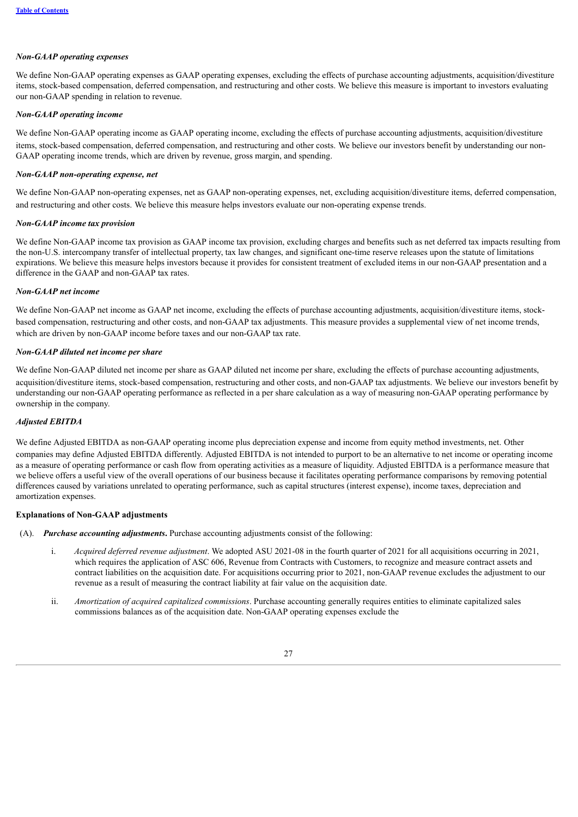#### *Non-GAAP operating expenses*

We define Non-GAAP operating expenses as GAAP operating expenses, excluding the effects of purchase accounting adjustments, acquisition/divestiture items, stock-based compensation, deferred compensation, and restructuring and other costs. We believe this measure is important to investors evaluating our non-GAAP spending in relation to revenue.

#### *Non-GAAP operating income*

We define Non-GAAP operating income as GAAP operating income, excluding the effects of purchase accounting adjustments, acquisition/divestiture items, stock-based compensation, deferred compensation, and restructuring and other costs. We believe our investors benefit by understanding our non-GAAP operating income trends, which are driven by revenue, gross margin, and spending.

#### *Non-GAAP non-operating expense, net*

We define Non-GAAP non-operating expenses, net as GAAP non-operating expenses, net, excluding acquisition/divestiture items, deferred compensation, and restructuring and other costs. We believe this measure helps investors evaluate our non-operating expense trends.

#### *Non-GAAP income tax provision*

We define Non-GAAP income tax provision as GAAP income tax provision, excluding charges and benefits such as net deferred tax impacts resulting from the non-U.S. intercompany transfer of intellectual property, tax law changes, and significant one-time reserve releases upon the statute of limitations expirations. We believe this measure helps investors because it provides for consistent treatment of excluded items in our non-GAAP presentation and a difference in the GAAP and non-GAAP tax rates.

#### *Non-GAAP net income*

We define Non-GAAP net income as GAAP net income, excluding the effects of purchase accounting adjustments, acquisition/divestiture items, stockbased compensation, restructuring and other costs, and non-GAAP tax adjustments. This measure provides a supplemental view of net income trends, which are driven by non-GAAP income before taxes and our non-GAAP tax rate.

#### *Non-GAAP diluted net income per share*

We define Non-GAAP diluted net income per share as GAAP diluted net income per share, excluding the effects of purchase accounting adjustments, acquisition/divestiture items, stock-based compensation, restructuring and other costs, and non-GAAP tax adjustments. We believe our investors benefit by understanding our non-GAAP operating performance as reflected in a per share calculation as a way of measuring non-GAAP operating performance by ownership in the company.

#### *Adjusted EBITDA*

We define Adjusted EBITDA as non-GAAP operating income plus depreciation expense and income from equity method investments, net. Other companies may define Adjusted EBITDA differently. Adjusted EBITDA is not intended to purport to be an alternative to net income or operating income as a measure of operating performance or cash flow from operating activities as a measure of liquidity. Adjusted EBITDA is a performance measure that we believe offers a useful view of the overall operations of our business because it facilitates operating performance comparisons by removing potential differences caused by variations unrelated to operating performance, such as capital structures (interest expense), income taxes, depreciation and amortization expenses.

## **Explanations of Non-GAAP adjustments**

(A). *Purchase accounting adjustments***.** Purchase accounting adjustments consist of the following:

- i. *Acquired deferred revenue adjustment*. We adopted ASU 2021-08 in the fourth quarter of 2021 for all acquisitions occurring in 2021, which requires the application of ASC 606, Revenue from Contracts with Customers, to recognize and measure contract assets and contract liabilities on the acquisition date. For acquisitions occurring prior to 2021, non-GAAP revenue excludes the adjustment to our revenue as a result of measuring the contract liability at fair value on the acquisition date.
- ii. *Amortization of acquired capitalized commissions*. Purchase accounting generally requires entities to eliminate capitalized sales commissions balances as of the acquisition date. Non-GAAP operating expenses exclude the

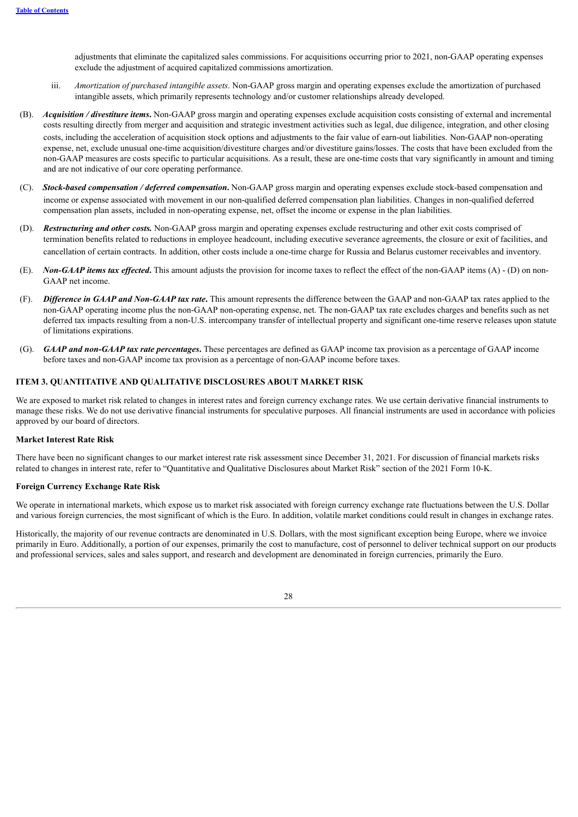adjustments that eliminate the capitalized sales commissions. For acquisitions occurring prior to 2021, non-GAAP operating expenses exclude the adjustment of acquired capitalized commissions amortization.

- iii. *Amortization of purchased intangible assets*. Non-GAAP gross margin and operating expenses exclude the amortization of purchased intangible assets, which primarily represents technology and/or customer relationships already developed.
- (B). *Acquisition / divestiture items***.** Non-GAAP gross margin and operating expenses exclude acquisition costs consisting of external and incremental costs resulting directly from merger and acquisition and strategic investment activities such as legal, due diligence, integration, and other closing costs, including the acceleration of acquisition stock options and adjustments to the fair value of earn-out liabilities. Non-GAAP non-operating expense, net, exclude unusual one-time acquisition/divestiture charges and/or divestiture gains/losses. The costs that have been excluded from the non-GAAP measures are costs specific to particular acquisitions. As a result, these are one-time costs that vary significantly in amount and timing and are not indicative of our core operating performance.
- (C). *Stock-based compensation / deferred compensation***.** Non-GAAP gross margin and operating expenses exclude stock-based compensation and income or expense associated with movement in our non-qualified deferred compensation plan liabilities. Changes in non-qualified deferred compensation plan assets, included in non-operating expense, net, offset the income or expense in the plan liabilities.
- (D). *Restructuring and other costs.* Non-GAAP gross margin and operating expenses exclude restructuring and other exit costs comprised of termination benefits related to reductions in employee headcount, including executive severance agreements, the closure or exit of facilities, and cancellation of certain contracts. In addition, other costs include a one-time charge for Russia and Belarus customer receivables and inventory.
- (E). *Non-GAAP items tax ef ected***.** This amount adjusts the provision for income taxes to reflect the effect of the non-GAAP items (A) (D) on non-GAAP net income.
- (F). *Dif erence in GAAP and Non-GAAP tax rate***.** This amount represents the difference between the GAAP and non-GAAP tax rates applied to the non-GAAP operating income plus the non-GAAP non-operating expense, net. The non-GAAP tax rate excludes charges and benefits such as net deferred tax impacts resulting from a non-U.S. intercompany transfer of intellectual property and significant one-time reserve releases upon statute of limitations expirations.
- (G). *GAAP and non-GAAP tax rate percentages***.** These percentages are defined as GAAP income tax provision as a percentage of GAAP income before taxes and non-GAAP income tax provision as a percentage of non-GAAP income before taxes.

# <span id="page-27-0"></span>**ITEM 3. QUANTITATIVE AND QUALITATIVE DISCLOSURES ABOUT MARKET RISK**

We are exposed to market risk related to changes in interest rates and foreign currency exchange rates. We use certain derivative financial instruments to manage these risks. We do not use derivative financial instruments for speculative purposes. All financial instruments are used in accordance with policies approved by our board of directors.

# **Market Interest Rate Risk**

There have been no significant changes to our market interest rate risk assessment since December 31, 2021. For discussion of financial markets risks related to changes in interest rate, refer to "Quantitative and Qualitative Disclosures about Market Risk" section of the 2021 Form 10-K.

#### **Foreign Currency Exchange Rate Risk**

We operate in international markets, which expose us to market risk associated with foreign currency exchange rate fluctuations between the U.S. Dollar and various foreign currencies, the most significant of which is the Euro. In addition, volatile market conditions could result in changes in exchange rates.

Historically, the majority of our revenue contracts are denominated in U.S. Dollars, with the most significant exception being Europe, where we invoice primarily in Euro. Additionally, a portion of our expenses, primarily the cost to manufacture, cost of personnel to deliver technical support on our products and professional services, sales and sales support, and research and development are denominated in foreign currencies, primarily the Euro.

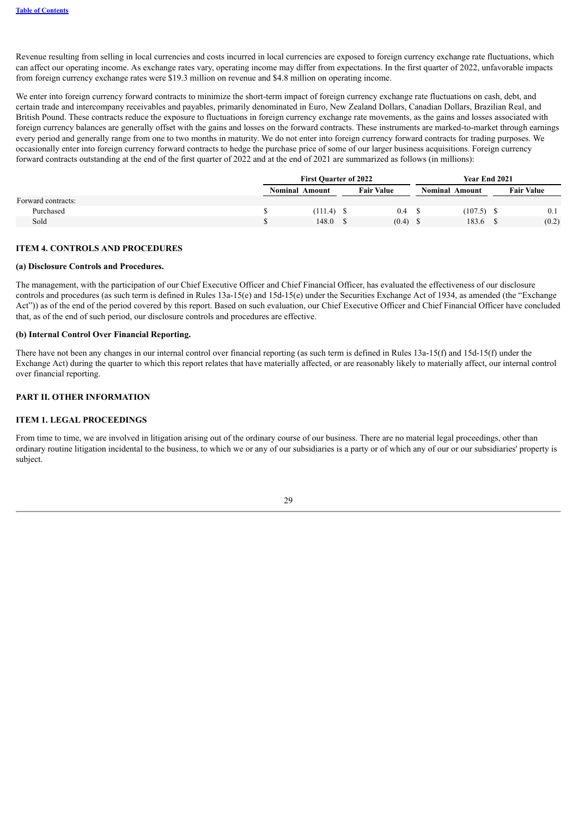Revenue resulting from selling in local currencies and costs incurred in local currencies are exposed to foreign currency exchange rate fluctuations, which can affect our operating income. As exchange rates vary, operating income may differ from expectations. In the first quarter of 2022, unfavorable impacts from foreign currency exchange rates were \$19.3 million on revenue and \$4.8 million on operating income.

We enter into foreign currency forward contracts to minimize the short-term impact of foreign currency exchange rate fluctuations on cash, debt, and certain trade and intercompany receivables and payables, primarily denominated in Euro, New Zealand Dollars, Canadian Dollars, Brazilian Real, and British Pound. These contracts reduce the exposure to fluctuations in foreign currency exchange rate movements, as the gains and losses associated with foreign currency balances are generally offset with the gains and losses on the forward contracts. These instruments are marked-to-market through earnings every period and generally range from one to two months in maturity. We do not enter into foreign currency forward contracts for trading purposes. We occasionally enter into foreign currency forward contracts to hedge the purchase price of some of our larger business acquisitions. Foreign currency forward contracts outstanding at the end of the first quarter of 2022 and at the end of 2021 are summarized as follows (in millions):

|                    | <b>First Quarter of 2022</b> |  |                   |  | Year End 2021     |  |                   |  |
|--------------------|------------------------------|--|-------------------|--|-------------------|--|-------------------|--|
|                    | <b>Nominal</b><br>Amount     |  | <b>Fair Value</b> |  | Nominal<br>Amount |  | <b>Fair Value</b> |  |
| Forward contracts: |                              |  |                   |  |                   |  |                   |  |
| Purchased          | (111.4)                      |  | 0.4               |  | (107.5)           |  | 0.1               |  |
| Sold               | 148.0                        |  | (0.4)             |  | 183.6             |  | (0.2)             |  |

#### <span id="page-28-0"></span>**ITEM 4. CONTROLS AND PROCEDURES**

#### **(a) Disclosure Controls and Procedures.**

The management, with the participation of our Chief Executive Officer and Chief Financial Officer, has evaluated the effectiveness of our disclosure controls and procedures (as such term is defined in Rules 13a-15(e) and 15d-15(e) under the Securities Exchange Act of 1934, as amended (the "Exchange Act")) as of the end of the period covered by this report. Based on such evaluation, our Chief Executive Officer and Chief Financial Officer have concluded that, as of the end of such period, our disclosure controls and procedures are effective.

#### **(b) Internal Control Over Financial Reporting.**

There have not been any changes in our internal control over financial reporting (as such term is defined in Rules 13a-15(f) and 15d-15(f) under the Exchange Act) during the quarter to which this report relates that have materially affected, or are reasonably likely to materially affect, our internal control over financial reporting.

# <span id="page-28-2"></span><span id="page-28-1"></span>**PART II. OTHER INFORMATION**

#### **ITEM 1. LEGAL PROCEEDINGS**

<span id="page-28-3"></span>From time to time, we are involved in litigation arising out of the ordinary course of our business. There are no material legal proceedings, other than ordinary routine litigation incidental to the business, to which we or any of our subsidiaries is a party or of which any of our or our subsidiaries' property is subject.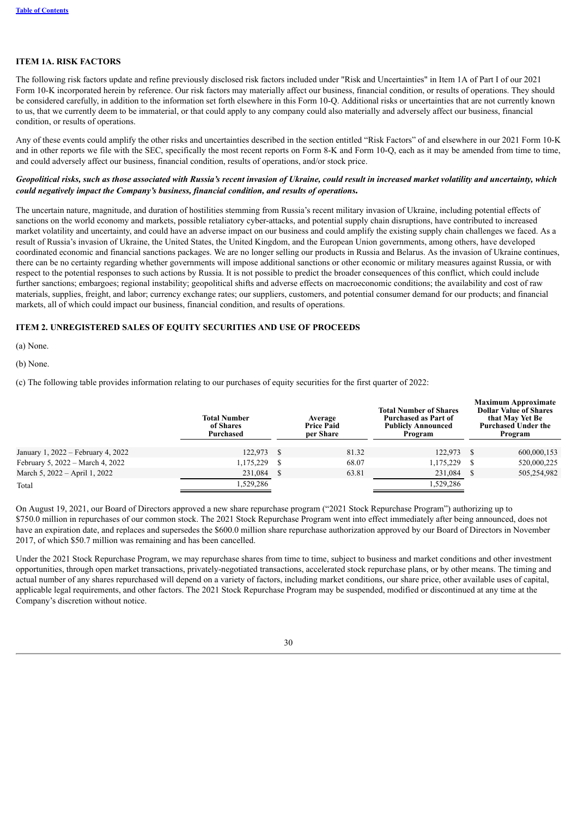#### **ITEM 1A. RISK FACTORS**

The following risk factors update and refine previously disclosed risk factors included under "Risk and Uncertainties" in Item 1A of Part I of our 2021 Form 10-K incorporated herein by reference. Our risk factors may materially affect our business, financial condition, or results of operations. They should be considered carefully, in addition to the information set forth elsewhere in this Form 10-Q. Additional risks or uncertainties that are not currently known to us, that we currently deem to be immaterial, or that could apply to any company could also materially and adversely affect our business, financial condition, or results of operations.

Any of these events could amplify the other risks and uncertainties described in the section entitled "Risk Factors" of and elsewhere in our 2021 Form 10-K and in other reports we file with the SEC, specifically the most recent reports on Form 8-K and Form 10-Q, each as it may be amended from time to time, and could adversely affect our business, financial condition, results of operations, and/or stock price.

### Geopolitical risks, such as those associated with Russia's recent invasion of Ukraine, could result in increased market volatility and uncertainty, which *could negatively impact the Company's business, financial condition, and results of operations.*

The uncertain nature, magnitude, and duration of hostilities stemming from Russia's recent military invasion of Ukraine, including potential effects of sanctions on the world economy and markets, possible retaliatory cyber-attacks, and potential supply chain disruptions, have contributed to increased market volatility and uncertainty, and could have an adverse impact on our business and could amplify the existing supply chain challenges we faced. As a result of Russia's invasion of Ukraine, the United States, the United Kingdom, and the European Union governments, among others, have developed coordinated economic and financial sanctions packages. We are no longer selling our products in Russia and Belarus. As the invasion of Ukraine continues, there can be no certainty regarding whether governments will impose additional sanctions or other economic or military measures against Russia, or with respect to the potential responses to such actions by Russia. It is not possible to predict the broader consequences of this conflict, which could include further sanctions; embargoes; regional instability; geopolitical shifts and adverse effects on macroeconomic conditions; the availability and cost of raw materials, supplies, freight, and labor; currency exchange rates; our suppliers, customers, and potential consumer demand for our products; and financial markets, all of which could impact our business, financial condition, and results of operations.

# <span id="page-29-0"></span>**ITEM 2. UNREGISTERED SALES OF EQUITY SECURITIES AND USE OF PROCEEDS**

(a) None.

(b) None.

(c) The following table provides information relating to our purchases of equity securities for the first quarter of 2022:

|                                    | <b>Total Number</b><br>of Shares<br>Purchased | Average<br><b>Price Paid</b><br>per Share | <b>Total Number of Shares</b><br><b>Purchased as Part of</b><br><b>Publicly Announced</b><br>Program | <b>Maximum Approximate</b><br><b>Dollar Value of Shares</b><br>that May Yet Be<br><b>Purchased Under the</b><br>Program |
|------------------------------------|-----------------------------------------------|-------------------------------------------|------------------------------------------------------------------------------------------------------|-------------------------------------------------------------------------------------------------------------------------|
|                                    |                                               |                                           |                                                                                                      |                                                                                                                         |
| January 1, 2022 – February 4, 2022 | $122.973$ \$                                  | 81.32                                     | 122.973 \$                                                                                           | 600,000,153                                                                                                             |
| February 5, 2022 – March 4, 2022   | 1,175,229                                     | 68.07                                     | 1,175,229                                                                                            | 520,000,225                                                                                                             |
| March 5, 2022 – April 1, 2022      | 231,084                                       | 63.81                                     | 231,084                                                                                              | 505,254,982                                                                                                             |
| Total                              | 1,529,286                                     |                                           | 1.529.286                                                                                            |                                                                                                                         |

On August 19, 2021, our Board of Directors approved a new share repurchase program ("2021 Stock Repurchase Program") authorizing up to \$750.0 million in repurchases of our common stock. The 2021 Stock Repurchase Program went into effect immediately after being announced, does not have an expiration date, and replaces and supersedes the \$600.0 million share repurchase authorization approved by our Board of Directors in November 2017, of which \$50.7 million was remaining and has been cancelled.

<span id="page-29-1"></span>Under the 2021 Stock Repurchase Program, we may repurchase shares from time to time, subject to business and market conditions and other investment opportunities, through open market transactions, privately-negotiated transactions, accelerated stock repurchase plans, or by other means. The timing and actual number of any shares repurchased will depend on a variety of factors, including market conditions, our share price, other available uses of capital, applicable legal requirements, and other factors. The 2021 Stock Repurchase Program may be suspended, modified or discontinued at any time at the Company's discretion without notice.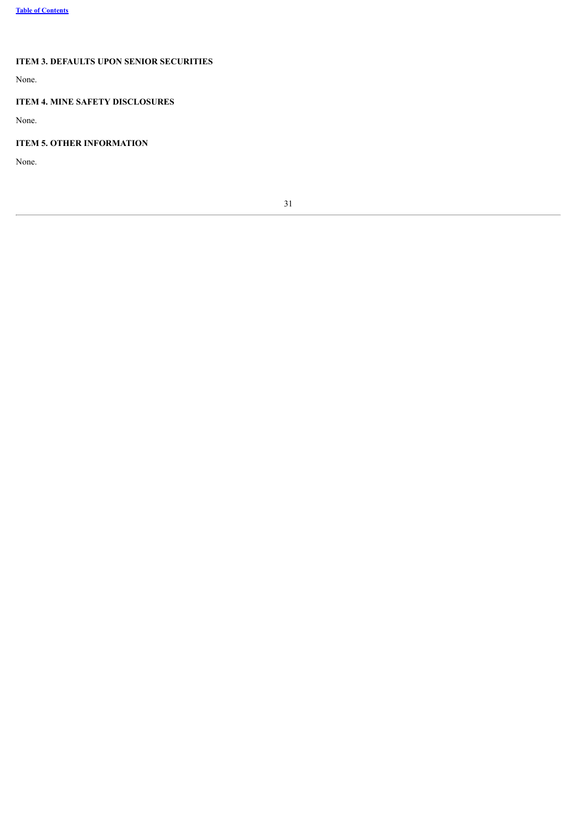# **ITEM 3. DEFAULTS UPON SENIOR SECURITIES**

None.

# <span id="page-30-0"></span>**ITEM 4. MINE SAFETY DISCLOSURES**

None.

# <span id="page-30-1"></span>**ITEM 5. OTHER INFORMATION**

<span id="page-30-2"></span>None.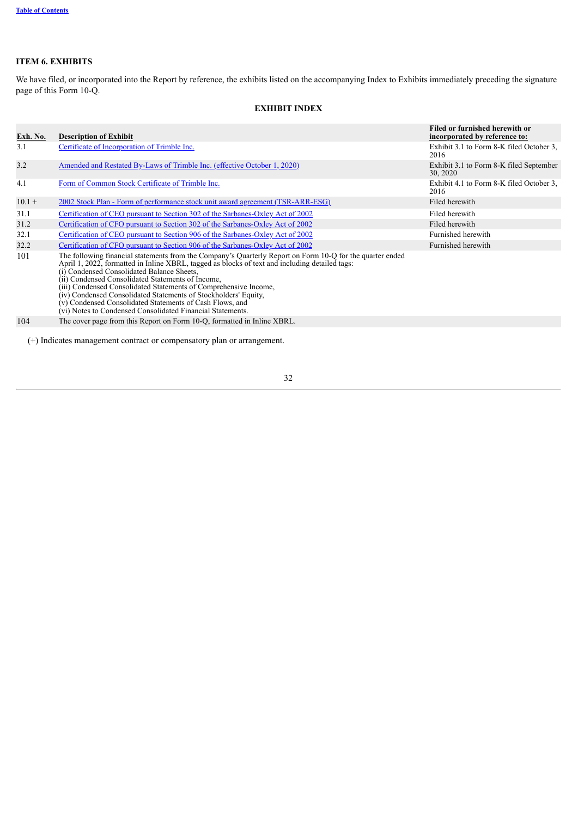# **ITEM 6. EXHIBITS**

We have filed, or incorporated into the Report by reference, the exhibits listed on the accompanying Index to Exhibits immediately preceding the signature page of this Form 10-Q.

# **EXHIBIT INDEX**

| Exh. No. | <b>Description of Exhibit</b>                                                                                                                                                                                                                                                                                                                                                                                                                                                                                                                         | Filed or furnished herewith or<br>incorporated by reference to: |
|----------|-------------------------------------------------------------------------------------------------------------------------------------------------------------------------------------------------------------------------------------------------------------------------------------------------------------------------------------------------------------------------------------------------------------------------------------------------------------------------------------------------------------------------------------------------------|-----------------------------------------------------------------|
| 3.1      | Certificate of Incorporation of Trimble Inc.                                                                                                                                                                                                                                                                                                                                                                                                                                                                                                          | Exhibit 3.1 to Form 8-K filed October 3.<br>2016                |
| 3.2      | Amended and Restated By-Laws of Trimble Inc. (effective October 1, 2020)                                                                                                                                                                                                                                                                                                                                                                                                                                                                              | Exhibit 3.1 to Form 8-K filed September<br>30, 2020             |
| 4.1      | Form of Common Stock Certificate of Trimble Inc.                                                                                                                                                                                                                                                                                                                                                                                                                                                                                                      | Exhibit 4.1 to Form 8-K filed October 3.<br>2016                |
| $10.1 +$ | 2002 Stock Plan - Form of performance stock unit award agreement (TSR-ARR-ESG)                                                                                                                                                                                                                                                                                                                                                                                                                                                                        | Filed herewith                                                  |
| 31.1     | Certification of CEO pursuant to Section 302 of the Sarbanes-Oxley Act of 2002                                                                                                                                                                                                                                                                                                                                                                                                                                                                        | Filed herewith                                                  |
| 31.2     | Certification of CFO pursuant to Section 302 of the Sarbanes-Oxley Act of 2002                                                                                                                                                                                                                                                                                                                                                                                                                                                                        | Filed herewith                                                  |
| 32.1     | Certification of CEO pursuant to Section 906 of the Sarbanes-Oxley Act of 2002                                                                                                                                                                                                                                                                                                                                                                                                                                                                        | Furnished herewith                                              |
| 32.2     | Certification of CFO pursuant to Section 906 of the Sarbanes-Oxley Act of 2002                                                                                                                                                                                                                                                                                                                                                                                                                                                                        | Furnished herewith                                              |
| 101      | The following financial statements from the Company's Quarterly Report on Form 10-Q for the quarter ended<br>April 1, 2022, formatted in Inline XBRL, tagged as blocks of text and including detailed tags:<br>(i) Condensed Consolidated Balance Sheets,<br>(ii) Condensed Consolidated Statements of Income,<br>(iii) Condensed Consolidated Statements of Comprehensive Income,<br>(iv) Condensed Consolidated Statements of Stockholders' Equity,<br>(a) $C$ and an and $C$ and all data different contracts of $C$ and $\Gamma$ $C$ and $\Gamma$ |                                                                 |

- (v) Condensed Consolidated Statements of Cash Flows, and
- (vi) Notes to Condensed Consolidated Financial Statements.

104 The cover page from this Report on Form 10-Q, formatted in Inline XBRL.

<span id="page-31-0"></span>(+) Indicates management contract or compensatory plan or arrangement.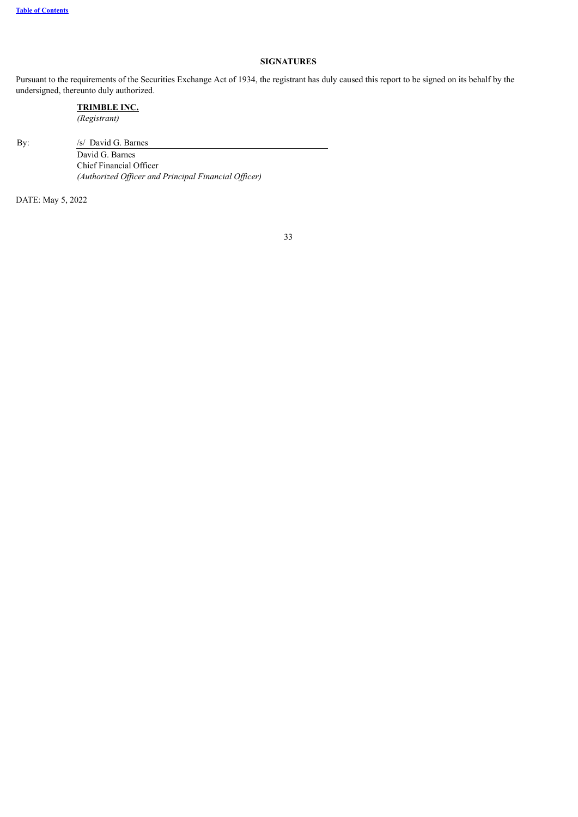# **SIGNATURES**

Pursuant to the requirements of the Securities Exchange Act of 1934, the registrant has duly caused this report to be signed on its behalf by the undersigned, thereunto duly authorized.

# **TRIMBLE INC.**

*(Registrant)*

By: /s/ David G. Barnes David G. Barnes Chief Financial Officer *(Authorized Of icer and Principal Financial Of icer)*

DATE: May 5, 2022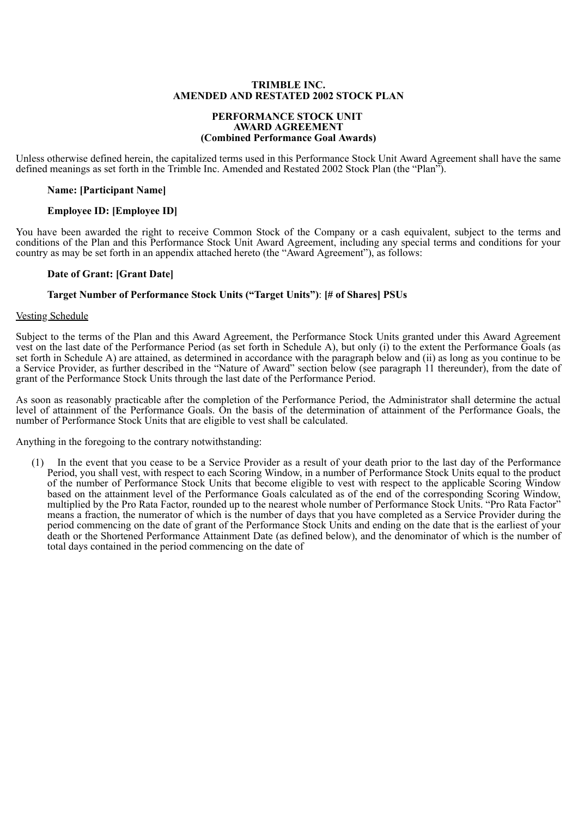# **TRIMBLE INC. AMENDED AND RESTATED 2002 STOCK PLAN**

# **PERFORMANCE STOCK UNIT AWARD AGREEMENT (Combined Performance Goal Awards)**

<span id="page-33-0"></span>Unless otherwise defined herein, the capitalized terms used in this Performance Stock Unit Award Agreement shall have the same defined meanings as set forth in the Trimble Inc. Amended and Restated 2002 Stock Plan (the "Plan").

# **Name: [Participant Name]**

# **Employee ID: [Employee ID]**

You have been awarded the right to receive Common Stock of the Company or a cash equivalent, subject to the terms and conditions of the Plan and this Performance Stock Unit Award Agreement, including any special terms and conditions for your country as may be set forth in an appendix attached hereto (the "Award Agreement"), as follows:

# **Date of Grant: [Grant Date]**

# **Target Number of Performance Stock Units ("Target Units")**: **[# of Shares] PSUs**

# Vesting Schedule

Subject to the terms of the Plan and this Award Agreement, the Performance Stock Units granted under this Award Agreement vest on the last date of the Performance Period (as set forth in Schedule A), but only (i) to the extent the Performance Goals (as set forth in Schedule A) are attained, as determined in accordance with the paragraph below and (ii) as long as you continue to be a Service Provider, as further described in the "Nature of Award" section below (see paragraph 11 thereunder), from the date of grant of the Performance Stock Units through the last date of the Performance Period.

As soon as reasonably practicable after the completion of the Performance Period, the Administrator shall determine the actual level of attainment of the Performance Goals. On the basis of the determination of attainment of the Performance Goals, the number of Performance Stock Units that are eligible to vest shall be calculated.

Anything in the foregoing to the contrary notwithstanding:

(1) In the event that you cease to be a Service Provider as a result of your death prior to the last day of the Performance Period, you shall vest, with respect to each Scoring Window, in a number of Performance Stock Units equal to the product of the number of Performance Stock Units that become eligible to vest with respect to the applicable Scoring Window based on the attainment level of the Performance Goals calculated as of the end of the corresponding Scoring Window, multiplied by the Pro Rata Factor, rounded up to the nearest whole number of Performance Stock Units. "Pro Rata Factor" means a fraction, the numerator of which is the number of days that you have completed as a Service Provider during the period commencing on the date of grant of the Performance Stock Units and ending on the date that is the earliest of your death or the Shortened Performance Attainment Date (as defined below), and the denominator of which is the number of total days contained in the period commencing on the date of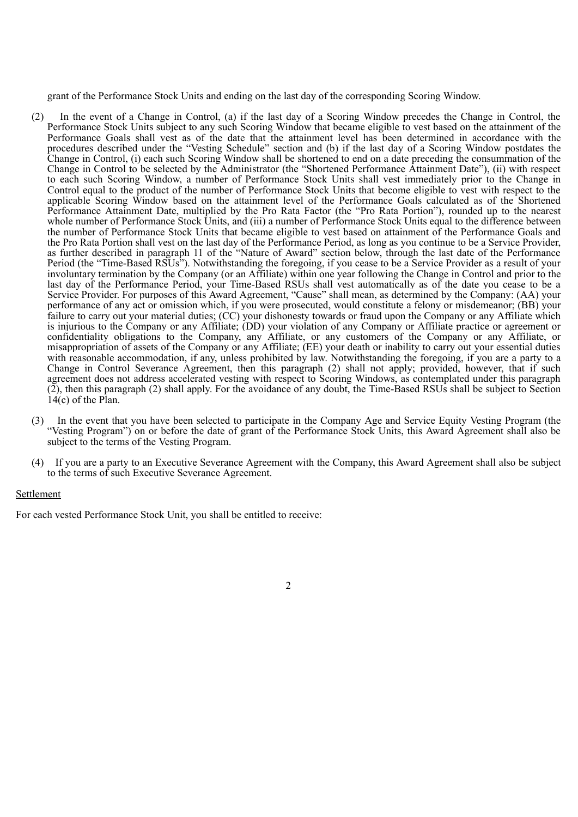grant of the Performance Stock Units and ending on the last day of the corresponding Scoring Window.

- (2) In the event of a Change in Control, (a) if the last day of a Scoring Window precedes the Change in Control, the Performance Stock Units subject to any such Scoring Window that became eligible to vest based on the attainment of the Performance Goals shall vest as of the date that the attainment level has been determined in accordance with the procedures described under the "Vesting Schedule" section and (b) if the last day of a Scoring Window postdates the Change in Control, (i) each such Scoring Window shall be shortened to end on a date preceding the consummation of the Change in Control to be selected by the Administrator (the "Shortened Performance Attainment Date"), (ii) with respect to each such Scoring Window, a number of Performance Stock Units shall vest immediately prior to the Change in Control equal to the product of the number of Performance Stock Units that become eligible to vest with respect to the applicable Scoring Window based on the attainment level of the Performance Goals calculated as of the Shortened Performance Attainment Date, multiplied by the Pro Rata Factor (the "Pro Rata Portion"), rounded up to the nearest whole number of Performance Stock Units, and (iii) a number of Performance Stock Units equal to the difference between the number of Performance Stock Units that became eligible to vest based on attainment of the Performance Goals and the Pro Rata Portion shall vest on the last day of the Performance Period, as long as you continue to be a Service Provider, as further described in paragraph 11 of the "Nature of Award" section below, through the last date of the Performance Period (the "Time-Based RSUs"). Notwithstanding the foregoing, if you cease to be a Service Provider as a result of your involuntary termination by the Company (or an Affiliate) within one year following the Change in Control and prior to the last day of the Performance Period, your Time-Based RSUs shall vest automatically as of the date you cease to be a Service Provider. For purposes of this Award Agreement, "Cause" shall mean, as determined by the Company: (AA) your performance of any act or omission which, if you were prosecuted, would constitute a felony or misdemeanor; (BB) your failure to carry out your material duties; (CC) your dishonesty towards or fraud upon the Company or any Affiliate which is injurious to the Company or any Affiliate; (DD) your violation of any Company or Affiliate practice or agreement or confidentiality obligations to the Company, any Affiliate, or any customers of the Company or any Affiliate, or misappropriation of assets of the Company or any Affiliate; (EE) your death or inability to carry out your essential duties with reasonable accommodation, if any, unless prohibited by law. Notwithstanding the foregoing, if you are a party to a Change in Control Severance Agreement, then this paragraph (2) shall not apply; provided, however, that if such agreement does not address accelerated vesting with respect to Scoring Windows, as contemplated under this paragraph (2), then this paragraph (2) shall apply. For the avoidance of any doubt, the Time-Based RSUs shall be subject to Section 14(c) of the Plan.
- (3) In the event that you have been selected to participate in the Company Age and Service Equity Vesting Program (the "Vesting Program") on or before the date of grant of the Performance Stock Units, this Award Agreement shall also be subject to the terms of the Vesting Program.
- (4) If you are a party to an Executive Severance Agreement with the Company, this Award Agreement shall also be subject to the terms of such Executive Severance Agreement.

# Settlement

For each vested Performance Stock Unit, you shall be entitled to receive: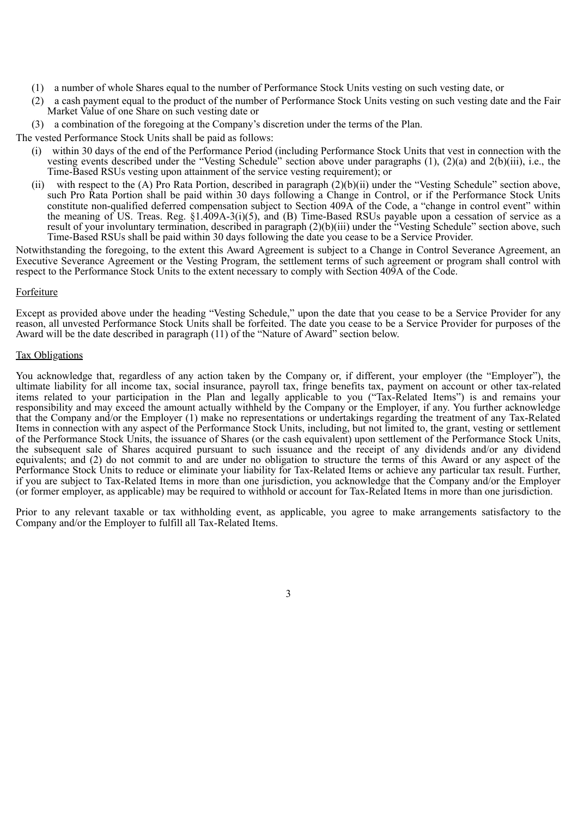- (1) a number of whole Shares equal to the number of Performance Stock Units vesting on such vesting date, or
- (2) a cash payment equal to the product of the number of Performance Stock Units vesting on such vesting date and the Fair Market Value of one Share on such vesting date or
- (3) a combination of the foregoing at the Company's discretion under the terms of the Plan.

The vested Performance Stock Units shall be paid as follows:

- (i) within 30 days of the end of the Performance Period (including Performance Stock Units that vest in connection with the vesting events described under the "Vesting Schedule" section above under paragraphs (1), (2)(a) and 2(b)(iii), i.e., the Time-Based RSUs vesting upon attainment of the service vesting requirement); or
- with respect to the (A) Pro Rata Portion, described in paragraph  $(2)(b)(ii)$  under the "Vesting Schedule" section above, such Pro Rata Portion shall be paid within 30 days following a Change in Control, or if the Performance Stock Units constitute non-qualified deferred compensation subject to Section 409A of the Code, a "change in control event" within the meaning of US. Treas. Reg. §1.409A-3(i)(5), and (B) Time-Based RSUs payable upon a cessation of service as a result of your involuntary termination, described in paragraph (2)(b)(iii) under the "Vesting Schedule" section above, such Time-Based RSUs shall be paid within 30 days following the date you cease to be a Service Provider.

Notwithstanding the foregoing, to the extent this Award Agreement is subject to a Change in Control Severance Agreement, an Executive Severance Agreement or the Vesting Program, the settlement terms of such agreement or program shall control with respect to the Performance Stock Units to the extent necessary to comply with Section 409A of the Code.

# Forfeiture

Except as provided above under the heading "Vesting Schedule," upon the date that you cease to be a Service Provider for any reason, all unvested Performance Stock Units shall be forfeited. The date you cease to be a Service Provider for purposes of the Award will be the date described in paragraph (11) of the "Nature of Award" section below.

# Tax Obligations

You acknowledge that, regardless of any action taken by the Company or, if different, your employer (the "Employer"), the ultimate liability for all income tax, social insurance, payroll tax, fringe benefits tax, payment on account or other tax-related items related to your participation in the Plan and legally applicable to you ("Tax-Related Items") is and remains your responsibility and may exceed the amount actually withheld by the Company or the Employer, if any. You further acknowledge that the Company and/or the Employer (1) make no representations or undertakings regarding the treatment of any Tax-Related Items in connection with any aspect of the Performance Stock Units, including, but not limited to, the grant, vesting or settlement of the Performance Stock Units, the issuance of Shares (or the cash equivalent) upon settlement of the Performance Stock Units, the subsequent sale of Shares acquired pursuant to such issuance and the receipt of any dividends and/or any dividend equivalents; and (2) do not commit to and are under no obligation to structure the terms of this Award or any aspect of the Performance Stock Units to reduce or eliminate your liability for Tax-Related Items or achieve any particular tax result. Further, if you are subject to Tax-Related Items in more than one jurisdiction, you acknowledge that the Company and/or the Employer (or former employer, as applicable) may be required to withhold or account for Tax-Related Items in more than one jurisdiction.

Prior to any relevant taxable or tax withholding event, as applicable, you agree to make arrangements satisfactory to the Company and/or the Employer to fulfill all Tax-Related Items.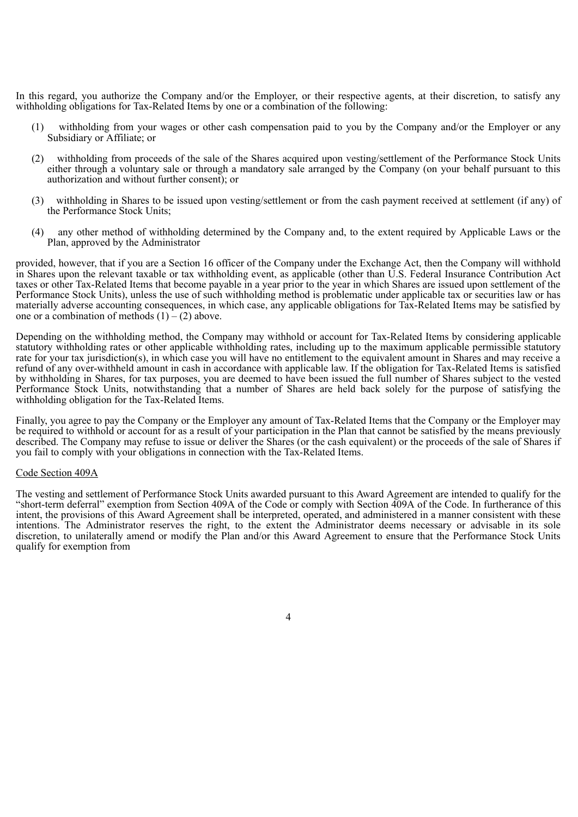In this regard, you authorize the Company and/or the Employer, or their respective agents, at their discretion, to satisfy any withholding obligations for Tax-Related Items by one or a combination of the following:

- withholding from your wages or other cash compensation paid to you by the Company and/or the Employer or any Subsidiary or Affiliate; or
- (2) withholding from proceeds of the sale of the Shares acquired upon vesting/settlement of the Performance Stock Units either through a voluntary sale or through a mandatory sale arranged by the Company (on your behalf pursuant to this authorization and without further consent); or
- (3) withholding in Shares to be issued upon vesting/settlement or from the cash payment received at settlement (if any) of the Performance Stock Units;
- (4) any other method of withholding determined by the Company and, to the extent required by Applicable Laws or the Plan, approved by the Administrator

provided, however, that if you are a Section 16 officer of the Company under the Exchange Act, then the Company will withhold in Shares upon the relevant taxable or tax withholding event, as applicable (other than U.S. Federal Insurance Contribution Act taxes or other Tax-Related Items that become payable in a year prior to the year in which Shares are issued upon settlement of the Performance Stock Units), unless the use of such withholding method is problematic under applicable tax or securities law or has materially adverse accounting consequences, in which case, any applicable obligations for Tax-Related Items may be satisfied by one or a combination of methods  $(1)$  –  $(2)$  above.

Depending on the withholding method, the Company may withhold or account for Tax-Related Items by considering applicable statutory withholding rates or other applicable withholding rates, including up to the maximum applicable permissible statutory rate for your tax jurisdiction(s), in which case you will have no entitlement to the equivalent amount in Shares and may receive a refund of any over-withheld amount in cash in accordance with applicable law. If the obligation for Tax-Related Items is satisfied by withholding in Shares, for tax purposes, you are deemed to have been issued the full number of Shares subject to the vested Performance Stock Units, notwithstanding that a number of Shares are held back solely for the purpose of satisfying the withholding obligation for the Tax-Related Items.

Finally, you agree to pay the Company or the Employer any amount of Tax-Related Items that the Company or the Employer may be required to withhold or account for as a result of your participation in the Plan that cannot be satisfied by the means previously described. The Company may refuse to issue or deliver the Shares (or the cash equivalent) or the proceeds of the sale of Shares if you fail to comply with your obligations in connection with the Tax-Related Items.

# Code Section 409A

The vesting and settlement of Performance Stock Units awarded pursuant to this Award Agreement are intended to qualify for the "short-term deferral" exemption from Section 409A of the Code or comply with Section 409A of the Code. In furtherance of this intent, the provisions of this Award Agreement shall be interpreted, operated, and administered in a manner consistent with these intentions. The Administrator reserves the right, to the extent the Administrator deems necessary or advisable in its sole discretion, to unilaterally amend or modify the Plan and/or this Award Agreement to ensure that the Performance Stock Units qualify for exemption from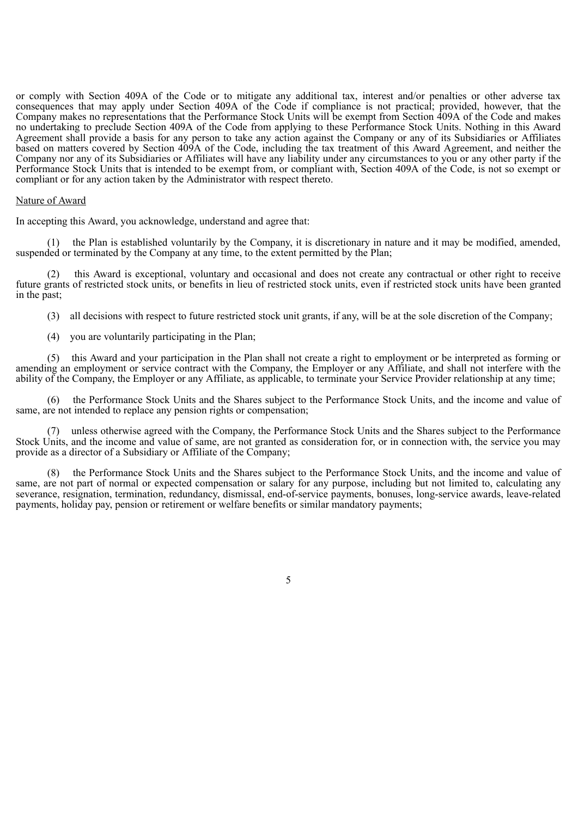or comply with Section 409A of the Code or to mitigate any additional tax, interest and/or penalties or other adverse tax consequences that may apply under Section 409A of the Code if compliance is not practical; provided, however, that the Company makes no representations that the Performance Stock Units will be exempt from Section 409A of the Code and makes no undertaking to preclude Section 409A of the Code from applying to these Performance Stock Units. Nothing in this Award Agreement shall provide a basis for any person to take any action against the Company or any of its Subsidiaries or Affiliates based on matters covered by Section 409A of the Code, including the tax treatment of this Award Agreement, and neither the Company nor any of its Subsidiaries or Affiliates will have any liability under any circumstances to you or any other party if the Performance Stock Units that is intended to be exempt from, or compliant with, Section 409A of the Code, is not so exempt or compliant or for any action taken by the Administrator with respect thereto.

#### Nature of Award

In accepting this Award, you acknowledge, understand and agree that:

(1) the Plan is established voluntarily by the Company, it is discretionary in nature and it may be modified, amended, suspended or terminated by the Company at any time, to the extent permitted by the Plan;

(2) this Award is exceptional, voluntary and occasional and does not create any contractual or other right to receive future grants of restricted stock units, or benefits in lieu of restricted stock units, even if restricted stock units have been granted in the past;

- (3) all decisions with respect to future restricted stock unit grants, if any, will be at the sole discretion of the Company;
- (4) you are voluntarily participating in the Plan;

(5) this Award and your participation in the Plan shall not create a right to employment or be interpreted as forming or amending an employment or service contract with the Company, the Employer or any Affiliate, and shall not interfere with the ability of the Company, the Employer or any Affiliate, as applicable, to terminate your Service Provider relationship at any time;

(6) the Performance Stock Units and the Shares subject to the Performance Stock Units, and the income and value of same, are not intended to replace any pension rights or compensation;

(7) unless otherwise agreed with the Company, the Performance Stock Units and the Shares subject to the Performance Stock Units, and the income and value of same, are not granted as consideration for, or in connection with, the service you may provide as a director of a Subsidiary or Affiliate of the Company;

(8) the Performance Stock Units and the Shares subject to the Performance Stock Units, and the income and value of same, are not part of normal or expected compensation or salary for any purpose, including but not limited to, calculating any severance, resignation, termination, redundancy, dismissal, end-of-service payments, bonuses, long-service awards, leave-related payments, holiday pay, pension or retirement or welfare benefits or similar mandatory payments;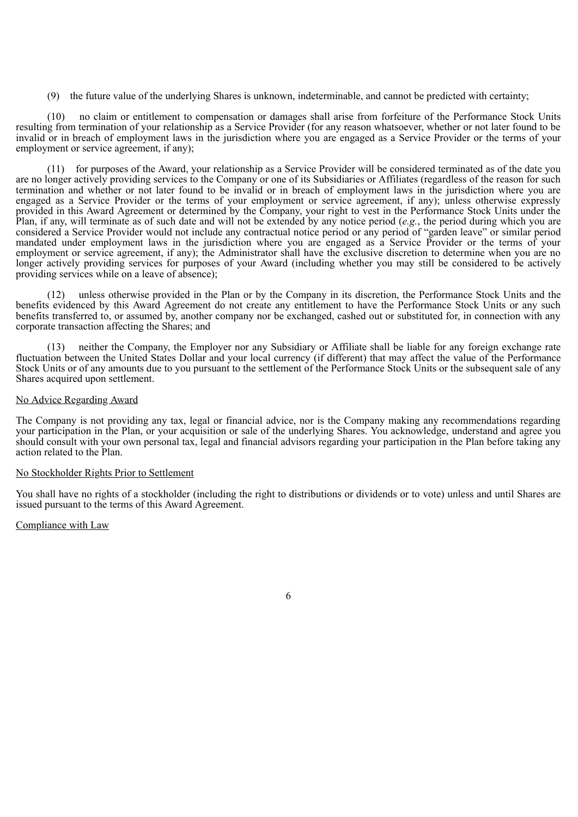(9) the future value of the underlying Shares is unknown, indeterminable, and cannot be predicted with certainty;

(10) no claim or entitlement to compensation or damages shall arise from forfeiture of the Performance Stock Units resulting from termination of your relationship as a Service Provider (for any reason whatsoever, whether or not later found to be invalid or in breach of employment laws in the jurisdiction where you are engaged as a Service Provider or the terms of your employment or service agreement, if any);

(11) for purposes of the Award, your relationship as a Service Provider will be considered terminated as of the date you are no longer actively providing services to the Company or one of its Subsidiaries or Affiliates (regardless of the reason for such termination and whether or not later found to be invalid or in breach of employment laws in the jurisdiction where you are engaged as a Service Provider or the terms of your employment or service agreement, if any); unless otherwise expressly provided in this Award Agreement or determined by the Company, your right to vest in the Performance Stock Units under the Plan, if any, will terminate as of such date and will not be extended by any notice period (*e.g.*, the period during which you are considered a Service Provider would not include any contractual notice period or any period of "garden leave" or similar period mandated under employment laws in the jurisdiction where you are engaged as a Service Provider or the terms of your employment or service agreement, if any); the Administrator shall have the exclusive discretion to determine when you are no longer actively providing services for purposes of your Award (including whether you may still be considered to be actively providing services while on a leave of absence);

(12) unless otherwise provided in the Plan or by the Company in its discretion, the Performance Stock Units and the benefits evidenced by this Award Agreement do not create any entitlement to have the Performance Stock Units or any such benefits transferred to, or assumed by, another company nor be exchanged, cashed out or substituted for, in connection with any corporate transaction affecting the Shares; and

(13) neither the Company, the Employer nor any Subsidiary or Affiliate shall be liable for any foreign exchange rate fluctuation between the United States Dollar and your local currency (if different) that may affect the value of the Performance Stock Units or of any amounts due to you pursuant to the settlement of the Performance Stock Units or the subsequent sale of any Shares acquired upon settlement.

# No Advice Regarding Award

The Company is not providing any tax, legal or financial advice, nor is the Company making any recommendations regarding your participation in the Plan, or your acquisition or sale of the underlying Shares. You acknowledge, understand and agree you should consult with your own personal tax, legal and financial advisors regarding your participation in the Plan before taking any action related to the Plan.

# No Stockholder Rights Prior to Settlement

You shall have no rights of a stockholder (including the right to distributions or dividends or to vote) unless and until Shares are issued pursuant to the terms of this Award Agreement.

# Compliance with Law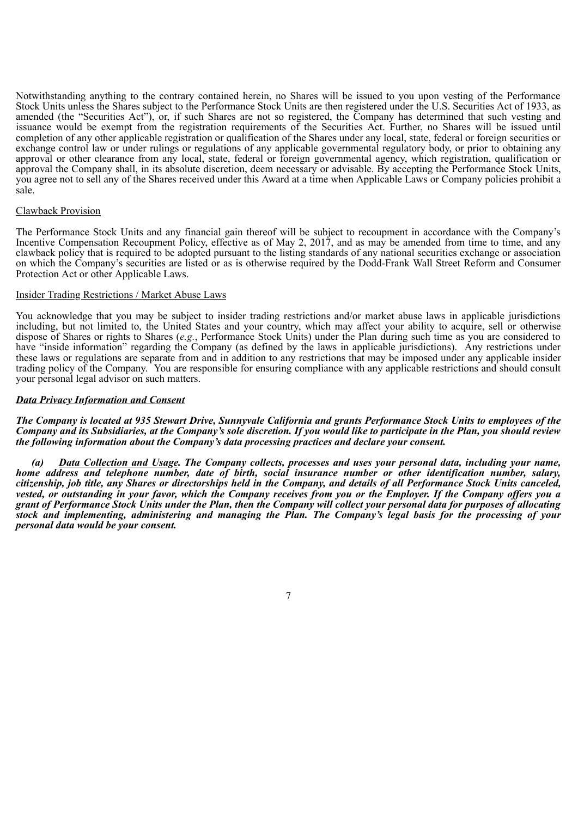Notwithstanding anything to the contrary contained herein, no Shares will be issued to you upon vesting of the Performance Stock Units unless the Shares subject to the Performance Stock Units are then registered under the U.S. Securities Act of 1933, as amended (the "Securities Act"), or, if such Shares are not so registered, the Company has determined that such vesting and issuance would be exempt from the registration requirements of the Securities Act. Further, no Shares will be issued until completion of any other applicable registration or qualification of the Shares under any local, state, federal or foreign securities or exchange control law or under rulings or regulations of any applicable governmental regulatory body, or prior to obtaining any approval or other clearance from any local, state, federal or foreign governmental agency, which registration, qualification or approval the Company shall, in its absolute discretion, deem necessary or advisable. By accepting the Performance Stock Units, you agree not to sell any of the Shares received under this Award at a time when Applicable Laws or Company policies prohibit a sale.

# Clawback Provision

The Performance Stock Units and any financial gain thereof will be subject to recoupment in accordance with the Company's Incentive Compensation Recoupment Policy, effective as of May 2, 2017, and as may be amended from time to time, and any clawback policy that is required to be adopted pursuant to the listing standards of any national securities exchange or association on which the Company's securities are listed or as is otherwise required by the Dodd-Frank Wall Street Reform and Consumer Protection Act or other Applicable Laws.

# Insider Trading Restrictions / Market Abuse Laws

You acknowledge that you may be subject to insider trading restrictions and/or market abuse laws in applicable jurisdictions including, but not limited to, the United States and your country, which may affect your ability to acquire, sell or otherwise dispose of Shares or rights to Shares (*e.g.*, Performance Stock Units) under the Plan during such time as you are considered to have "inside information" regarding the Company (as defined by the laws in applicable jurisdictions). Any restrictions under these laws or regulations are separate from and in addition to any restrictions that may be imposed under any applicable insider trading policy of the Company. You are responsible for ensuring compliance with any applicable restrictions and should consult your personal legal advisor on such matters.

# *Data Privacy Information and Consent*

*The Company is located at 935 Stewart Drive, Sunnyvale California and grants Performance Stock Units to employees of the Company and its Subsidiaries, at the Company's sole discretion. If you would like to participate in the Plan, you should review the following information about the Company's data processing practices and declare your consent.*

*(a) Data Collection and Usage. The Company collects, processes and uses your personal data, including your name, home address and telephone number, date of birth, social insurance number or other identification number, salary, citizenship, job title, any Shares or directorships held in the Company, and details of all Performance Stock Units canceled, vested, or outstanding in your favor, which the Company receives from you or the Employer. If the Company offers you a grant of Performance Stock Units under the Plan, then the Company will collect your personal data for purposes of allocating stock and implementing, administering and managing the Plan. The Company's legal basis for the processing of your personal data would be your consent.*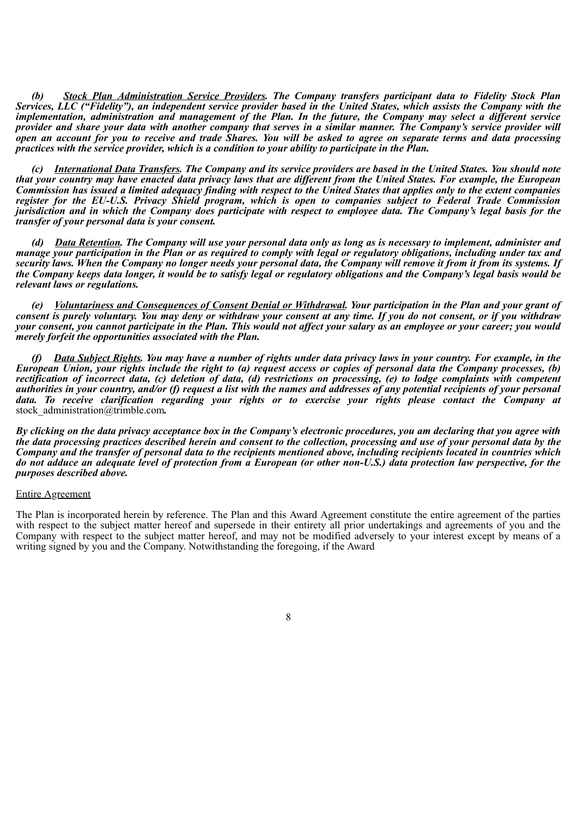*(b) Stock Plan Administration Service Providers. The Company transfers participant data to Fidelity Stock Plan Services, LLC ("Fidelity"), an independent service provider based in the United States, which assists the Company with the implementation, administration and management of the Plan. In the future, the Company may select a different service provider and share your data with another company that serves in a similar manner. The Company's service provider will open an account for you to receive and trade Shares. You will be asked to agree on separate terms and data processing practices with the service provider, which is a condition to your ability to participate in the Plan.*

*(c) International Data Transfers. The Company and its service providers are based in the United States. You should note that your country may have enacted data privacy laws that are different from the United States. For example, the European Commission has issued a limited adequacy finding with respect to the United States that applies only to the extent companies register for the EU-U.S. Privacy Shield program, which is open to companies subject to Federal Trade Commission jurisdiction and in which the Company does participate with respect to employee data. The Company's legal basis for the transfer of your personal data is your consent.*

*(d) Data Retention. The Company will use your personal data only as long as is necessary to implement, administer and manage your participation in the Plan or as required to comply with legal or regulatory obligations, including under tax and security laws. When the Company no longer needs your personal data, the Company will remove it from it from its systems. If the Company keeps data longer, it would be to satisfy legal or regulatory obligations and the Company's legal basis would be relevant laws or regulations.*

*(e) Voluntariness and Consequences of Consent Denial or Withdrawal. Your participation in the Plan and your grant of consent is purely voluntary. You may deny or withdraw your consent at any time. If you do not consent, or if you withdraw your consent, you cannot participate in the Plan. This would not affect your salary as an employee or your career; you would merely forfeit the opportunities associated with the Plan.*

*(f) Data Subject Rights. You may have a number of rights under data privacy laws in your country. For example, in the European Union, your rights include the right to (a) request access or copies of personal data the Company processes, (b) rectification of incorrect data, (c) deletion of data, (d) restrictions on processing, (e) to lodge complaints with competent authorities in your country, and/or (f) request a list with the names and addresses of any potential recipients of your personal data. To receive clarification regarding your rights or to exercise your rights please contact the Company at* stock\_administration@trimble.com*.*

*By clicking on the data privacy acceptance box in the Company's electronic procedures, you am declaring that you agree with the data processing practices described herein and consent to the collection, processing and use of your personal data by the Company and the transfer of personal data to the recipients mentioned above, including recipients located in countries which do not adduce an adequate level of protection from a European (or other non-U.S.) data protection law perspective, for the purposes described above.*

#### Entire Agreement

The Plan is incorporated herein by reference. The Plan and this Award Agreement constitute the entire agreement of the parties with respect to the subject matter hereof and supersede in their entirety all prior undertakings and agreements of you and the Company with respect to the subject matter hereof, and may not be modified adversely to your interest except by means of a writing signed by you and the Company. Notwithstanding the foregoing, if the Award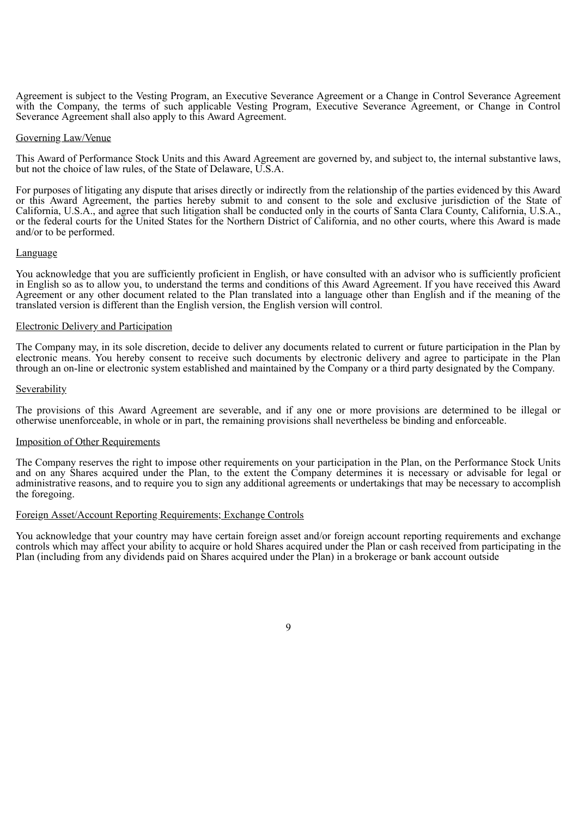Agreement is subject to the Vesting Program, an Executive Severance Agreement or a Change in Control Severance Agreement with the Company, the terms of such applicable Vesting Program, Executive Severance Agreement, or Change in Control Severance Agreement shall also apply to this Award Agreement.

# Governing Law/Venue

This Award of Performance Stock Units and this Award Agreement are governed by, and subject to, the internal substantive laws, but not the choice of law rules, of the State of Delaware, U.S.A.

For purposes of litigating any dispute that arises directly or indirectly from the relationship of the parties evidenced by this Award or this Award Agreement, the parties hereby submit to and consent to the sole and exclusive jurisdiction of the State of California, U.S.A., and agree that such litigation shall be conducted only in the courts of Santa Clara County, California, U.S.A., or the federal courts for the United States for the Northern District of California, and no other courts, where this Award is made and/or to be performed.

# Language

You acknowledge that you are sufficiently proficient in English, or have consulted with an advisor who is sufficiently proficient in English so as to allow you, to understand the terms and conditions of this Award Agreement. If you have received this Award Agreement or any other document related to the Plan translated into a language other than English and if the meaning of the translated version is different than the English version, the English version will control.

# Electronic Delivery and Participation

The Company may, in its sole discretion, decide to deliver any documents related to current or future participation in the Plan by electronic means. You hereby consent to receive such documents by electronic delivery and agree to participate in the Plan through an on-line or electronic system established and maintained by the Company or a third party designated by the Company.

# **Severability**

The provisions of this Award Agreement are severable, and if any one or more provisions are determined to be illegal or otherwise unenforceable, in whole or in part, the remaining provisions shall nevertheless be binding and enforceable.

# Imposition of Other Requirements

The Company reserves the right to impose other requirements on your participation in the Plan, on the Performance Stock Units and on any Shares acquired under the Plan, to the extent the Company determines it is necessary or advisable for legal or administrative reasons, and to require you to sign any additional agreements or undertakings that may be necessary to accomplish the foregoing.

# Foreign Asset/Account Reporting Requirements; Exchange Controls

You acknowledge that your country may have certain foreign asset and/or foreign account reporting requirements and exchange controls which may affect your ability to acquire or hold Shares acquired under the Plan or cash received from participating in the Plan (including from any dividends paid on Shares acquired under the Plan) in a brokerage or bank account outside

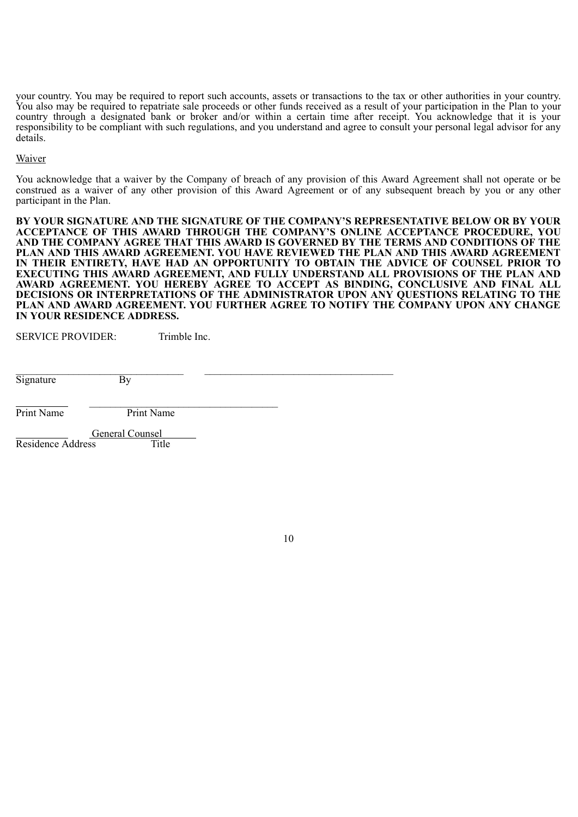your country. You may be required to report such accounts, assets or transactions to the tax or other authorities in your country. You also may be required to repatriate sale proceeds or other funds received as a result of your participation in the Plan to your country through a designated bank or broker and/or within a certain time after receipt. You acknowledge that it is your responsibility to be compliant with such regulations, and you understand and agree to consult your personal legal advisor for any details.

# **Waiver**

You acknowledge that a waiver by the Company of breach of any provision of this Award Agreement shall not operate or be construed as a waiver of any other provision of this Award Agreement or of any subsequent breach by you or any other participant in the Plan.

**BY YOUR SIGNATURE AND THE SIGNATURE OF THE COMPANY'S REPRESENTATIVE BELOW OR BY YOUR ACCEPTANCE OF THIS AWARD THROUGH THE COMPANY'S ONLINE ACCEPTANCE PROCEDURE, YOU AND THE COMPANY AGREE THAT THIS AWARD IS GOVERNED BY THE TERMS AND CONDITIONS OF THE PLAN AND THIS AWARD AGREEMENT. YOU HAVE REVIEWED THE PLAN AND THIS AWARD AGREEMENT IN THEIR ENTIRETY, HAVE HAD AN OPPORTUNITY TO OBTAIN THE ADVICE OF COUNSEL PRIOR TO EXECUTING THIS AWARD AGREEMENT, AND FULLY UNDERSTAND ALL PROVISIONS OF THE PLAN AND AWARD AGREEMENT. YOU HEREBY AGREE TO ACCEPT AS BINDING, CONCLUSIVE AND FINAL ALL DECISIONS OR INTERPRETATIONS OF THE ADMINISTRATOR UPON ANY QUESTIONS RELATING TO THE PLAN AND AWARD AGREEMENT. YOU FURTHER AGREE TO NOTIFY THE COMPANY UPON ANY CHANGE IN YOUR RESIDENCE ADDRESS.**

| <b>SERVICE PROVIDER:</b> |                        | Trimble Inc. |  |  |
|--------------------------|------------------------|--------------|--|--|
|                          |                        |              |  |  |
|                          |                        |              |  |  |
| Signature                | By                     |              |  |  |
| Print Name               |                        | Print Name   |  |  |
| Residence Address        | <b>General Counsel</b> | Title        |  |  |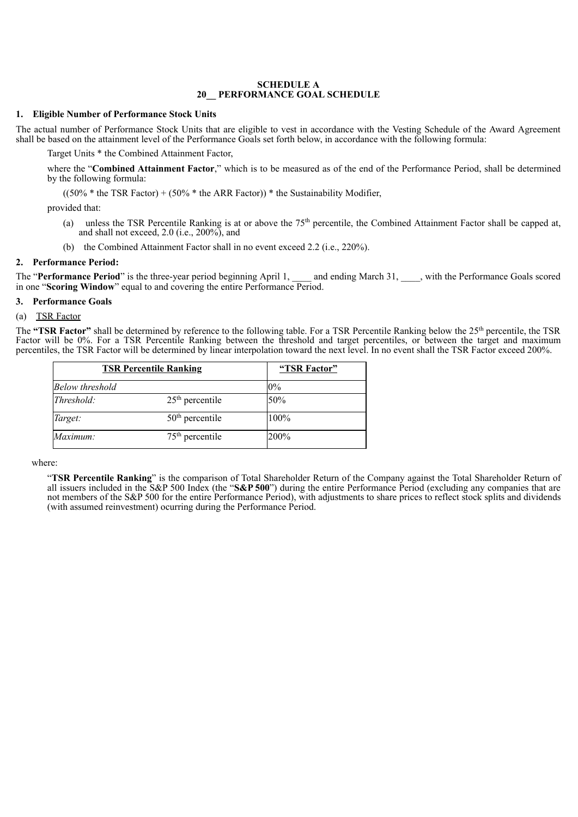#### **SCHEDULE A 20\_\_ PERFORMANCE GOAL SCHEDULE**

#### **1. Eligible Number of Performance Stock Units**

The actual number of Performance Stock Units that are eligible to vest in accordance with the Vesting Schedule of the Award Agreement shall be based on the attainment level of the Performance Goals set forth below, in accordance with the following formula:

Target Units \* the Combined Attainment Factor,

where the "**Combined Attainment Factor**," which is to be measured as of the end of the Performance Period, shall be determined by the following formula:

 $((50\% * the TSR Factor) + (50\% * theARR Factor) * the SukR factor)$  \* the Sustainability Modifier,

provided that:

- (a) unless the TSR Percentile Ranking is at or above the  $75<sup>th</sup>$  percentile, the Combined Attainment Factor shall be capped at, and shall not exceed, 2.0 (i.e., 200%), and
- (b) the Combined Attainment Factor shall in no event exceed 2.2 (i.e., 220%).

#### **2. Performance Period:**

The "**Performance Period**" is the three-year period beginning April 1, and ending March 31, with the Performance Goals scored in one "**Scoring Window**" equal to and covering the entire Performance Period.

#### **3. Performance Goals**

#### (a) TSR Factor

The "TSR Factor" shall be determined by reference to the following table. For a TSR Percentile Ranking below the 25<sup>th</sup> percentile, the TSR Factor will be 0%. For a TSR Percentile Ranking between the threshold and target percentiles, or between the target and maximum percentiles, the TSR Factor will be determined by linear interpolation toward the next level. In no event shall the TSR Factor exceed 200%. th

| <b>TSR Percentile Ranking</b> | "TSR Factor"      |       |
|-------------------------------|-------------------|-------|
| <b>Below threshold</b>        |                   | $0\%$ |
| Threshold:                    | $25th$ percentile | 50%   |
| Target:                       | $50th$ percentile | 100%  |
| Maximum:                      | $75th$ percentile | 200%  |

where:

"**TSR Percentile Ranking**" is the comparison of Total Shareholder Return of the Company against the Total Shareholder Return of all issuers included in the S&P 500 Index (the "**S&P 500**") during the entire Performance Period (excluding any companies that are not members of the S&P 500 for the entire Performance Period), with adjustments to share prices to reflect stock splits and dividends (with assumed reinvestment) ocurring during the Performance Period.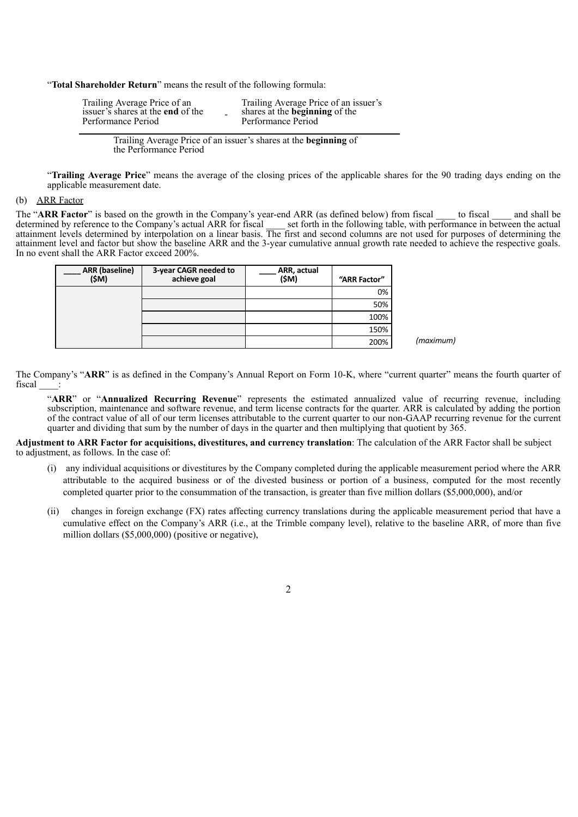"**Total Shareholder Return**" means the result of the following formula:

| Trailing Average Price of an             | Trailing Average Price of an issuer's |
|------------------------------------------|---------------------------------------|
| issuer's shares at the <b>end</b> of the | shares at the <b>beginning</b> of the |
| Performance Period                       | Performance Period                    |

Trailing Average Price of an issuer's shares at the **beginning** of the Performance Period

"**Trailing Average Price**" means the average of the closing prices of the applicable shares for the 90 trading days ending on the applicable measurement date.

#### (b) ARR Factor

The "**ARR Factor**" is based on the growth in the Company's year-end ARR (as defined below) from fiscal \_\_\_\_ to fiscal \_\_\_\_ and shall be determined by reference to the Company's actual ARR for fiscal set forth in the following table, with performance in between the actual attainment levels determined by interpolation on a linear basis. The first and second columns are not used for purposes of determining the attainment level and factor but show the baseline ARR and the 3-year cumulative annual growth rate needed to achieve the respective goals. In no event shall the ARR Factor exceed 200%.

|           | "ARR Factor" | ARR, actual<br>(\$M) | 3-year CAGR needed to<br>achieve goal | <b>ARR</b> (baseline)<br>(SM) |
|-----------|--------------|----------------------|---------------------------------------|-------------------------------|
|           | 0%           |                      |                                       |                               |
|           | 50%          |                      |                                       |                               |
|           | 100%         |                      |                                       |                               |
|           | 150%         |                      |                                       |                               |
| (maximum) | 200%         |                      |                                       |                               |

The Company's "**ARR**" is as defined in the Company's Annual Report on Form 10-K, where "current quarter" means the fourth quarter of fiscal \_\_\_\_:

"**ARR**" or "**Annualized Recurring Revenue**" represents the estimated annualized value of recurring revenue, including subscription, maintenance and software revenue, and term license contracts for the quarter. ARR is calculated by adding the portion of the contract value of all of our term licenses attributable to the current quarter to our non-GAAP recurring revenue for the current quarter and dividing that sum by the number of days in the quarter and then multiplying that quotient by 365.

**Adjustment to ARR Factor for acquisitions, divestitures, and currency translation**: The calculation of the ARR Factor shall be subject to adjustment, as follows. In the case of:

- (i) any individual acquisitions or divestitures by the Company completed during the applicable measurement period where the ARR attributable to the acquired business or of the divested business or portion of a business, computed for the most recently completed quarter prior to the consummation of the transaction, is greater than five million dollars (\$5,000,000), and/or
- (ii) changes in foreign exchange (FX) rates affecting currency translations during the applicable measurement period that have a cumulative effect on the Company's ARR (i.e., at the Trimble company level), relative to the baseline ARR, of more than five million dollars (\$5,000,000) (positive or negative),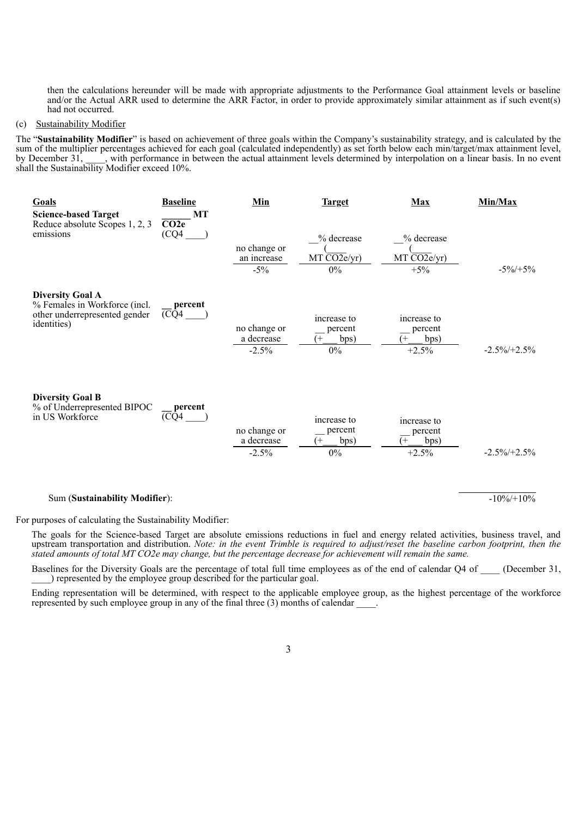then the calculations hereunder will be made with appropriate adjustments to the Performance Goal attainment levels or baseline and/or the Actual ARR used to determine the ARR Factor, in order to provide approximately similar attainment as if such event(s) had not occurred.

## (c) Sustainability Modifier

The "**Sustainability Modifier**" is based on achievement of three goals within the Company's sustainability strategy, and is calculated by the sum of the multiplier percentages achieved for each goal (calculated independently) as set forth below each min/target/max attainment level, by December 31, with performance in between the actual attainment levels determined by interpolation on a linear basis. In no event shall the Sustainability Modifier exceed 10%.

| Goals                                                                                                    | <b>Baseline</b>                  | Min                                   | <b>Target</b>                                       | <b>Max</b>                                         | Min/Max          |
|----------------------------------------------------------------------------------------------------------|----------------------------------|---------------------------------------|-----------------------------------------------------|----------------------------------------------------|------------------|
| <b>Science-based Target</b><br>Reduce absolute Scopes 1, 2, 3<br>emissions                               | MT<br>$\overline{CO2e}$<br>(CQ4) | no change or<br>an increase<br>$-5\%$ | % decrease<br>$MT\overline{CO2e}/yr)$<br>$0\%$      | % decrease<br>$MT\overline{CO2e}/yr)$<br>$+5%$     | $-5\%/+5\%$      |
| <b>Diversity Goal A</b><br>% Females in Workforce (incl.<br>other underrepresented gender<br>identities) | percent<br>(CQ4)                 | no change or<br>a decrease<br>$-2.5%$ | increase to<br>percent<br>$^{(+)}$<br>bps)<br>$0\%$ | increase to<br>percent<br>$($ +<br>bps)<br>$+2.5%$ | $-2.5\% + 2.5\%$ |
| <b>Diversity Goal B</b><br>% of Underrepresented BIPOC<br>in US Workforce                                | percent<br>(CQ4)                 | no change or<br>a decrease<br>$-2.5%$ | increase to<br>percent<br>$^{(+)}$<br>bps)<br>$0\%$ | increase to<br>percent<br>$($ +<br>bps)<br>$+2.5%$ | $-2.5\%/+2.5\%$  |
| Sum (Sustainability Modifier):                                                                           |                                  |                                       |                                                     |                                                    | $-10\%/+10\%$    |

For purposes of calculating the Sustainability Modifier:

The goals for the Science-based Target are absolute emissions reductions in fuel and energy related activities, business travel, and upstream transportation and distribution. Note: in the event Trimble is required to adjust/reset the baseline carbon footprint, then the stated amounts of total MT CO2e may change, but the percentage decrease for achievement will remain the same.

Baselines for the Diversity Goals are the percentage of total full time employees as of the end of calendar O4 of (December 31, \_\_\_\_) represented by the employee group described for the particular goal.

Ending representation will be determined, with respect to the applicable employee group, as the highest percentage of the workforce represented by such employee group in any of the final three (3) months of calendar  $\qquad$ .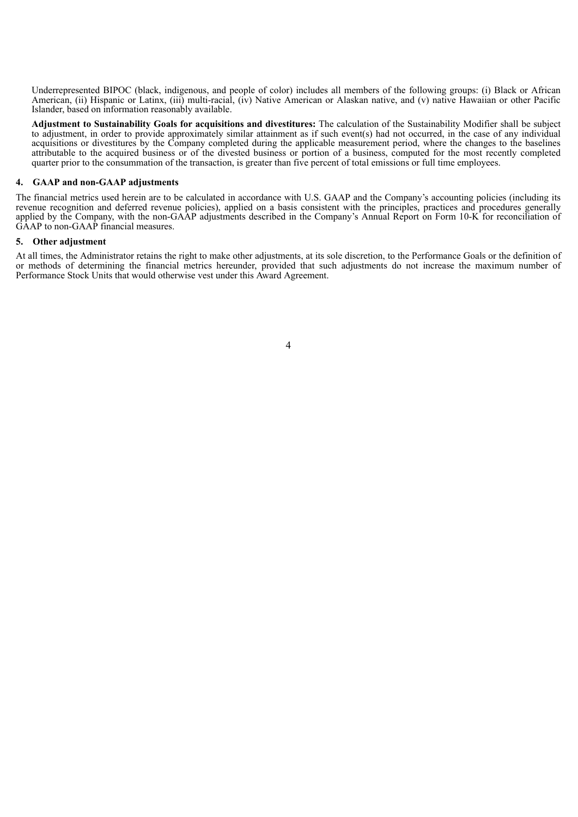Underrepresented BIPOC (black, indigenous, and people of color) includes all members of the following groups: (i) Black or African American, (ii) Hispanic or Latinx, (iii) multi-racial, (iv) Native American or Alaskan native, and (v) native Hawaiian or other Pacific Islander, based on information reasonably available.

**Adjustment to Sustainability Goals for acquisitions and divestitures:** The calculation of the Sustainability Modifier shall be subject to adjustment, in order to provide approximately similar attainment as if such event(s) had not occurred, in the case of any individual acquisitions or divestitures by the Company completed during the applicable measurement period, where the changes to the baselines attributable to the acquired business or of the divested business or portion of a business, computed for the most recently completed quarter prior to the consummation of the transaction, is greater than five percent of total emissions or full time employees.

#### **4. GAAP and non-GAAP adjustments**

The financial metrics used herein are to be calculated in accordance with U.S. GAAP and the Company's accounting policies (including its revenue recognition and deferred revenue policies), applied on a basis consistent with the principles, practices and procedures generally applied by the Company, with the non-GAAP adjustments described in the Company's Annual Report on Form 10-K for reconciliation of GAAP to non-GAAP financial measures.

#### **5. Other adjustment**

At all times, the Administrator retains the right to make other adjustments, at its sole discretion, to the Performance Goals or the definition of or methods of determining the financial metrics hereunder, provided that such adjustments do not increase the maximum number of Performance Stock Units that would otherwise vest under this Award Agreement.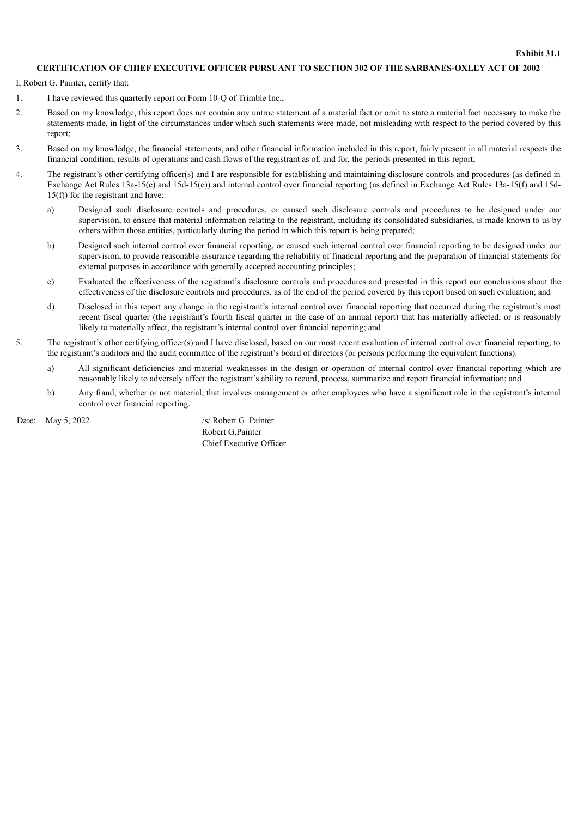# <span id="page-47-0"></span>**CERTIFICATION OF CHIEF EXECUTIVE OFFICER PURSUANT TO SECTION 302 OF THE SARBANES-OXLEY ACT OF 2002**

I, Robert G. Painter, certify that:

- 1. I have reviewed this quarterly report on Form 10-Q of Trimble Inc.;
- 2. Based on my knowledge, this report does not contain any untrue statement of a material fact or omit to state a material fact necessary to make the statements made, in light of the circumstances under which such statements were made, not misleading with respect to the period covered by this report;
- 3. Based on my knowledge, the financial statements, and other financial information included in this report, fairly present in all material respects the financial condition, results of operations and cash flows of the registrant as of, and for, the periods presented in this report;
- 4. The registrant's other certifying officer(s) and I are responsible for establishing and maintaining disclosure controls and procedures (as defined in Exchange Act Rules 13a-15(e) and 15d-15(e)) and internal control over financial reporting (as defined in Exchange Act Rules 13a-15(f) and 15d-15(f)) for the registrant and have:
	- a) Designed such disclosure controls and procedures, or caused such disclosure controls and procedures to be designed under our supervision, to ensure that material information relating to the registrant, including its consolidated subsidiaries, is made known to us by others within those entities, particularly during the period in which this report is being prepared;
	- b) Designed such internal control over financial reporting, or caused such internal control over financial reporting to be designed under our supervision, to provide reasonable assurance regarding the reliability of financial reporting and the preparation of financial statements for external purposes in accordance with generally accepted accounting principles;
	- c) Evaluated the effectiveness of the registrant's disclosure controls and procedures and presented in this report our conclusions about the effectiveness of the disclosure controls and procedures, as of the end of the period covered by this report based on such evaluation; and
	- d) Disclosed in this report any change in the registrant's internal control over financial reporting that occurred during the registrant's most recent fiscal quarter (the registrant's fourth fiscal quarter in the case of an annual report) that has materially affected, or is reasonably likely to materially affect, the registrant's internal control over financial reporting; and
- 5. The registrant's other certifying officer(s) and I have disclosed, based on our most recent evaluation of internal control over financial reporting, to the registrant's auditors and the audit committee of the registrant's board of directors (or persons performing the equivalent functions):
	- a) All significant deficiencies and material weaknesses in the design or operation of internal control over financial reporting which are reasonably likely to adversely affect the registrant's ability to record, process, summarize and report financial information; and
	- b) Any fraud, whether or not material, that involves management or other employees who have a significant role in the registrant's internal control over financial reporting.

Date: May 5, 2022 /s/ Robert G. Painter Robert G.Painter Chief Executive Officer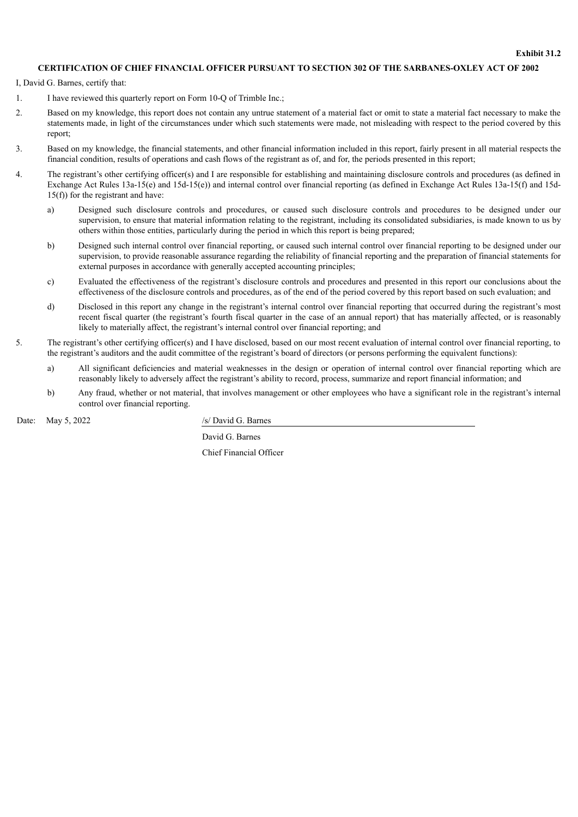### <span id="page-48-0"></span>**CERTIFICATION OF CHIEF FINANCIAL OFFICER PURSUANT TO SECTION 302 OF THE SARBANES-OXLEY ACT OF 2002**

I, David G. Barnes, certify that:

- 1. I have reviewed this quarterly report on Form 10-Q of Trimble Inc.;
- 2. Based on my knowledge, this report does not contain any untrue statement of a material fact or omit to state a material fact necessary to make the statements made, in light of the circumstances under which such statements were made, not misleading with respect to the period covered by this report;
- 3. Based on my knowledge, the financial statements, and other financial information included in this report, fairly present in all material respects the financial condition, results of operations and cash flows of the registrant as of, and for, the periods presented in this report;
- 4. The registrant's other certifying officer(s) and I are responsible for establishing and maintaining disclosure controls and procedures (as defined in Exchange Act Rules 13a-15(e) and 15d-15(e)) and internal control over financial reporting (as defined in Exchange Act Rules 13a-15(f) and 15d-15(f)) for the registrant and have:
	- a) Designed such disclosure controls and procedures, or caused such disclosure controls and procedures to be designed under our supervision, to ensure that material information relating to the registrant, including its consolidated subsidiaries, is made known to us by others within those entities, particularly during the period in which this report is being prepared;
	- b) Designed such internal control over financial reporting, or caused such internal control over financial reporting to be designed under our supervision, to provide reasonable assurance regarding the reliability of financial reporting and the preparation of financial statements for external purposes in accordance with generally accepted accounting principles;
	- c) Evaluated the effectiveness of the registrant's disclosure controls and procedures and presented in this report our conclusions about the effectiveness of the disclosure controls and procedures, as of the end of the period covered by this report based on such evaluation; and
	- d) Disclosed in this report any change in the registrant's internal control over financial reporting that occurred during the registrant's most recent fiscal quarter (the registrant's fourth fiscal quarter in the case of an annual report) that has materially affected, or is reasonably likely to materially affect, the registrant's internal control over financial reporting; and
- 5. The registrant's other certifying officer(s) and I have disclosed, based on our most recent evaluation of internal control over financial reporting, to the registrant's auditors and the audit committee of the registrant's board of directors (or persons performing the equivalent functions):
	- a) All significant deficiencies and material weaknesses in the design or operation of internal control over financial reporting which are reasonably likely to adversely affect the registrant's ability to record, process, summarize and report financial information; and
	- b) Any fraud, whether or not material, that involves management or other employees who have a significant role in the registrant's internal control over financial reporting.

Date: May 5, 2022 /s/ David G. Barnes

David G. Barnes

Chief Financial Officer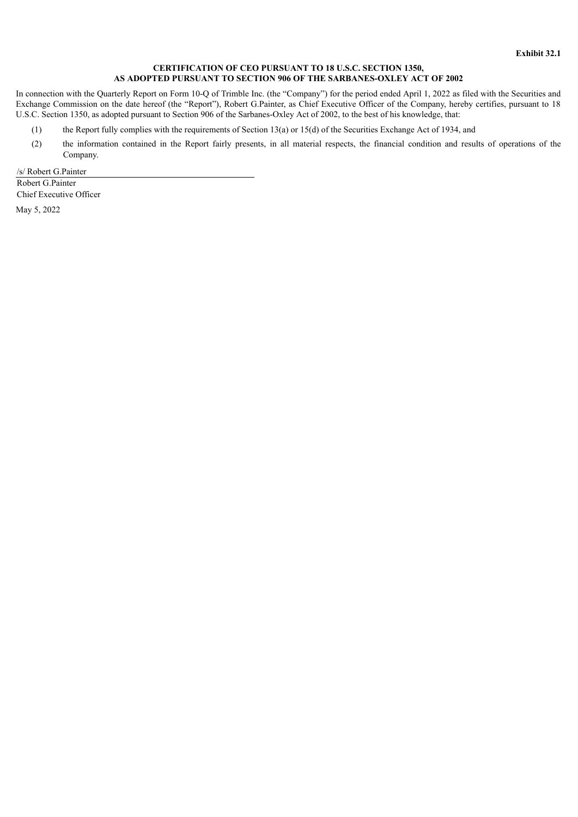#### **CERTIFICATION OF CEO PURSUANT TO 18 U.S.C. SECTION 1350, AS ADOPTED PURSUANT TO SECTION 906 OF THE SARBANES-OXLEY ACT OF 2002**

<span id="page-49-0"></span>In connection with the Quarterly Report on Form 10-Q of Trimble Inc. (the "Company") for the period ended April 1, 2022 as filed with the Securities and Exchange Commission on the date hereof (the "Report"), Robert G.Painter, as Chief Executive Officer of the Company, hereby certifies, pursuant to 18 U.S.C. Section 1350, as adopted pursuant to Section 906 of the Sarbanes-Oxley Act of 2002, to the best of his knowledge, that:

- (1) the Report fully complies with the requirements of Section 13(a) or 15(d) of the Securities Exchange Act of 1934, and
- (2) the information contained in the Report fairly presents, in all material respects, the financial condition and results of operations of the Company.

/s/ Robert G.Painter

Robert G.Painter Chief Executive Officer

May 5, 2022